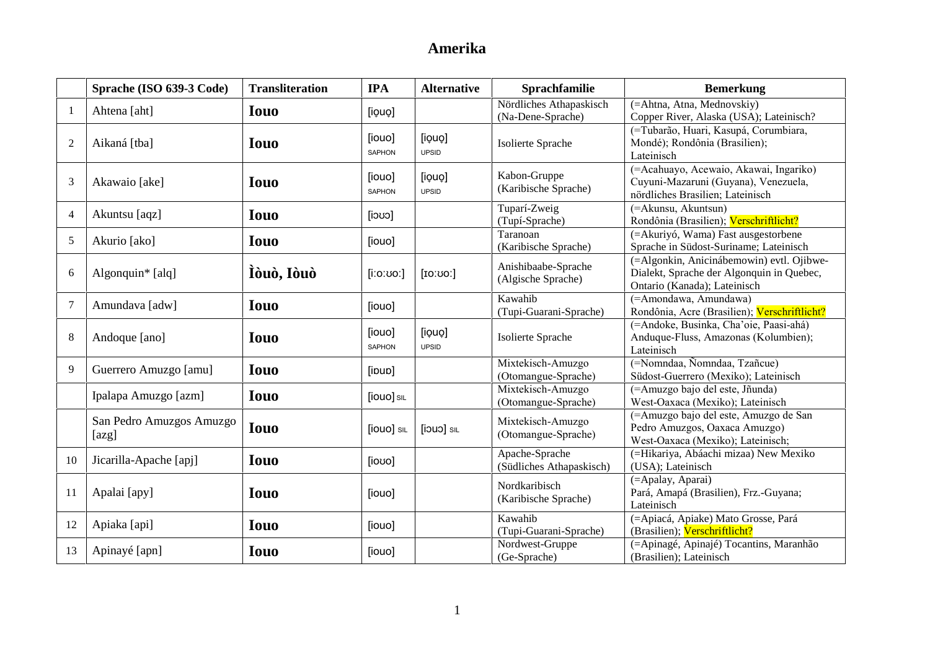|                | Sprache (ISO 639-3 Code)          | <b>Transliteration</b> | <b>IPA</b>              | <b>Alternative</b>     | Sprachfamilie                                | <b>Bemerkung</b>                                                                                                       |
|----------------|-----------------------------------|------------------------|-------------------------|------------------------|----------------------------------------------|------------------------------------------------------------------------------------------------------------------------|
| -1             | Ahtena [aht]                      | <b>Iouo</b>            | [iouo]                  |                        | Nördliches Athapaskisch<br>(Na-Dene-Sprache) | (=Ahtna, Atna, Mednovskiy)<br>Copper River, Alaska (USA); Lateinisch?                                                  |
| 2              | Aikaná [tba]                      | <b>Iouo</b>            | [iouo]<br><b>SAPHON</b> | [iouo]<br><b>UPSID</b> | Isolierte Sprache                            | (=Tubarão, Huari, Kasupá, Corumbiara,<br>Mondé); Rondônia (Brasilien);<br>Lateinisch                                   |
| 3              | Akawaio [ake]                     | <b>Iouo</b>            | [iouo]<br><b>SAPHON</b> | [iouo]<br><b>UPSID</b> | Kabon-Gruppe<br>(Karibische Sprache)         | (=Acahuayo, Acewaio, Akawai, Ingariko)<br>Cuyuni-Mazaruni (Guyana), Venezuela,<br>nördliches Brasilien; Lateinisch     |
| $\overline{4}$ | Akuntsu [aqz]                     | <b>Iouo</b>            | $[$ coci]               |                        | Tuparí-Zweig<br>(Tupí-Sprache)               | (=Akunsu, Akuntsun)<br>Rondônia (Brasilien); Verschriftlicht?                                                          |
| 5              | Akurio [ako]                      | <b>Iouo</b>            | [iouo]                  |                        | Taranoan<br>(Karibische Sprache)             | (=Akuriyó, Wama) Fast ausgestorbene<br>Sprache in Südost-Suriname; Lateinisch                                          |
| 6              | Algonquin* [alq]                  | Ìòuò, Iòuò             | [i:o:ʊoː]               | [IO:U0]                | Anishibaabe-Sprache<br>(Algische Sprache)    | (=Algonkin, Anicinábemowin) evtl. Ojibwe-<br>Dialekt, Sprache der Algonquin in Quebec,<br>Ontario (Kanada); Lateinisch |
| $\overline{7}$ | Amundava [adw]                    | <b>Iouo</b>            | [iouo]                  |                        | Kawahib<br>(Tupi-Guarani-Sprache)            | (=Amondawa, Amundawa)<br>Rondônia, Acre (Brasilien); Verschriftlicht?                                                  |
| $8\,$          | Andoque [ano]                     | <b>Iouo</b>            | [iouo]<br><b>SAPHON</b> | [iouo]<br><b>UPSID</b> | Isolierte Sprache                            | (=Andoke, Businka, Cha'oie, Paasi-ahá)<br>Anduque-Fluss, Amazonas (Kolumbien);<br>Lateinisch                           |
| 9              | Guerrero Amuzgo [amu]             | <b>Iouo</b>            | [ipup]                  |                        | Mixtekisch-Amuzgo<br>(Otomangue-Sprache)     | (=Nomndaa, Ñomndaa, Tzañcue)<br>Südost-Guerrero (Mexiko); Lateinisch                                                   |
|                | Ipalapa Amuzgo [azm]              | <b>Iouo</b>            | [iouo] SIL              |                        | Mixtekisch-Amuzgo<br>(Otomangue-Sprache)     | (=Amuzgo bajo del este, Jñunda)<br>West-Oaxaca (Mexiko); Lateinisch                                                    |
|                | San Pedro Amuzgos Amuzgo<br>[azg] | <b>Iouo</b>            | [iouo] SIL              | <b>[joup]</b> SIL      | Mixtekisch-Amuzgo<br>(Otomangue-Sprache)     | (=Amuzgo bajo del este, Amuzgo de San<br>Pedro Amuzgos, Oaxaca Amuzgo)<br>West-Oaxaca (Mexiko); Lateinisch;            |
| 10             | Jicarilla-Apache [apj]            | <b>Iouo</b>            | [iovo]                  |                        | Apache-Sprache<br>(Südliches Athapaskisch)   | (=Hikariya, Abáachi mizaa) New Mexiko<br>(USA); Lateinisch                                                             |
| 11             | Apalai [apy]                      | <b>Iouo</b>            | [iouo]                  |                        | Nordkaribisch<br>(Karibische Sprache)        | (=Apalay, Aparai)<br>Pará, Amapá (Brasilien), Frz.-Guyana;<br>Lateinisch                                               |
| 12             | Apiaka [api]                      | <b>Iouo</b>            | [iouo]                  |                        | Kawahib<br>(Tupi-Guarani-Sprache)            | (=Apiacá, Apiake) Mato Grosse, Pará<br>(Brasilien); Verschriftlicht?                                                   |
| 13             | Apinayé [apn]                     | <b>Iouo</b>            | [iouo]                  |                        | Nordwest-Gruppe<br>(Ge-Sprache)              | (=Apinagé, Apinajé) Tocantins, Maranhão<br>(Brasilien); Lateinisch                                                     |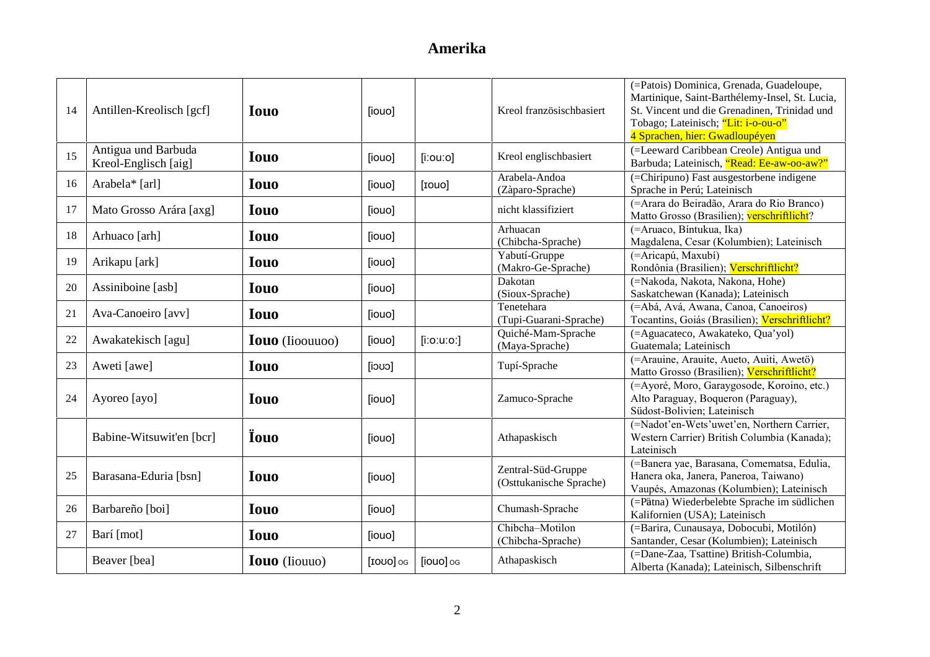| 14 | Antillen-Kreolisch [gcf]                    | <b>Iouo</b>            | [iouo]    |               | Kreol französischbasiert                      | (=Patois) Dominica, Grenada, Guadeloupe,<br>Martinique, Saint-Barthélemy-Insel, St. Lucia,<br>St. Vincent und die Grenadinen, Trinidad und<br>Tobago; Lateinisch; "Lit: i-o-ou-o"<br>4 Sprachen, hier: Gwadloupéyen |
|----|---------------------------------------------|------------------------|-----------|---------------|-----------------------------------------------|---------------------------------------------------------------------------------------------------------------------------------------------------------------------------------------------------------------------|
| 15 | Antigua und Barbuda<br>Kreol-Englisch [aig] | <b>Iouo</b>            | [iouo]    | $[$ i:ou:o]   | Kreol englischbasiert                         | (=Leeward Caribbean Creole) Antigua und<br>Barbuda; Lateinisch, "Read: Ee-aw-oo-aw?"                                                                                                                                |
| 16 | Arabela* [arl]                              | <b>Iouo</b>            | [iouo]    | [rouo]        | Arabela-Andoa<br>(Zàparo-Sprache)             | (=Chiripuno) Fast ausgestorbene indigene<br>Sprache in Perú; Lateinisch                                                                                                                                             |
| 17 | Mato Grosso Arára [axg]                     | <b>Iouo</b>            | [iouo]    |               | nicht klassifiziert                           | (=Arara do Beiradão, Arara do Rio Branco)<br>Matto Grosso (Brasilien); verschriftlicht?                                                                                                                             |
| 18 | Arhuaco [arh]                               | <b>Iouo</b>            | [iouo]    |               | Arhuacan<br>(Chibcha-Sprache)                 | (=Aruaco, Bíntukua, Ika)<br>Magdalena, Cesar (Kolumbien); Lateinisch                                                                                                                                                |
| 19 | Arikapu [ark]                               | <b>Iouo</b>            | [iouo]    |               | Yabutí-Gruppe<br>(Makro-Ge-Sprache)           | (=Aricapú, Maxubí)<br>Rondônia (Brasilien); Verschriftlicht?                                                                                                                                                        |
| 20 | Assiniboine [asb]                           | <b>Iouo</b>            | [iouo]    |               | Dakotan<br>(Sioux-Sprache)                    | (=Nakoda, Nakota, Nakona, Hohe)<br>Saskatchewan (Kanada); Lateinisch                                                                                                                                                |
| 21 | Ava-Canoeiro [avv]                          | <b>Iouo</b>            | [iouo]    |               | Tenetehara<br>(Tupi-Guarani-Sprache)          | (=Abá, Avá, Awana, Canoa, Canoeiros)<br>Tocantins, Goiás (Brasilien); Verschriftlicht?                                                                                                                              |
| 22 | Awakatekisch [agu]                          | <b>Iouo</b> (Iioouuoo) | [iouo]    | $[$ i:o:u:o:] | Quiché-Mam-Sprache<br>(Maya-Sprache)          | (=Aguacateco, Awakateko, Qua'yol)<br>Guatemala; Lateinisch                                                                                                                                                          |
| 23 | Aweti [awe]                                 | <b>Iouo</b>            | [1000]    |               | Tupí-Sprache                                  | (=Arauine, Arauite, Aueto, Auiti, Awetö)<br>Matto Grosso (Brasilien); Verschriftlicht?                                                                                                                              |
| 24 | Ayoreo [ayo]                                | <b>Iouo</b>            | [iouo]    |               | Zamuco-Sprache                                | (=Ayoré, Moro, Garaygosode, Koroino, etc.)<br>Alto Paraguay, Boqueron (Paraguay),<br>Südost-Bolivien; Lateinisch                                                                                                    |
|    | Babine-Witsuwit'en [bcr]                    | <b>Touo</b>            | [iouo]    |               | Athapaskisch                                  | (=Nadot'en-Wets'uwet'en, Northern Carrier,<br>Western Carrier) British Columbia (Kanada);<br>Lateinisch                                                                                                             |
| 25 | Barasana-Eduria [bsn]                       | <b>Iouo</b>            | [iouo]    |               | Zentral-Süd-Gruppe<br>(Osttukanische Sprache) | (=Banera yae, Barasana, Comematsa, Edulia,<br>Hanera oka, Janera, Paneroa, Taiwano)<br>Vaupés, Amazonas (Kolumbien); Lateinisch                                                                                     |
| 26 | Barbareño [boi]                             | <b>Iouo</b>            | [iouo]    |               | Chumash-Sprache                               | (=Patna) Wiederbelebte Sprache im südlichen<br>Kalifornien (USA); Lateinisch                                                                                                                                        |
| 27 | Barí [mot]                                  | <b>Iouo</b>            | [iouo]    |               | Chibcha-Motilon<br>(Chibcha-Sprache)          | (=Barira, Cunausaya, Dobocubi, Motilón)<br>Santander, Cesar (Kolumbien); Lateinisch                                                                                                                                 |
|    | Beaver [bea]                                | <b>Iouo</b> (Iiouuo)   | [IOUO] OG | [iouo] og     | Athapaskisch                                  | (=Dane-Zaa, Tsattine) British-Columbia,<br>Alberta (Kanada); Lateinisch, Silbenschrift                                                                                                                              |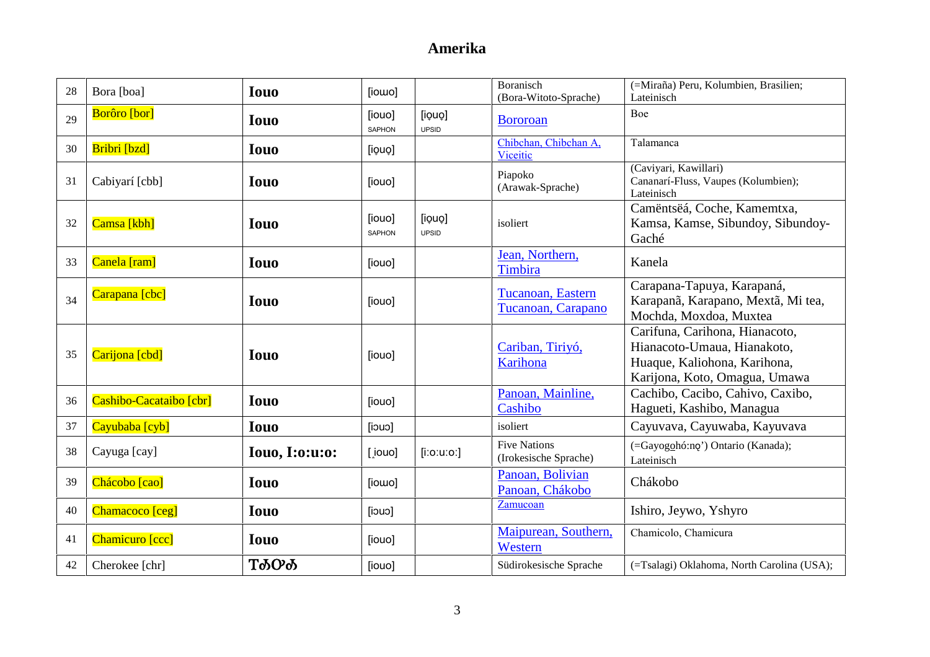| 28 | Bora [boa]              | <b>Iouo</b>           | [iowo]                  |                        | <b>Boranisch</b><br>(Bora-Witoto-Sprache)    | (=Miraña) Peru, Kolumbien, Brasilien;<br>Lateinisch                                                                            |
|----|-------------------------|-----------------------|-------------------------|------------------------|----------------------------------------------|--------------------------------------------------------------------------------------------------------------------------------|
| 29 | <b>Borôro</b> [bor]     | <b>Iouo</b>           | [iouo]<br><b>SAPHON</b> | [iouo]<br><b>UPSID</b> | <b>Bororoan</b>                              | Boe                                                                                                                            |
| 30 | Bribri [bzd]            | <b>Iouo</b>           | [iouo]                  |                        | Chibchan, Chibchan A,<br>Viceitic            | Talamanca                                                                                                                      |
| 31 | Cabiyarí [cbb]          | <b>Iouo</b>           | [iouo]                  |                        | Piapoko<br>(Arawak-Sprache)                  | (Caviyari, Kawillari)<br>Cananarí-Fluss, Vaupes (Kolumbien);<br>Lateinisch                                                     |
| 32 | Camsa [kbh]             | <b>Iouo</b>           | [iouo]<br><b>SAPHON</b> | [iouo]<br><b>UPSID</b> | isoliert                                     | Camëntsëá, Coche, Kamemtxa,<br>Kamsa, Kamse, Sibundoy, Sibundoy-<br>Gaché                                                      |
| 33 | Canela [ram]            | <b>Iouo</b>           | [iouo]                  |                        | Jean, Northern,<br>Timbira                   | Kanela                                                                                                                         |
| 34 | Carapana [cbc]          | <b>Iouo</b>           | [iouo]                  |                        | Tucanoan, Eastern<br>Tucanoan, Carapano      | Carapana-Tapuya, Karapaná,<br>Karapanã, Karapano, Mextã, Mi tea,<br>Mochda, Moxdoa, Muxtea                                     |
| 35 | Carijona [cbd]          | <b>Iouo</b>           | [iouo]                  |                        | Cariban, Tiriyó,<br>Karihona                 | Carifuna, Carihona, Hianacoto,<br>Hianacoto-Umaua, Hianakoto,<br>Huaque, Kaliohona, Karihona,<br>Karijona, Koto, Omagua, Umawa |
| 36 | Cashibo-Cacataibo [cbr] | <b>Iouo</b>           | [iouo]                  |                        | Panoan, Mainline,<br>Cashibo                 | Cachibo, Cacibo, Cahivo, Caxibo,<br>Hagueti, Kashibo, Managua                                                                  |
| 37 | Cayubaba [cyb]          | <b>Iouo</b>           | $[$ iouo                |                        | isoliert                                     | Cayuvava, Cayuwaba, Kayuvava                                                                                                   |
| 38 | Cayuga [cay]            | <b>Iouo, I:o:u:o:</b> | [iouo]                  | $[$ i:o:u:o:]          | <b>Five Nations</b><br>(Irokesische Sprache) | (=Gayogohó:no') Ontario (Kanada);<br>Lateinisch                                                                                |
| 39 | Chácobo [cao]           | <b>Iouo</b>           | [iowo]                  |                        | Panoan, Bolivian<br>Panoan, Chákobo          | Chákobo                                                                                                                        |
| 40 | Chamacoco [ceg]         | <b>Iouo</b>           | $[$ iouo]               |                        | Zamucoan                                     | Ishiro, Jeywo, Yshyro                                                                                                          |
| 41 | Chamicuro [ccc]         | <b>Iouo</b>           | [iouo]                  |                        | Maipurean, Southern,<br>Western              | Chamicolo, Chamicura                                                                                                           |
| 42 | Cherokee [chr]          | <b>Т</b> ФОФ          | [iouo]                  |                        | Südirokesische Sprache                       | (=Tsalagi) Oklahoma, North Carolina (USA);                                                                                     |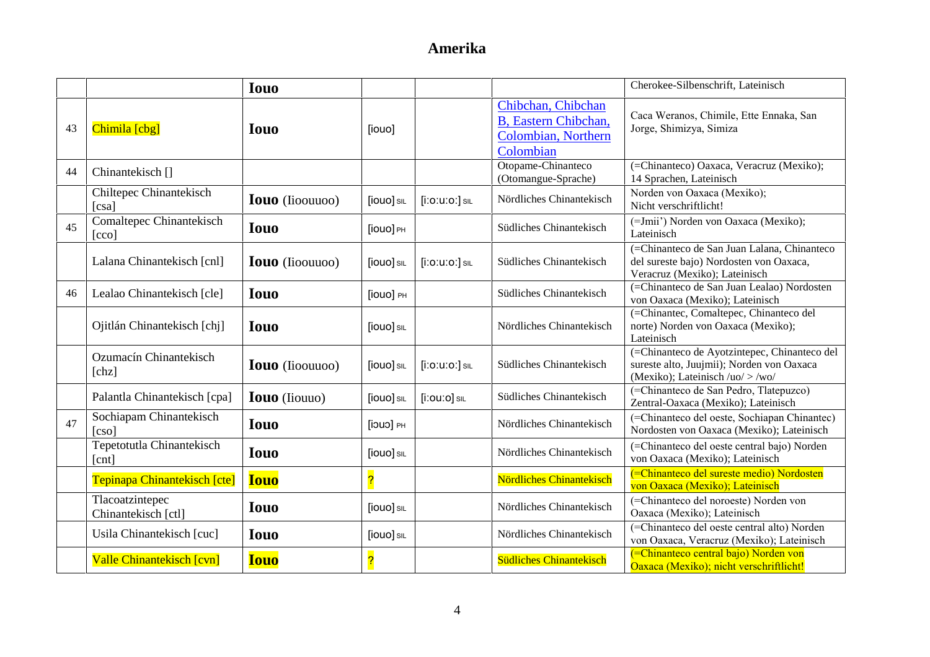|    |                                                     | <b>Iouo</b>            |            |                      |                                                                                        | Cherokee-Silbenschrift, Lateinisch                                                                                              |
|----|-----------------------------------------------------|------------------------|------------|----------------------|----------------------------------------------------------------------------------------|---------------------------------------------------------------------------------------------------------------------------------|
| 43 | Chimila [cbg]                                       | <b>Iouo</b>            | [iouo]     |                      | Chibchan, Chibchan<br><b>B</b> , Eastern Chibchan,<br>Colombian, Northern<br>Colombian | Caca Weranos, Chimile, Ette Ennaka, San<br>Jorge, Shimizya, Simiza                                                              |
| 44 | Chinantekisch <sup>[]</sup>                         |                        |            |                      | Otopame-Chinanteco<br>(Otomangue-Sprache)                                              | (=Chinanteco) Oaxaca, Veracruz (Mexiko);<br>14 Sprachen, Lateinisch                                                             |
|    | Chiltepec Chinantekisch<br>$\lceil \cs{csa} \rceil$ | <b>Iouo</b> (Iioouuoo) | [iouo] SIL | $[$ i:0:u:0: $]$ sil | Nördliches Chinantekisch                                                               | Norden von Oaxaca (Mexiko);<br>Nicht verschriftlicht!                                                                           |
| 45 | Comaltepec Chinantekisch<br>[cco]                   | <b>Iouo</b>            | [iouo] PH  |                      | Südliches Chinantekisch                                                                | (=Jmii') Norden von Oaxaca (Mexiko);<br>Lateinisch                                                                              |
|    | Lalana Chinantekisch [cnl]                          | <b>Iouo</b> (Iioouuoo) | [iouo] SIL | $[$ i:0:u:0: $]$ sil | Südliches Chinantekisch                                                                | (=Chinanteco de San Juan Lalana, Chinanteco<br>del sureste bajo) Nordosten von Oaxaca,<br>Veracruz (Mexiko); Lateinisch         |
| 46 | Lealao Chinantekisch [cle]                          | <b>Iouo</b>            | [iouo] PH  |                      | Südliches Chinantekisch                                                                | (=Chinanteco de San Juan Lealao) Nordosten<br>von Oaxaca (Mexiko); Lateinisch                                                   |
|    | Ojitlán Chinantekisch [chj]                         | <b>Iouo</b>            | [iouo] SIL |                      | Nördliches Chinantekisch                                                               | (=Chinantec, Comaltepec, Chinanteco del<br>norte) Norden von Oaxaca (Mexiko);<br>Lateinisch                                     |
|    | Ozumacín Chinantekisch<br>[chz]                     | <b>Iouo</b> (Iioouuoo) | [iouo] SIL | $[$ i:0:u:0: $]$ sil | Südliches Chinantekisch                                                                | (=Chinanteco de Ayotzintepec, Chinanteco del<br>sureste alto, Juujmii); Norden von Oaxaca<br>(Mexiko); Lateinisch /uo/ $>$ /wo/ |
|    | Palantla Chinantekisch [cpa]                        | <b>Iouo</b> (Iiouuo)   | [iouo] SIL | $[$ i:ou:o $]$ sil   | Südliches Chinantekisch                                                                | (=Chinanteco de San Pedro, Tlatepuzco)<br>Zentral-Oaxaca (Mexiko); Lateinisch                                                   |
| 47 | Sochiapam Chinantekisch<br>$\lceil \c{cso} \rceil$  | <b>Iouo</b>            | [jouo] PH  |                      | Nördliches Chinantekisch                                                               | (=Chinanteco del oeste, Sochiapan Chinantec)<br>Nordosten von Oaxaca (Mexiko); Lateinisch                                       |
|    | Tepetotutla Chinantekisch<br>[cnt]                  | <b>Iouo</b>            | [iouo] SIL |                      | Nördliches Chinantekisch                                                               | (=Chinanteco del oeste central bajo) Norden<br>von Oaxaca (Mexiko); Lateinisch                                                  |
|    | Tepinapa Chinantekisch [cte]                        | <b>Iouo</b>            |            |                      | Nördliches Chinantekisch                                                               | (=Chinanteco del sureste medio) Nordosten<br>von Oaxaca (Mexiko); Lateinisch                                                    |
|    | Tlacoatzintepec<br>Chinantekisch [ctl]              | <b>Iouo</b>            | [iouo] SIL |                      | Nördliches Chinantekisch                                                               | (=Chinanteco del noroeste) Norden von<br>Oaxaca (Mexiko); Lateinisch                                                            |
|    | Usila Chinantekisch [cuc]                           | <b>Iouo</b>            | [iouo] SIL |                      | Nördliches Chinantekisch                                                               | (=Chinanteco del oeste central alto) Norden<br>von Oaxaca, Veracruz (Mexiko); Lateinisch                                        |
|    | Valle Chinantekisch [cvn]                           | <b>Iouo</b>            |            |                      | <b>Südliches Chinantekisch</b>                                                         | (=Chinanteco central bajo) Norden von<br>Oaxaca (Mexiko); nicht verschriftlicht!                                                |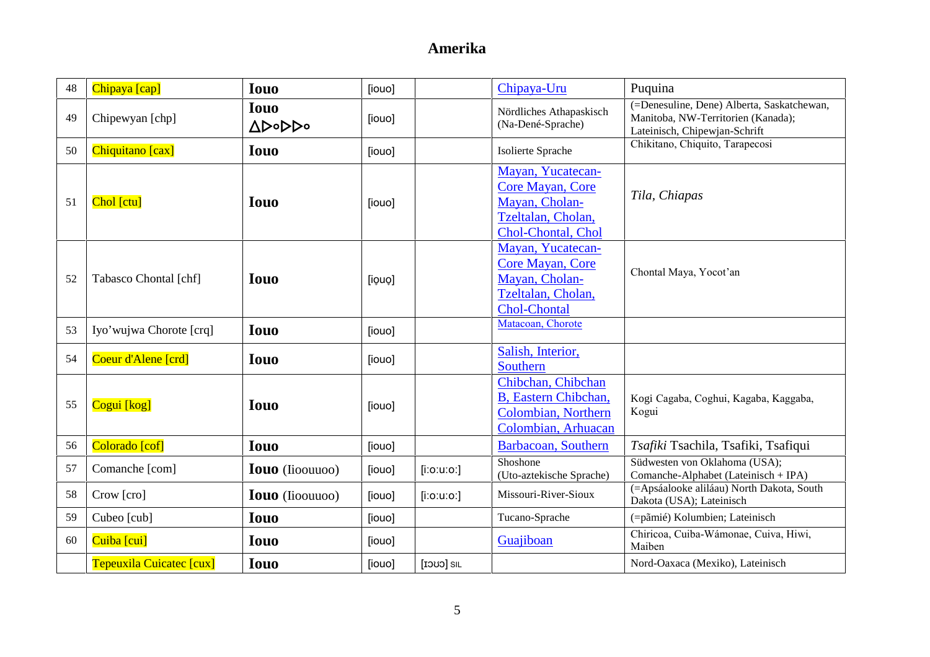| 48 | Chipaya [cap]            | <b>Iouo</b>            | [iouo] |                 | Chipaya-Uru                                                                                                 | Puquina                                                                                                           |
|----|--------------------------|------------------------|--------|-----------------|-------------------------------------------------------------------------------------------------------------|-------------------------------------------------------------------------------------------------------------------|
| 49 | Chipewyan [chp]          | <b>Iouo</b><br>Δ⊳∘⊳⊳∘  | [iouo] |                 | Nördliches Athapaskisch<br>(Na-Dené-Sprache)                                                                | (=Denesuline, Dene) Alberta, Saskatchewan,<br>Manitoba, NW-Territorien (Kanada);<br>Lateinisch, Chipewjan-Schrift |
| 50 | Chiquitano [cax]         | <b>Iouo</b>            | [iouo] |                 | Isolierte Sprache                                                                                           | Chikitano, Chiquito, Tarapecosi                                                                                   |
| 51 | Chol [ctu]               | <b>Iouo</b>            | [iouo] |                 | Mayan, Yucatecan-<br><b>Core Mayan, Core</b><br>Mayan, Cholan-<br>Tzeltalan, Cholan,<br>Chol-Chontal, Chol  | Tila, Chiapas                                                                                                     |
| 52 | Tabasco Chontal [chf]    | <b>Iouo</b>            | [iouo] |                 | Mayan, Yucatecan-<br><b>Core Mayan, Core</b><br>Mayan, Cholan-<br>Tzeltalan, Cholan,<br><b>Chol-Chontal</b> | Chontal Maya, Yocot'an                                                                                            |
| 53 | Iyo'wujwa Chorote [crq]  | <b>Iouo</b>            | [iouo] |                 | Matacoan, Chorote                                                                                           |                                                                                                                   |
| 54 | Coeur d'Alene [crd]      | <b>Iouo</b>            | [iouo] |                 | Salish, Interior,<br>Southern                                                                               |                                                                                                                   |
| 55 | Cogui [kog]              | <b>Iouo</b>            | [iouo] |                 | Chibchan, Chibchan<br>B, Eastern Chibchan,<br>Colombian, Northern<br>Colombian, Arhuacan                    | Kogi Cagaba, Coghui, Kagaba, Kaggaba,<br>Kogui                                                                    |
| 56 | Colorado [cof]           | <b>Iouo</b>            | [iouo] |                 | Barbacoan, Southern                                                                                         | Tsafiki Tsachila, Tsafiki, Tsafiqui                                                                               |
| 57 | Comanche [com]           | <b>Iouo</b> (Iioouuoo) | [iouo] | $[$ i:o:u:o:]   | Shoshone<br>(Uto-aztekische Sprache)                                                                        | Südwesten von Oklahoma (USA);<br>Comanche-Alphabet (Lateinisch + IPA)                                             |
| 58 | Crow [cro]               | <b>Iouo</b> (Iioouuoo) | [iouo] | $[$ i:o:u:o:]   | Missouri-River-Sioux                                                                                        | (=Apsáalooke aliláau) North Dakota, South<br>Dakota (USA); Lateinisch                                             |
| 59 | Cubeo [cub]              | <b>Iouo</b>            | [iouo] |                 | Tucano-Sprache                                                                                              | (=pãmié) Kolumbien; Lateinisch                                                                                    |
| 60 | Cuiba [cui]              | <b>Iouo</b>            | [iouo] |                 | Guajiboan                                                                                                   | Chiricoa, Cuiba-Wámonae, Cuiva, Hiwi,<br>Maiben                                                                   |
|    | Tepeuxila Cuicatec [cux] | <b>Iouo</b>            | [iouo] | <b>III</b> CUCI |                                                                                                             | Nord-Oaxaca (Mexiko), Lateinisch                                                                                  |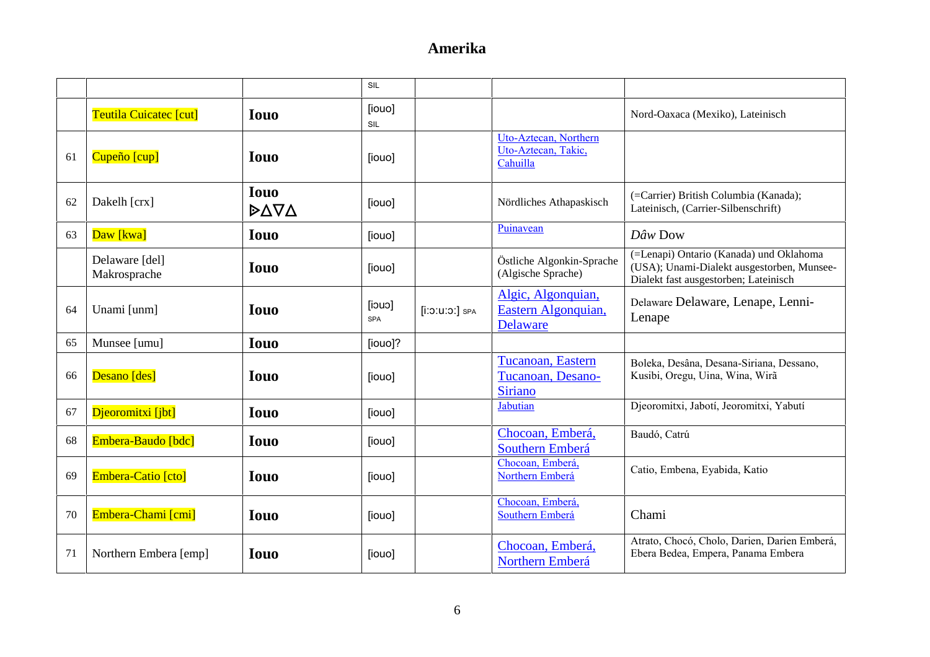|    |                                |                     | SIL                     |                  |                                                              |                                                                                                                                |
|----|--------------------------------|---------------------|-------------------------|------------------|--------------------------------------------------------------|--------------------------------------------------------------------------------------------------------------------------------|
|    | Teutila Cuicatec [cut]         | <b>Iouo</b>         | [iouo]<br>SIL           |                  |                                                              | Nord-Oaxaca (Mexiko), Lateinisch                                                                                               |
| 61 | Cupeño [cup]                   | <b>Iouo</b>         | [iouo]                  |                  | Uto-Aztecan, Northern<br>Uto-Aztecan, Takic,<br>Cahuilla     |                                                                                                                                |
| 62 | Dakelh [crx]                   | <b>Iouo</b><br>DΔVΔ | [iouo]                  |                  | Nördliches Athapaskisch                                      | (=Carrier) British Columbia (Kanada);<br>Lateinisch, (Carrier-Silbenschrift)                                                   |
| 63 | Daw [kwa]                      | <b>Iouo</b>         | [iouo]                  |                  | Puinavean                                                    | Dâw Dow                                                                                                                        |
|    | Delaware [del]<br>Makrosprache | <b>Iouo</b>         | [iouo]                  |                  | Östliche Algonkin-Sprache<br>(Algische Sprache)              | (=Lenapi) Ontario (Kanada) und Oklahoma<br>(USA); Unami-Dialekt ausgestorben, Munsee-<br>Dialekt fast ausgestorben; Lateinisch |
| 64 | Unami [unm]                    | <b>Iouo</b>         | $[$ iouo]<br><b>SPA</b> | $[i:0:U:0:]$ SPA | Algic, Algonquian,<br>Eastern Algonquian,<br><b>Delaware</b> | Delaware Delaware, Lenape, Lenni-<br>Lenape                                                                                    |
| 65 | Munsee [umu]                   | <b>Iouo</b>         | [iouo]?                 |                  |                                                              |                                                                                                                                |
| 66 | Desano [des]                   | <b>Iouo</b>         | [iouo]                  |                  | Tucanoan, Eastern<br>Tucanoan, Desano-<br><b>Siriano</b>     | Boleka, Desâna, Desana-Siriana, Dessano,<br>Kusibi, Oregu, Uina, Wina, Wirã                                                    |
| 67 | Djeoromitxi [jbt]              | <b>Iouo</b>         | [iouo]                  |                  | Jabutian                                                     | Djeoromitxi, Jabotí, Jeoromitxi, Yabutí                                                                                        |
| 68 | Embera-Baudo [bdc]             | <b>Iouo</b>         | [iouo]                  |                  | Chocoan, Emberá,<br>Southern Emberá                          | Baudó, Catrú                                                                                                                   |
| 69 | Embera-Catio [cto]             | <b>Iouo</b>         | [iouo]                  |                  | Chocoan, Emberá,<br>Northern Emberá                          | Catio, Embena, Eyabida, Katio                                                                                                  |
| 70 | Embera-Chami [cmi]             | <b>Iouo</b>         | [iouo]                  |                  | Chocoan, Emberá,<br>Southern Emberá                          | Chami                                                                                                                          |
| 71 | Northern Embera [emp]          | <b>Iouo</b>         | [iouo]                  |                  | Chocoan, Emberá,<br>Northern Emberá                          | Atrato, Chocó, Cholo, Darien, Darien Emberá,<br>Ebera Bedea, Empera, Panama Embera                                             |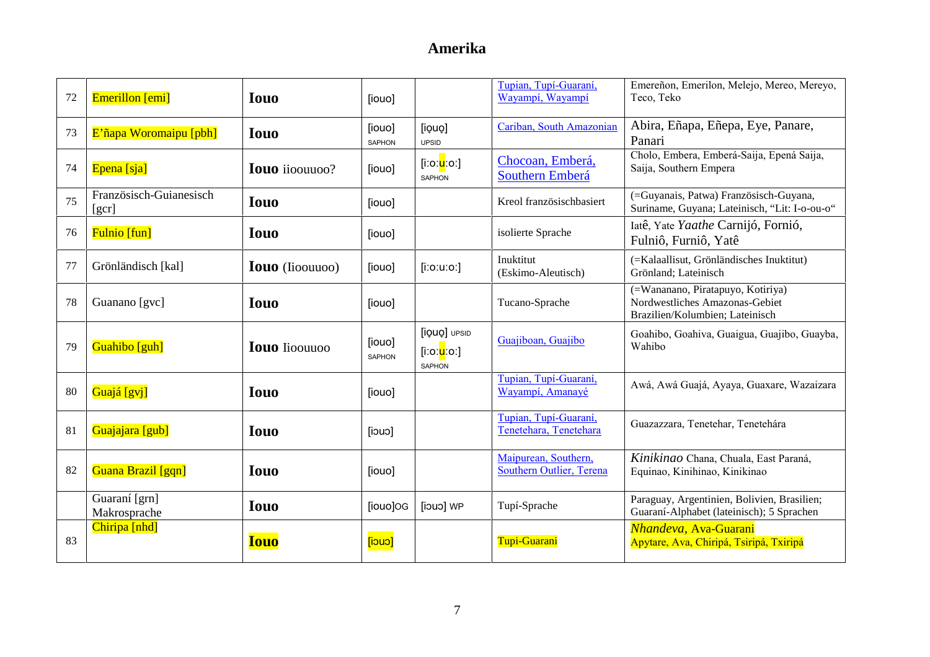| 72 | Emerillon [emi]                           | <b>Iouo</b>            | [iouo]           |                                                            | Tupian, Tupí-Guaraní,<br>Wayampi, Wayampi        | Emereñon, Emerilon, Melejo, Mereo, Mereyo,<br>Teco, Teko                                               |
|----|-------------------------------------------|------------------------|------------------|------------------------------------------------------------|--------------------------------------------------|--------------------------------------------------------------------------------------------------------|
| 73 | E'ñapa Woromaipu [pbh]                    | <b>Iouo</b>            | [iouo]<br>SAPHON | [iouo]<br><b>UPSID</b>                                     | Cariban, South Amazonian                         | Abira, Eñapa, Eñepa, Eye, Panare,<br>Panari                                                            |
| 74 | Epena [sja]                               | <b>Iouo</b> ijoouuoo?  | [iouo]           | [iːoː <mark>u</mark> ːoː]<br><b>SAPHON</b>                 | Chocoan, Emberá,<br>Southern Emberá              | Cholo, Embera, Emberá-Saija, Epená Saija,<br>Saija, Southern Empera                                    |
| 75 | Französisch-Guianesisch<br>[ <i>gcr</i> ] | <b>Iouo</b>            | [iouo]           |                                                            | Kreol französischbasiert                         | (=Guyanais, Patwa) Französisch-Guyana,<br>Suriname, Guyana; Lateinisch, "Lit: I-o-ou-o"                |
| 76 | <b>Fulnio</b> [fun]                       | <b>Iouo</b>            | [iouo]           |                                                            | isolierte Sprache                                | Iatê, Yate Yaathe Carnijó, Fornió,<br>Fulniô, Furniô, Yatê                                             |
| 77 | Grönländisch [kal]                        | <b>Iouo</b> (Iioouuoo) | [iouo]           | $[$ i:o:u:o:]                                              | Inuktitut<br>(Eskimo-Aleutisch)                  | (=Kalaallisut, Grönländisches Inuktitut)<br>Grönland; Lateinisch                                       |
| 78 | Guanano [gvc]                             | <b>Iouo</b>            | [iouo]           |                                                            | Tucano-Sprache                                   | (=Wananano, Piratapuyo, Kotiriya)<br>Nordwestliches Amazonas-Gebiet<br>Brazilien/Kolumbien; Lateinisch |
| 79 | Guahibo [guh]                             | <b>Iouo</b> Iioouuoo   | [iouo]<br>SAPHON | [iQUQ] UPSID<br>[iːoː <mark>u</mark> ːoː]<br><b>SAPHON</b> | Guajiboan, Guajibo                               | Goahibo, Goahiva, Guaigua, Guajibo, Guayba,<br>Wahibo                                                  |
| 80 | Guajá [gvj]                               | <b>Iouo</b>            | [iouo]           |                                                            | Tupian, Tupí-Guaraní,<br>Wayampí, Amanayé        | Awá, Awá Guajá, Ayaya, Guaxare, Wazaizara                                                              |
| 81 | Guajajara [gub]                           | <b>Iouo</b>            | [iouo]           |                                                            | Tupian, Tupí-Guaraní,<br>Tenetehara, Tenetehara  | Guazazzara, Tenetehar, Tenetehára                                                                      |
| 82 | Guana Brazil [gqn]                        | <b>Iouo</b>            | [iouo]           |                                                            | Maipurean, Southern,<br>Southern Outlier, Terena | Kinikinao Chana, Chuala, East Paraná,<br>Equinao, Kinihinao, Kinikinao                                 |
|    | Guaraní [grn]<br>Makrosprache             | <b>Iouo</b>            | [iouo]OG         | <b>Tiouol</b> WP                                           | Tupí-Sprache                                     | Paraguay, Argentinien, Bolivien, Brasilien;<br>Guaraní-Alphabet (lateinisch); 5 Sprachen               |
| 83 | Chiripa [nhd]                             | <b>Iouo</b>            | $[$ iouo]        |                                                            | Tupi-Guarani                                     | Nhandeva, Ava-Guarani<br>Apytare, Ava, Chiripá, Tsiripá, Txiripá                                       |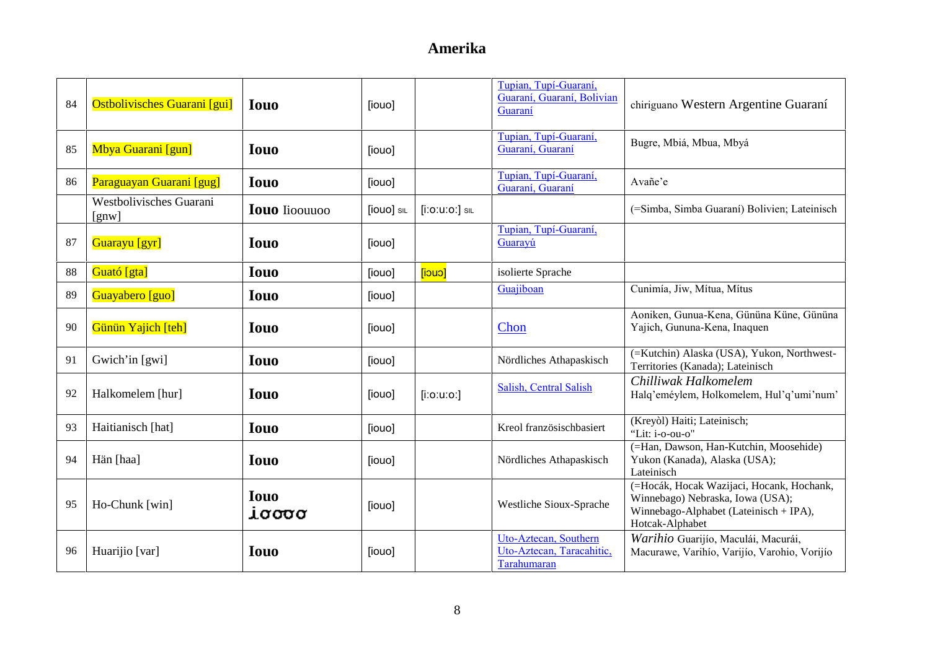| 84 | <b>Ostbolivisches Guarani</b> [gui] | <b>Iouo</b>          | [iouo]     |                      | Tupian, Tupí-Guaraní,<br>Guaraní, Guaraní, Bolivian<br>Guaraní    | chiriguano Western Argentine Guaraní                                                                                                       |
|----|-------------------------------------|----------------------|------------|----------------------|-------------------------------------------------------------------|--------------------------------------------------------------------------------------------------------------------------------------------|
| 85 | Mbya Guarani [gun]                  | <b>Iouo</b>          | [iouo]     |                      | Tupian, Tupí-Guaraní,<br>Guaraní, Guaraní                         | Bugre, Mbiá, Mbua, Mbyá                                                                                                                    |
| 86 | Paraguayan Guarani [gug]            | <b>Iouo</b>          | [iouo]     |                      | Tupian, Tupí-Guaraní,<br>Guaraní, Guaraní                         | Avañe'e                                                                                                                                    |
|    | Westbolivisches Guarani<br>[gnw]    | <b>Iouo</b> Iioouuoo | [iouo] SIL | $[$ i:0:u:0: $]$ sil |                                                                   | (=Simba, Simba Guaraní) Bolivien; Lateinisch                                                                                               |
| 87 | Guarayu [gyr]                       | <b>Iouo</b>          | [iouo]     |                      | Tupian, Tupí-Guaraní,<br>Guarayú                                  |                                                                                                                                            |
| 88 | Guató [gta]                         | <b>Iouo</b>          | [iouo]     | [iouo]               | isolierte Sprache                                                 |                                                                                                                                            |
| 89 | Guayabero [guo]                     | <b>Iouo</b>          | [iouo]     |                      | Guajiboan                                                         | Cunimía, Jiw, Mítua, Mítus                                                                                                                 |
| 90 | Günün Yajich [teh]                  | <b>Iouo</b>          | [iouo]     |                      | Chon                                                              | Aoniken, Gunua-Kena, Gününa Küne, Gününa<br>Yajich, Gununa-Kena, Inaquen                                                                   |
| 91 | Gwich'in [gwi]                      | <b>Iouo</b>          | [iouo]     |                      | Nördliches Athapaskisch                                           | (=Kutchin) Alaska (USA), Yukon, Northwest-<br>Territories (Kanada); Lateinisch                                                             |
| 92 | Halkomelem [hur]                    | <b>Iouo</b>          | [iouo]     | $[$ i:o:u:o:]        | Salish, Central Salish                                            | Chilliwak Halkomelem<br>Halq'eméylem, Holkomelem, Hul'q'umi'num'                                                                           |
| 93 | Haitianisch [hat]                   | <b>Iouo</b>          | [iouo]     |                      | Kreol französischbasiert                                          | (Kreyol) Haiti; Lateinisch;<br>"Lit: i-o-ou-o"                                                                                             |
| 94 | Hän [haa]                           | <b>Iouo</b>          | [iouo]     |                      | Nördliches Athapaskisch                                           | (=Han, Dawson, Han-Kutchin, Moosehide)<br>Yukon (Kanada), Alaska (USA);<br>Lateinisch                                                      |
| 95 | Ho-Chunk [win]                      | <b>Iouo</b><br>iσσσσ | [iouo]     |                      | Westliche Sioux-Sprache                                           | (=Hocák, Hocak Wazijaci, Hocank, Hochank,<br>Winnebago) Nebraska, Iowa (USA);<br>Winnebago-Alphabet (Lateinisch + IPA),<br>Hotcak-Alphabet |
| 96 | Huarijio [var]                      | <b>Iouo</b>          | [iouo]     |                      | Uto-Aztecan, Southern<br>Uto-Aztecan, Taracahitic,<br>Tarahumaran | Warihio Guarijío, Maculái, Macurái,<br>Macurawe, Varihio, Varijio, Varohio, Vorijio                                                        |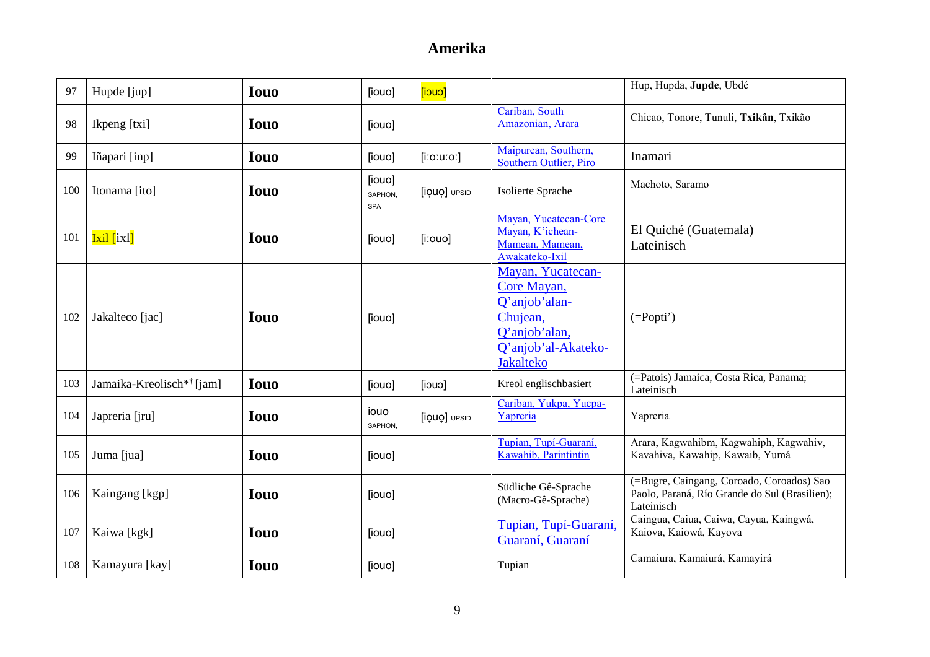| 97  | Hupde [jup]                           | <b>Iouo</b> | [iouo]                   | $[$ cuci $]$  |                                                                                                                           | Hup, Hupda, Jupde, Ubdé                                                                                  |
|-----|---------------------------------------|-------------|--------------------------|---------------|---------------------------------------------------------------------------------------------------------------------------|----------------------------------------------------------------------------------------------------------|
| 98  | Ikpeng [txi]                          | <b>Iouo</b> | [iouo]                   |               | Cariban, South<br>Amazonian, Arara                                                                                        | Chicao, Tonore, Tunuli, Txikân, Txikão                                                                   |
| 99  | Iñapari [inp]                         | <b>Iouo</b> | [iouo]                   | $[$ i:o:u:o:] | Maipurean, Southern,<br>Southern Outlier, Piro                                                                            | Inamari                                                                                                  |
| 100 | Itonama [ito]                         | <b>Iouo</b> | [iouo]<br>SAPHON.<br>SPA | [iQUQ] UPSID  | Isolierte Sprache                                                                                                         | Machoto, Saramo                                                                                          |
| 101 | <b>Ixil</b> [ixl]                     | <b>Iouo</b> | [iouo]                   | $[$ i:ouo]    | Mayan, Yucatecan-Core<br>Mayan, K'ichean-<br>Mamean, Mamean,<br>Awakateko-Ixil                                            | El Quiché (Guatemala)<br>Lateinisch                                                                      |
| 102 | Jakalteco [jac]                       | <b>Iouo</b> | [iouo]                   |               | Mayan, Yucatecan-<br>Core Mayan,<br>Q'anjob'alan-<br>Chujean,<br>Q'anjob'alan,<br>Q'anjob'al-Akateko-<br><b>Jakalteko</b> | $(=Popti')$                                                                                              |
| 103 | Jamaika-Kreolisch <sup>*†</sup> [jam] | <b>Iouo</b> | [iouo]                   | $[$ iouo      | Kreol englischbasiert                                                                                                     | (=Patois) Jamaica, Costa Rica, Panama;<br>Lateinisch                                                     |
| 104 | Japreria [jru]                        | <b>Iouo</b> | iouo<br>SAPHON,          | [iQUQ] UPSID  | Cariban, Yukpa, Yucpa-<br>Yapreria                                                                                        | Yapreria                                                                                                 |
| 105 | Juma [jua]                            | <b>Iouo</b> | [iouo]                   |               | Tupian, Tupí-Guaraní,<br>Kawahib, Parintintin                                                                             | Arara, Kagwahibm, Kagwahiph, Kagwahiv,<br>Kavahiva, Kawahip, Kawaib, Yumá                                |
| 106 | Kaingang [kgp]                        | <b>Iouo</b> | [iouo]                   |               | Südliche Gê-Sprache<br>(Macro-Gê-Sprache)                                                                                 | (=Bugre, Caingang, Coroado, Coroados) Sao<br>Paolo, Paraná, Río Grande do Sul (Brasilien);<br>Lateinisch |
| 107 | Kaiwa [kgk]                           | <b>Iouo</b> | [iouo]                   |               | Tupian, Tupí-Guaraní,<br>Guaraní, Guaraní                                                                                 | Caingua, Caiua, Caiwa, Cayua, Kaingwá,<br>Kaiova, Kaiowá, Kayova                                         |
| 108 | Kamayura [kay]                        | <b>Iouo</b> | [iouo]                   |               | Tupian                                                                                                                    | Camaiura, Kamaiurá, Kamayirá                                                                             |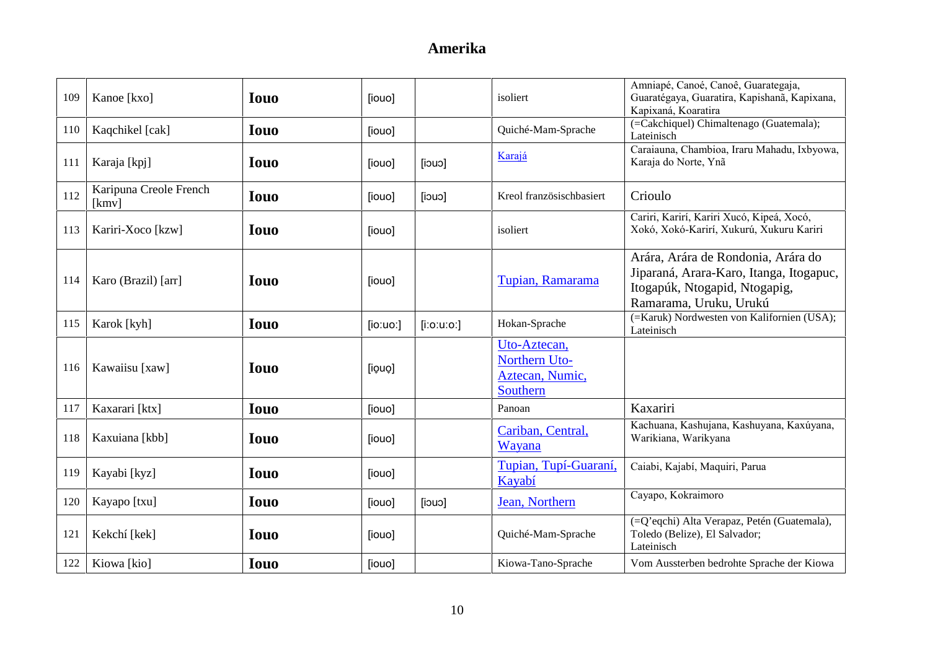| 109 | Kanoe [kxo]                     | <b>Iouo</b> | [iouo]   |               | isoliert                                                     | Amniapé, Canoé, Canoê, Guarategaja,<br>Guaratégaya, Guaratira, Kapishanã, Kapixana,<br>Kapixaná, Koaratira                               |
|-----|---------------------------------|-------------|----------|---------------|--------------------------------------------------------------|------------------------------------------------------------------------------------------------------------------------------------------|
| 110 | Kaqchikel [cak]                 | <b>Iouo</b> | [iouo]   |               | Quiché-Mam-Sprache                                           | (=Cakchiquel) Chimaltenago (Guatemala);<br>Lateinisch                                                                                    |
| 111 | Karaja [kpj]                    | <b>Iouo</b> | [iouo]   | $[$ iouo      | Karajá                                                       | Caraiauna, Chambioa, Iraru Mahadu, Ixbyowa,<br>Karaja do Norte, Ynã                                                                      |
| 112 | Karipuna Creole French<br>[kmv] | <b>Iouo</b> | [iouo]   | [iouo]        | Kreol französischbasiert                                     | Crioulo                                                                                                                                  |
| 113 | Kariri-Xoco [kzw]               | <b>Iouo</b> | [iouo]   |               | isoliert                                                     | Cariri, Karirí, Kariri Xucó, Kipeá, Xocó,<br>Xokó, Xokó-Karirí, Xukurú, Xukuru Kariri                                                    |
| 114 | Karo (Brazil) [arr]             | <b>Iouo</b> | [iouo]   |               | Tupian, Ramarama                                             | Arára, Arára de Rondonia, Arára do<br>Jiparaná, Arara-Karo, Itanga, Itogapuc,<br>Itogapúk, Ntogapid, Ntogapig,<br>Ramarama, Uruku, Urukú |
| 115 | Karok [kyh]                     | <b>Iouo</b> | [io:uo.] | $[$ i:o:u:o:] | Hokan-Sprache                                                | (=Karuk) Nordwesten von Kalifornien (USA);<br>Lateinisch                                                                                 |
| 116 | Kawaiisu [xaw]                  | <b>Iouo</b> | [iouo]   |               | Uto-Aztecan,<br>Northern Uto-<br>Aztecan, Numic,<br>Southern |                                                                                                                                          |
| 117 | Kaxarari [ktx]                  | <b>Iouo</b> | [iouo]   |               | Panoan                                                       | Kaxariri                                                                                                                                 |
| 118 | Kaxuiana [kbb]                  | <b>Iouo</b> | [iouo]   |               | Cariban, Central,<br>Wayana                                  | Kachuana, Kashujana, Kashuyana, Kaxúyana,<br>Warikiana, Warikyana                                                                        |
| 119 | Kayabi [kyz]                    | <b>Iouo</b> | [iouo]   |               | Tupian, Tupí-Guaraní.<br>Kayabí                              | Caiabi, Kajabí, Maquiri, Parua                                                                                                           |
| 120 | Kayapo [txu]                    | <b>Iouo</b> | [iouo]   | [iouo]        | Jean, Northern                                               | Cayapo, Kokraimoro                                                                                                                       |
| 121 | Kekchí [kek]                    | <b>Iouo</b> | [iouo]   |               | Quiché-Mam-Sprache                                           | (=Q'eqchi) Alta Verapaz, Petén (Guatemala),<br>Toledo (Belize), El Salvador;<br>Lateinisch                                               |
| 122 | Kiowa [kio]                     | <b>Iouo</b> | [iouo]   |               | Kiowa-Tano-Sprache                                           | Vom Aussterben bedrohte Sprache der Kiowa                                                                                                |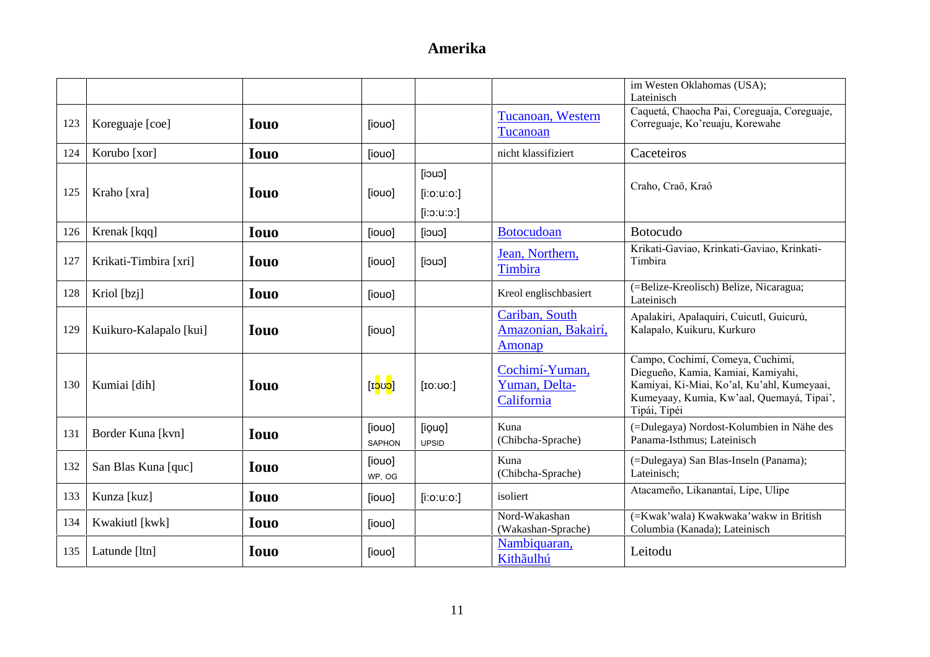|     |                        |             |                         |                         |                                                 | im Westen Oklahomas (USA);<br>Lateinisch                                                                                                                                          |
|-----|------------------------|-------------|-------------------------|-------------------------|-------------------------------------------------|-----------------------------------------------------------------------------------------------------------------------------------------------------------------------------------|
| 123 | Koreguaje [coe]        | <b>Iouo</b> | [iouo]                  |                         | Tucanoan, Western<br>Tucanoan                   | Caquetá, Chaocha Pai, Coreguaja, Coreguaje,<br>Correguaje, Ko'reuaju, Korewahe                                                                                                    |
| 124 | Korubo [xor]           | <b>Iouo</b> | [iouo]                  |                         | nicht klassifiziert                             | Caceteiros                                                                                                                                                                        |
| 125 | Kraho [xra]            | <b>Iouo</b> | [iouo]                  | [iouo]<br>$[$ i:o:u:o:] |                                                 | Craho, Craô, Kraô                                                                                                                                                                 |
|     |                        |             |                         | $[$ ic:u:o:]            |                                                 |                                                                                                                                                                                   |
| 126 | Krenak [kqq]           | <b>Iouo</b> | [iouo]                  | [iouo]                  | <b>Botocudoan</b>                               | <b>Botocudo</b>                                                                                                                                                                   |
| 127 | Krikati-Timbira [xri]  | <b>Iouo</b> | [iouo]                  | [iouo]                  | Jean, Northern,<br>Timbira                      | Krikati-Gaviao, Krinkati-Gaviao, Krinkati-<br>Timbira                                                                                                                             |
| 128 | Kriol [bzj]            | <b>Iouo</b> | [iouo]                  |                         | Kreol englischbasiert                           | (=Belize-Kreolisch) Belize, Nicaragua;<br>Lateinisch                                                                                                                              |
| 129 | Kuikuro-Kalapalo [kui] | <b>Iouo</b> | [iouo]                  |                         | Cariban, South<br>Amazonian, Bakairí,<br>Amonap | Apalakiri, Apalaquiri, Cuicutl, Guicurú,<br>Kalapalo, Kuikuru, Kurkuro                                                                                                            |
| 130 | Kumiai [dih]           | <b>Iouo</b> | [I <mark>၁ပ၁</mark> ]   | [IO:OO.]                | Cochimí-Yuman,<br>Yuman, Delta-<br>California   | Campo, Cochimí, Comeya, Cuchimí,<br>Diegueño, Kamia, Kamiai, Kamiyahi,<br>Kamiyai, Ki-Miai, Ko'al, Ku'ahl, Kumeyaai,<br>Kumeyaay, Kumia, Kw'aal, Quemayá, Tipai',<br>Tipái, Tipéi |
| 131 | Border Kuna [kvn]      | <b>Iouo</b> | [iouo]<br><b>SAPHON</b> | [iouo]<br><b>UPSID</b>  | Kuna<br>(Chibcha-Sprache)                       | (=Dulegaya) Nordost-Kolumbien in Nähe des<br>Panama-Isthmus; Lateinisch                                                                                                           |
| 132 | San Blas Kuna [quc]    | <b>Iouo</b> | [iouo]<br>WP, OG        |                         | Kuna<br>(Chibcha-Sprache)                       | (=Dulegaya) San Blas-Inseln (Panama);<br>Lateinisch;                                                                                                                              |
| 133 | Kunza [kuz]            | <b>Iouo</b> | [iouo]                  | $[$ i:o:u:o:]           | isoliert                                        | Atacameño, Likanantaí, Lipe, Ulipe                                                                                                                                                |
| 134 | Kwakiutl [kwk]         | <b>Iouo</b> | [iouo]                  |                         | Nord-Wakashan<br>(Wakashan-Sprache)             | (=Kwak'wala) Kwakwaka'wakw in British<br>Columbia (Kanada); Lateinisch                                                                                                            |
| 135 | Latunde [ltn]          | <b>Iouo</b> | [iouo]                  |                         | Nambiquaran,<br>Kithãulhú                       | Leitodu                                                                                                                                                                           |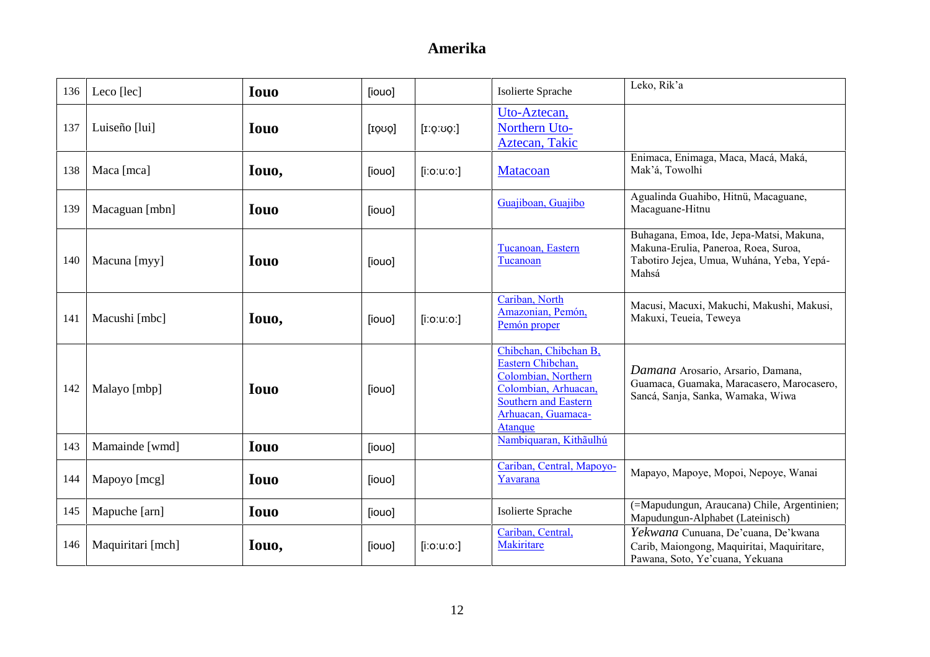| 136 | Leco [lec]        | <b>Iouo</b> | [iouo] |                  | Isolierte Sprache                                                                                                                                         | Leko, Rik'a                                                                                                                            |
|-----|-------------------|-------------|--------|------------------|-----------------------------------------------------------------------------------------------------------------------------------------------------------|----------------------------------------------------------------------------------------------------------------------------------------|
| 137 | Luiseño [lui]     | <b>Iouo</b> | [IOUQ] | [1.0:00]         | Uto-Aztecan,<br>Northern Uto-<br>Aztecan, Takic                                                                                                           |                                                                                                                                        |
| 138 | Maca [mca]        | Iouo,       | [iouo] | $[$ i:o:u:o: $]$ | Matacoan                                                                                                                                                  | Enimaca, Enimaga, Maca, Macá, Maká,<br>Mak'á, Towolhi                                                                                  |
| 139 | Macaguan [mbn]    | <b>Iouo</b> | [iouo] |                  | Guajiboan, Guajibo                                                                                                                                        | Agualinda Guahibo, Hitnü, Macaguane,<br>Macaguane-Hitnu                                                                                |
| 140 | Macuna [myy]      | <b>Iouo</b> | [iouo] |                  | Tucanoan, Eastern<br>Tucanoan                                                                                                                             | Buhagana, Emoa, Ide, Jepa-Matsi, Makuna,<br>Makuna-Erulia, Paneroa, Roea, Suroa,<br>Tabotiro Jejea, Umua, Wuhána, Yeba, Yepá-<br>Mahsá |
| 141 | Macushi [mbc]     | Iouo,       | [iouo] | $[$ i:o:u:o:]    | Cariban, North<br>Amazonian, Pemón,<br>Pemón proper                                                                                                       | Macusi, Macuxi, Makuchi, Makushi, Makusi,<br>Makuxi, Teueia, Teweya                                                                    |
| 142 | Malayo [mbp]      | <b>Iouo</b> | [iouo] |                  | Chibchan, Chibchan B,<br>Eastern Chibchan,<br>Colombian, Northern<br>Colombian, Arhuacan,<br><b>Southern and Eastern</b><br>Arhuacan, Guamaca-<br>Atanque | Damana Arosario, Arsario, Damana,<br>Guamaca, Guamaka, Maracasero, Marocasero,<br>Sancá, Sanja, Sanka, Wamaka, Wiwa                    |
| 143 | Mamainde [wmd]    | <b>Iouo</b> | [iouo] |                  | Nambiquaran, Kithãulhú                                                                                                                                    |                                                                                                                                        |
| 144 | Mapoyo [mcg]      | <b>Iouo</b> | [iouo] |                  | Cariban, Central, Mapoyo-<br>Yavarana                                                                                                                     | Mapayo, Mapoye, Mopoi, Nepoye, Wanai                                                                                                   |
| 145 | Mapuche [arn]     | <b>Iouo</b> | [iouo] |                  | Isolierte Sprache                                                                                                                                         | (=Mapudungun, Araucana) Chile, Argentinien;<br>Mapudungun-Alphabet (Lateinisch)                                                        |
| 146 | Maquiritari [mch] | Iouo,       | [iouo] | $[$ i:o:u:o:]    | Cariban, Central,<br><b>Makiritare</b>                                                                                                                    | Yekwana Cunuana, De'cuana, De'kwana<br>Carib, Maiongong, Maquiritai, Maquiritare,<br>Pawana, Soto, Ye'cuana, Yekuana                   |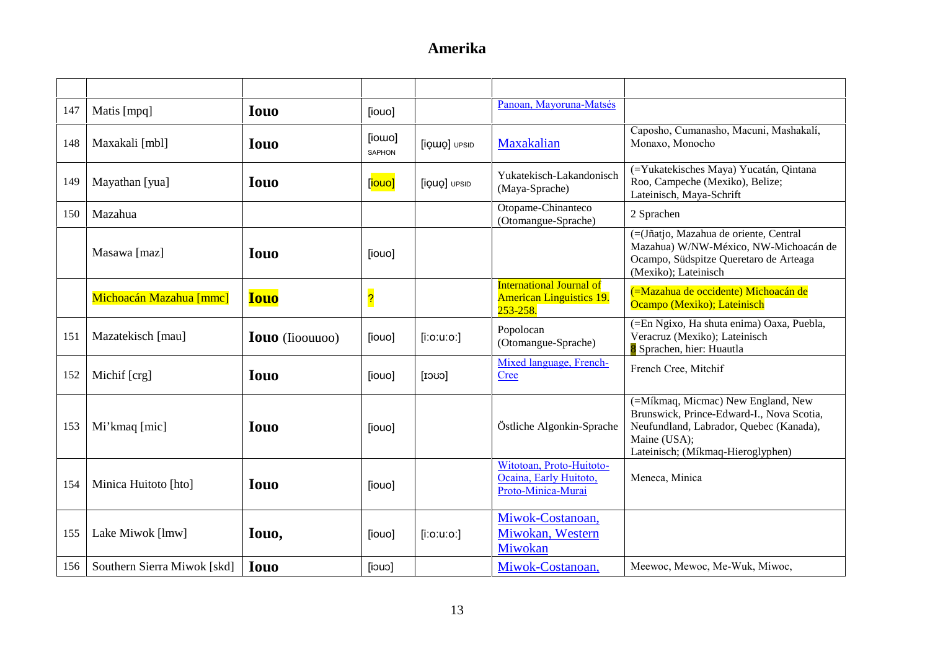| 147 | Matis [mpq]                 | <b>Iouo</b>            | [iouo]                  |               | Panoan, Mayoruna-Matsés                                                        |                                                                                                                                                                                 |
|-----|-----------------------------|------------------------|-------------------------|---------------|--------------------------------------------------------------------------------|---------------------------------------------------------------------------------------------------------------------------------------------------------------------------------|
| 148 | Maxakali [mbl]              | <b>Iouo</b>            | [iowo]<br>SAPHON        | [iQWQ] UPSID  | Maxakalian                                                                     | Caposho, Cumanasho, Macuni, Mashakalí,<br>Monaxo, Monocho                                                                                                                       |
| 149 | Mayathan [yua]              | <b>Iouo</b>            | [iouo]                  | [iQUQ] UPSID  | Yukatekisch-Lakandonisch<br>(Maya-Sprache)                                     | (=Yukatekisches Maya) Yucatán, Qintana<br>Roo, Campeche (Mexiko), Belize;<br>Lateinisch, Maya-Schrift                                                                           |
| 150 | Mazahua                     |                        |                         |               | Otopame-Chinanteco<br>(Otomangue-Sprache)                                      | 2 Sprachen                                                                                                                                                                      |
|     | Masawa [maz]                | <b>Iouo</b>            | [iouo]                  |               |                                                                                | (=(Jñatjo, Mazahua de oriente, Central<br>Mazahua) W/NW-México, NW-Michoacán de<br>Ocampo, Südspitze Queretaro de Arteaga<br>(Mexiko); Lateinisch                               |
|     | Michoacán Mazahua [mmc]     | <b>Iouo</b>            | $\overline{\mathbf{S}}$ |               | <b>International Journal of</b><br><b>American Linguistics 19.</b><br>253-258. | (=Mazahua de occidente) Michoacán de<br>Ocampo (Mexiko); Lateinisch                                                                                                             |
| 151 | Mazatekisch [mau]           | <b>Iouo</b> (Iioouuoo) | [iouo]                  | $[$ i:o:u:o:] | Popolocan<br>(Otomangue-Sprache)                                               | (=En Ngixo, Ha shuta enima) Oaxa, Puebla,<br>Veracruz (Mexiko); Lateinisch<br>8 Sprachen, hier: Huautla                                                                         |
| 152 | Michif [crg]                | <b>Iouo</b>            | [iouo]                  | $[{\rm cov}]$ | Mixed language, French-<br>Cree                                                | French Cree, Mitchif                                                                                                                                                            |
| 153 | Mi'kmaq [mic]               | <b>Iouo</b>            | [iouo]                  |               | Östliche Algonkin-Sprache                                                      | (=Míkmaq, Micmac) New England, New<br>Brunswick, Prince-Edward-I., Nova Scotia,<br>Neufundland, Labrador, Quebec (Kanada),<br>Maine (USA);<br>Lateinisch; (Míkmaq-Hieroglyphen) |
| 154 | Minica Huitoto [hto]        | <b>Iouo</b>            | [iouo]                  |               | Witotoan, Proto-Huitoto-<br>Ocaina, Early Huitoto,<br>Proto-Minica-Murai       | Meneca, Minica                                                                                                                                                                  |
| 155 | Lake Miwok [lmw]            | Iouo,                  | [iouo]                  | $[$ i:o:u:o:] | Miwok-Costanoan,<br>Miwokan, Western<br>Miwokan                                |                                                                                                                                                                                 |
| 156 | Southern Sierra Miwok [skd] | <b>Iouo</b>            | [iouo]                  |               | Miwok-Costanoan,                                                               | Meewoc, Mewoc, Me-Wuk, Miwoc,                                                                                                                                                   |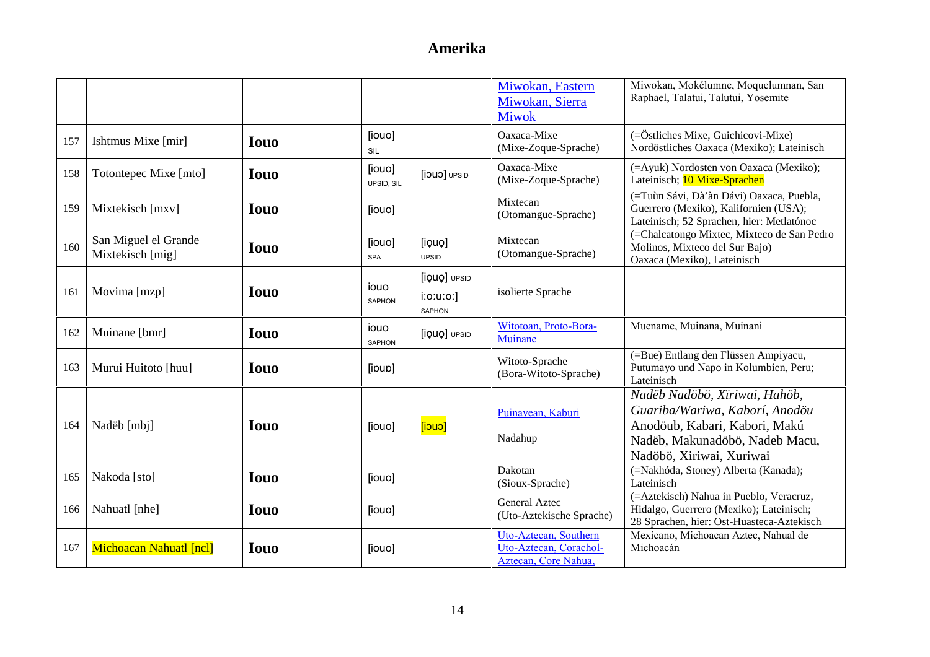|     |                                          |             |                       |                                               | Miwokan, Eastern<br>Miwokan, Sierra<br><b>Miwok</b>                     | Miwokan, Mokélumne, Moquelumnan, San<br>Raphael, Talatui, Talutui, Yosemite                                                                                    |
|-----|------------------------------------------|-------------|-----------------------|-----------------------------------------------|-------------------------------------------------------------------------|----------------------------------------------------------------------------------------------------------------------------------------------------------------|
| 157 | Ishtmus Mixe [mir]                       | <b>Iouo</b> | [iouo]<br>SIL         |                                               | Oaxaca-Mixe<br>(Mixe-Zoque-Sprache)                                     | (=Östliches Mixe, Guichicovi-Mixe)<br>Nordöstliches Oaxaca (Mexiko); Lateinisch                                                                                |
| 158 | Totontepec Mixe [mto]                    | <b>Iouo</b> | [iouo]<br>UPSID, SIL  | [jouo] UPSID                                  | Oaxaca-Mixe<br>(Mixe-Zoque-Sprache)                                     | (=Ayuk) Nordosten von Oaxaca (Mexiko);<br>Lateinisch; 10 Mixe-Sprachen                                                                                         |
| 159 | Mixtekisch [mxv]                         | <b>Iouo</b> | [iouo]                |                                               | Mixtecan<br>(Otomangue-Sprache)                                         | (=Tuùn Sávi, Dà'àn Dávi) Oaxaca, Puebla,<br>Guerrero (Mexiko), Kalifornien (USA);<br>Lateinisch; 52 Sprachen, hier: Metlatónoc                                 |
| 160 | San Miguel el Grande<br>Mixtekisch [mig] | <b>Iouo</b> | [iouo]<br><b>SPA</b>  | [iouo]<br><b>UPSID</b>                        | Mixtecan<br>(Otomangue-Sprache)                                         | (=Chalcatongo Mixtec, Mixteco de San Pedro<br>Molinos, Mixteco del Sur Bajo)<br>Oaxaca (Mexiko), Lateinisch                                                    |
| 161 | Movima [mzp]                             | <b>Iouo</b> | iouo<br>SAPHON        | [iQUQ] UPSID<br>$i$ :o:u:o:]<br><b>SAPHON</b> | isolierte Sprache                                                       |                                                                                                                                                                |
| 162 | Muinane [bmr]                            | <b>Iouo</b> | iouo<br><b>SAPHON</b> | [iQUQ] UPSID                                  | Witotoan, Proto-Bora-<br>Muinane                                        | Muename, Muinana, Muinani                                                                                                                                      |
| 163 | Murui Huitoto [huu]                      | <b>Iouo</b> | [ipup]                |                                               | Witoto-Sprache<br>(Bora-Witoto-Sprache)                                 | (=Bue) Entlang den Flüssen Ampiyacu,<br>Putumayo und Napo in Kolumbien, Peru;<br>Lateinisch                                                                    |
| 164 | Nadëb [mbj]                              | <b>Iouo</b> | [iouo]                | [iouo]                                        | Puinavean, Kaburi<br>Nadahup                                            | Nadëb Nadöbö, Xiriwai, Hahöb,<br>Guariba/Wariwa, Kaborí, Anodöu<br>Anodöub, Kabari, Kabori, Makú<br>Nadëb, Makunadöbö, Nadeb Macu,<br>Nadöbö, Xiriwai, Xuriwai |
| 165 | Nakoda [sto]                             | <b>Iouo</b> | [iouo]                |                                               | Dakotan<br>(Sioux-Sprache)                                              | (=Nakhóda, Stoney) Alberta (Kanada);<br>Lateinisch                                                                                                             |
| 166 | Nahuatl [nhe]                            | <b>Iouo</b> | [iouo]                |                                               | <b>General Aztec</b><br>(Uto-Aztekische Sprache)                        | (=Aztekisch) Nahua in Pueblo, Veracruz,<br>Hidalgo, Guerrero (Mexiko); Lateinisch;<br>28 Sprachen, hier: Ost-Huasteca-Aztekisch                                |
| 167 | Michoacan Nahuatl [ncl]                  | <b>Iouo</b> | [iouo]                |                                               | Uto-Aztecan, Southern<br>Uto-Aztecan, Corachol-<br>Aztecan, Core Nahua, | Mexicano, Michoacan Aztec, Nahual de<br>Michoacán                                                                                                              |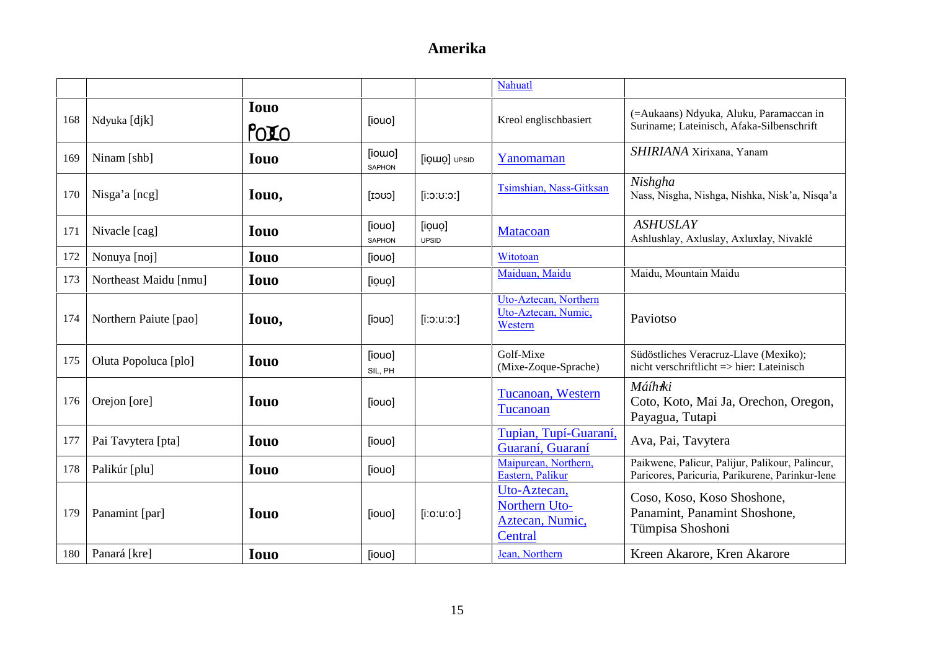|     |                       |                     |                         |                        | Nahuatl                                                     |                                                                                                    |
|-----|-----------------------|---------------------|-------------------------|------------------------|-------------------------------------------------------------|----------------------------------------------------------------------------------------------------|
| 168 | Ndyuka [djk]          | <b>Iouo</b><br>POIO | [iouo]                  |                        | Kreol englischbasiert                                       | (=Aukaans) Ndyuka, Aluku, Paramaccan in<br>Suriname; Lateinisch, Afaka-Silbenschrift               |
| 169 | Ninam [shb]           | <b>Iouo</b>         | [iowo]<br><b>SAPHON</b> | [iQWQ] UPSID           | Yanomaman                                                   | SHIRIANA Xirixana, Yanam                                                                           |
| 170 | Nisga'a [ncg]         | Iouo,               | $[{\rm cov}]$           | $[$ c:ט:ס:ן $]$        | Tsimshian, Nass-Gitksan                                     | Nishgha<br>Nass, Nisgha, Nishga, Nishka, Nisk'a, Nisqa'a                                           |
| 171 | Nivacle [cag]         | <b>Iouo</b>         | [iouo]<br><b>SAPHON</b> | [iouo]<br><b>UPSID</b> | <b>Matacoan</b>                                             | <b>ASHUSLAY</b><br>Ashlushlay, Axluslay, Axluxlay, Nivaklé                                         |
| 172 | Nonuya [noj]          | <b>Iouo</b>         | [iouo]                  |                        | Witotoan                                                    |                                                                                                    |
| 173 | Northeast Maidu [nmu] | <b>Iouo</b>         | [iouo]                  |                        | Maiduan, Maidu                                              | Maidu, Mountain Maidu                                                                              |
| 174 | Northern Paiute [pao] | Iouo,               | [iouo]                  | $[$ i:o:u:o:]          | Uto-Aztecan, Northern<br>Uto-Aztecan, Numic,<br>Western     | Paviotso                                                                                           |
| 175 | Oluta Popoluca [plo]  | <b>Iouo</b>         | [iouo]<br>SIL, PH       |                        | Golf-Mixe<br>(Mixe-Zoque-Sprache)                           | Südöstliches Veracruz-Llave (Mexiko);<br>nicht verschriftlicht $\Rightarrow$ hier: Lateinisch      |
| 176 | Orejon [ore]          | <b>Iouo</b>         | [iouo]                  |                        | Tucanoan, Western<br>Tucanoan                               | Máíh <del>i</del> ki<br>Coto, Koto, Mai Ja, Orechon, Oregon,<br>Payagua, Tutapi                    |
| 177 | Pai Tavytera [pta]    | <b>Iouo</b>         | [iouo]                  |                        | Tupian, Tupí-Guaraní,<br>Guaraní, Guaraní                   | Ava, Pai, Tavytera                                                                                 |
| 178 | Palikúr [plu]         | <b>Iouo</b>         | [iouo]                  |                        | Maipurean, Northern,<br>Eastern, Palikur                    | Paikwene, Palicur, Palijur, Palikour, Palincur,<br>Paricores, Paricuria, Parikurene, Parinkur-lene |
| 179 | Panamint [par]        | <b>Iouo</b>         | [iouo]                  | [i:o:u:o:]             | Uto-Aztecan,<br>Northern Uto-<br>Aztecan, Numic,<br>Central | Coso, Koso, Koso Shoshone,<br>Panamint, Panamint Shoshone,<br>Tümpisa Shoshoni                     |
| 180 | Panará [kre]          | <b>Iouo</b>         | [iouo]                  |                        | Jean, Northern                                              | Kreen Akarore, Kren Akarore                                                                        |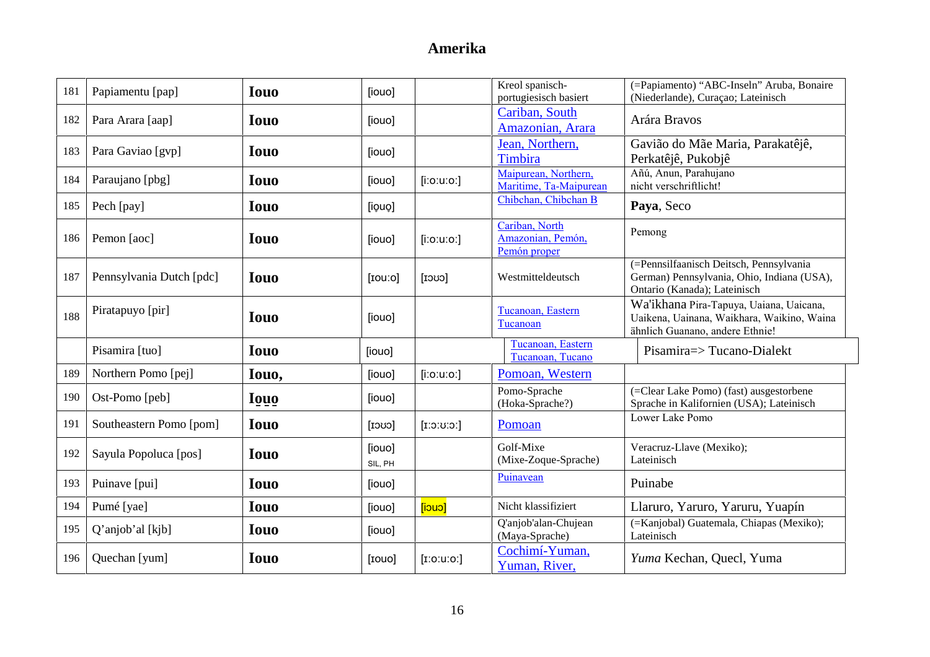| 181 | Papiamentu [pap]         | <b>Iouo</b> | [iouo]            |               | Kreol spanisch-<br>portugiesisch basiert            | (=Papiamento) "ABC-Inseln" Aruba, Bonaire<br>(Niederlande), Curaçao; Lateinisch                                          |
|-----|--------------------------|-------------|-------------------|---------------|-----------------------------------------------------|--------------------------------------------------------------------------------------------------------------------------|
| 182 | Para Arara [aap]         | <b>Iouo</b> | [iouo]            |               | Cariban, South<br>Amazonian, Arara                  | Arára Bravos                                                                                                             |
| 183 | Para Gaviao [gvp]        | <b>Iouo</b> | [iouo]            |               | Jean, Northern,<br>Timbira                          | Gavião do Mãe Maria, Parakatêjê,<br>Perkatêjê, Pukobjê                                                                   |
| 184 | Paraujano [pbg]          | <b>Iouo</b> | [iouo]            | $[$ i:o:u:o:] | Maipurean, Northern,<br>Maritime, Ta-Maipurean      | Añú, Anun, Parahujano<br>nicht verschriftlicht!                                                                          |
| 185 | Pech [pay]               | <b>Iouo</b> | [iouo]            |               | Chibchan, Chibchan B                                | Paya, Seco                                                                                                               |
| 186 | Pemon [aoc]              | <b>Iouo</b> | [iouo]            | $[$ i:o:u:o:] | Cariban, North<br>Amazonian, Pemón,<br>Pemón proper | Pemong                                                                                                                   |
| 187 | Pennsylvania Dutch [pdc] | <b>Iouo</b> | [rou:ol]          | $[{\rm cov}]$ | Westmitteldeutsch                                   | (=Pennsilfaanisch Deitsch, Pennsylvania<br>German) Pennsylvania, Ohio, Indiana (USA),<br>Ontario (Kanada); Lateinisch    |
| 188 | Piratapuyo [pir]         | <b>Iouo</b> | [iouo]            |               | Tucanoan, Eastern<br>Tucanoan                       | Wa'ikhana Pira-Tapuya, Uaiana, Uaicana,<br>Uaikena, Uainana, Waikhara, Waikino, Waina<br>ähnlich Guanano, andere Ethnie! |
|     | Pisamira [tuo]           | <b>Iouo</b> | [iouo]            |               | Tucanoan, Eastern<br>Tucanoan, Tucano               | Pisamira=> Tucano-Dialekt                                                                                                |
| 189 | Northern Pomo [pej]      | Iouo,       | [iouo]            | $[$ i:o:u:o:] | Pomoan, Western                                     |                                                                                                                          |
| 190 | Ost-Pomo [peb]           | <b>Iouo</b> | [iouo]            |               | Pomo-Sprache<br>(Hoka-Sprache?)                     | (=Clear Lake Pomo) (fast) ausgestorbene<br>Sprache in Kalifornien (USA); Lateinisch                                      |
| 191 | Southeastern Pomo [pom]  | <b>Iouo</b> | [1000]            | [1:0:U:0]     | Pomoan                                              | Lower Lake Pomo                                                                                                          |
| 192 | Sayula Popoluca [pos]    | <b>Iouo</b> | [iouo]<br>SIL, PH |               | Golf-Mixe<br>(Mixe-Zoque-Sprache)                   | Veracruz-Llave (Mexiko);<br>Lateinisch                                                                                   |
| 193 | Puinave [pui]            | <b>Iouo</b> | [iouo]            |               | Puinavean                                           | Puinabe                                                                                                                  |
| 194 | Pumé [yae]               | <b>Iouo</b> | [iouo]            | [iouo]        | Nicht klassifiziert                                 | Llaruro, Yaruro, Yaruru, Yuapín                                                                                          |
| 195 | Q'anjob'al [kjb]         | <b>Iouo</b> | [iouo]            |               | Q'anjob'alan-Chujean<br>(Maya-Sprache)              | (=Kanjobal) Guatemala, Chiapas (Mexiko);<br>Lateinisch                                                                   |
| 196 | Quechan [yum]            | <b>Iouo</b> | [IOUO]            | [i:0:u:0:]    | Cochimí-Yuman,<br>Yuman, River,                     | Yuma Kechan, Quecl, Yuma                                                                                                 |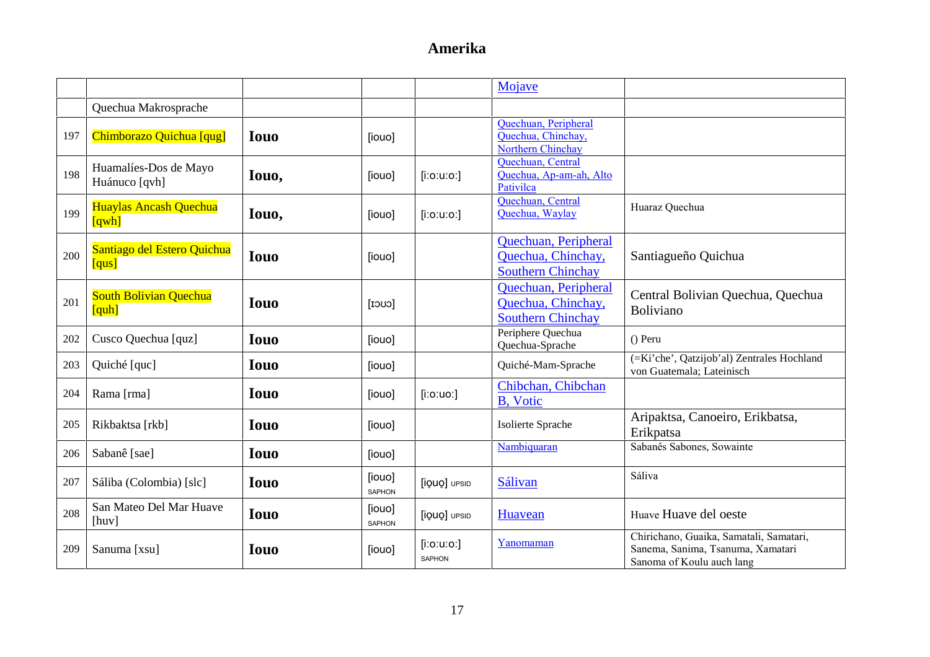|     |                                        |             |                         |                                   | Mojave                                                                        |                                                                                                           |
|-----|----------------------------------------|-------------|-------------------------|-----------------------------------|-------------------------------------------------------------------------------|-----------------------------------------------------------------------------------------------------------|
|     | Quechua Makrosprache                   |             |                         |                                   |                                                                               |                                                                                                           |
| 197 | Chimborazo Quichua [qug]               | <b>Iouo</b> | [iouo]                  |                                   | Quechuan, Peripheral<br>Quechua, Chinchay,<br>Northern Chinchay               |                                                                                                           |
| 198 | Huamalíes-Dos de Mayo<br>Huánuco [qvh] | Iouo,       | [iouo]                  | $[$ i:o:u:o: $]$                  | Quechuan, Central<br>Quechua, Ap-am-ah, Alto<br>Pativilca                     |                                                                                                           |
| 199 | Huaylas Ancash Quechua<br>[qwh]        | Iouo,       | [iouo]                  | $[$ i:o:u:o: $]$                  | Quechuan, Central<br>Quechua, Waylay                                          | Huaraz Quechua                                                                                            |
| 200 | Santiago del Estero Quichua<br>[qus]   | <b>Iouo</b> | [iouo]                  |                                   | Quechuan, Peripheral<br>Quechua, Chinchay,<br><b>Southern Chinchay</b>        | Santiagueño Quichua                                                                                       |
| 201 | <b>South Bolivian Quechua</b><br>[quh] | <b>Iouo</b> | $[{\rm cov}]$           |                                   | <b>Ouechuan, Peripheral</b><br>Quechua, Chinchay,<br><b>Southern Chinchay</b> | Central Bolivian Quechua, Quechua<br>Boliviano                                                            |
| 202 | Cusco Quechua [quz]                    | <b>Iouo</b> | [iouo]                  |                                   | Periphere Quechua<br>Quechua-Sprache                                          | () Peru                                                                                                   |
| 203 | Quiché [quc]                           | <b>Iouo</b> | [iouo]                  |                                   | Quiché-Mam-Sprache                                                            | (=Ki'che', Qatzijob'al) Zentrales Hochland<br>von Guatemala; Lateinisch                                   |
| 204 | Rama [rma]                             | <b>Iouo</b> | [iouo]                  | $[$ i:o:uo:]                      | Chibchan, Chibchan<br>B, Votic                                                |                                                                                                           |
| 205 | Rikbaktsa [rkb]                        | <b>Iouo</b> | [iouo]                  |                                   | Isolierte Sprache                                                             | Aripaktsa, Canoeiro, Erikbatsa,<br>Erikpatsa                                                              |
| 206 | Sabanê [sae]                           | <b>Iouo</b> | [iouo]                  |                                   | Nambiquaran                                                                   | Sabanês Sabones, Sowainte                                                                                 |
| 207 | Sáliba (Colombia) [slc]                | <b>Iouo</b> | [iouo]<br><b>SAPHON</b> | [iQUQ] UPSID                      | Sálivan                                                                       | Sáliva                                                                                                    |
| 208 | San Mateo Del Mar Huave<br>[huv]       | <b>Iouo</b> | [iouo]<br>SAPHON        | [iQUQ] UPSID                      | Huavean                                                                       | Huave Huave del oeste                                                                                     |
| 209 | Sanuma [xsu]                           | <b>Iouo</b> | [iouo]                  | $[$ i:o:u:o: $]$<br><b>SAPHON</b> | Yanomaman                                                                     | Chirichano, Guaika, Samatali, Samatari,<br>Sanema, Sanima, Tsanuma, Xamatari<br>Sanoma of Koulu auch lang |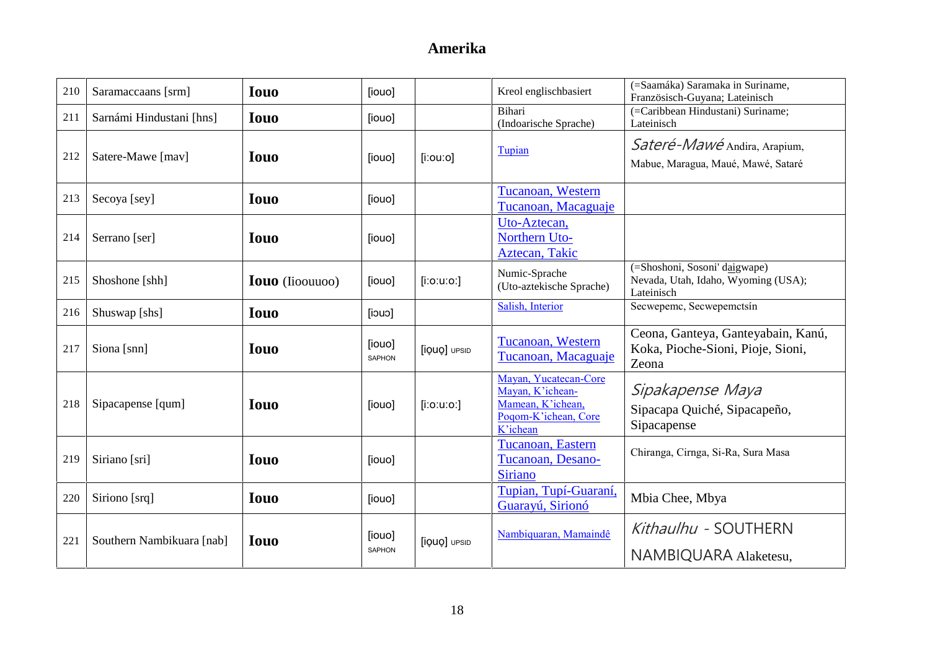| 210 | Saramaccaans [srm]        | <b>Iouo</b>            | [iouo]                  |                | Kreol englischbasiert                                                                              | (=Saamáka) Saramaka in Suriname,<br>Französisch-Guyana; Lateinisch                 |
|-----|---------------------------|------------------------|-------------------------|----------------|----------------------------------------------------------------------------------------------------|------------------------------------------------------------------------------------|
| 211 | Sarnámi Hindustani [hns]  | <b>Iouo</b>            | [iouo]                  |                | Bihari<br>(Indoarische Sprache)                                                                    | (=Caribbean Hindustani) Suriname;<br>Lateinisch                                    |
| 212 | Satere-Mawe [mav]         | <b>Iouo</b>            | [iouo]                  | $[$ i:ou:o $]$ | Tupian                                                                                             | Sateré-Mawé Andira, Arapium,<br>Mabue, Maragua, Maué, Mawé, Sataré                 |
| 213 | Secoya [sey]              | <b>Iouo</b>            | [iouo]                  |                | Tucanoan, Western<br>Tucanoan, Macaguaje                                                           |                                                                                    |
| 214 | Serrano [ser]             | <b>Iouo</b>            | [iouo]                  |                | Uto-Aztecan,<br>Northern Uto-<br>Aztecan, Takic                                                    |                                                                                    |
| 215 | Shoshone [shh]            | <b>Iouo</b> (Iioouuoo) | [iouo]                  | $[$ i:o:u:o:]  | Numic-Sprache<br>(Uto-aztekische Sprache)                                                          | (=Shoshoni, Sosoni' daigwape)<br>Nevada, Utah, Idaho, Wyoming (USA);<br>Lateinisch |
| 216 | Shuswap [shs]             | <b>Iouo</b>            | [100]                   |                | Salish, Interior                                                                                   | Secwepemc, Secwepemctsin                                                           |
| 217 | Siona [snn]               | <b>Iouo</b>            | [iouo]<br>SAPHON        | [iQUO] UPSID   | <b>Tucanoan, Western</b><br>Tucanoan, Macaguaje                                                    | Ceona, Ganteya, Ganteyabain, Kanú,<br>Koka, Pioche-Sioni, Pioje, Sioni,<br>Zeona   |
| 218 | Sipacapense [qum]         | <b>Iouo</b>            | [iouo]                  | $[$ i:o:u:o:]  | Mayan, Yucatecan-Core<br>Mayan, K'ichean-<br>Mamean, K'ichean,<br>Poqom-K'ichean, Core<br>K'ichean | Sipakapense Maya<br>Sipacapa Quiché, Sipacapeño,<br>Sipacapense                    |
| 219 | Siriano [sri]             | <b>Iouo</b>            | [iouo]                  |                | Tucanoan, Eastern<br>Tucanoan, Desano-<br><b>Siriano</b>                                           | Chiranga, Cirnga, Si-Ra, Sura Masa                                                 |
| 220 | Siriono [srq]             | <b>Iouo</b>            | [iouo]                  |                | Tupian, Tupí-Guaraní,<br>Guarayú, Sirionó                                                          | Mbia Chee, Mbya                                                                    |
| 221 | Southern Nambikuara [nab] | <b>Iouo</b>            | [iouo]<br><b>SAPHON</b> | [iQUO] UPSID   | Nambiquaran, Mamaindê                                                                              | Kithaulhu - SOUTHERN<br>NAMBIQUARA Alaketesu,                                      |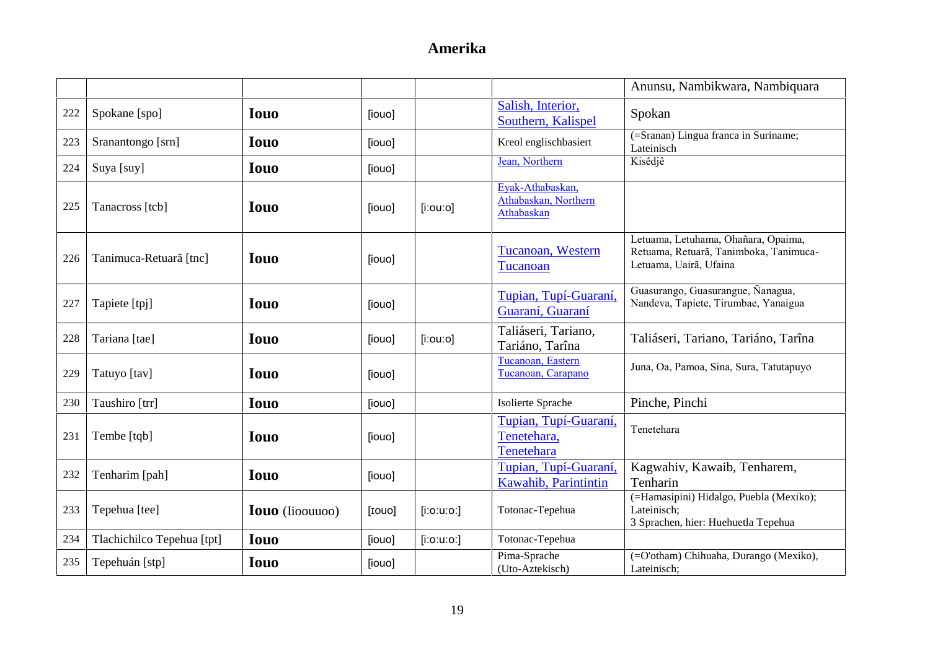|     |                            |                        |        |                  |                                                        | Anunsu, Nambikwara, Nambiquara                                                                          |
|-----|----------------------------|------------------------|--------|------------------|--------------------------------------------------------|---------------------------------------------------------------------------------------------------------|
| 222 | Spokane [spo]              | <b>Iouo</b>            | [iouo] |                  | Salish, Interior,<br>Southern, Kalispel                | Spokan                                                                                                  |
| 223 | Sranantongo [srn]          | <b>Iouo</b>            | [iouo] |                  | Kreol englischbasiert                                  | (=Sranan) Lingua franca in Suriname;<br>Lateinisch                                                      |
| 224 | Suya [suy]                 | <b>Iouo</b>            | [iouo] |                  | Jean, Northern                                         | Kisêdjê                                                                                                 |
| 225 | Tanacross [tcb]            | <b>Iouo</b>            | [iouo] | $[$ i:ou:o]      | Eyak-Athabaskan,<br>Athabaskan, Northern<br>Athabaskan |                                                                                                         |
| 226 | Tanimuca-Retuarã [tnc]     | <b>Iouo</b>            | [iouo] |                  | Tucanoan, Western<br>Tucanoan                          | Letuama, Letuhama, Ohañara, Opaima,<br>Retuama, Retuarã, Tanimboka, Tanimuca-<br>Letuama, Uairã, Ufaina |
| 227 | Tapiete [tpj]              | <b>Iouo</b>            | [iouo] |                  | Tupian, Tupí-Guaraní.<br>Guaraní, Guaraní              | Guasurango, Guasurangue, Ñanagua,<br>Nandeva, Tapiete, Tirumbae, Yanaigua                               |
| 228 | Tariana [tae]              | <b>Iouo</b>            | [iouo] | $[$ iːouːo]      | Taliáseri, Tariano,<br>Tariáno, Tarîna                 | Taliáseri, Tariano, Tariáno, Tarîna                                                                     |
| 229 | Tatuyo [tav]               | <b>Iouo</b>            | [iouo] |                  | Tucanoan, Eastern<br>Tucanoan, Carapano                | Juna, Oa, Pamoa, Sina, Sura, Tatutapuyo                                                                 |
| 230 | Taushiro [trr]             | <b>Iouo</b>            | [iouo] |                  | Isolierte Sprache                                      | Pinche, Pinchi                                                                                          |
| 231 | Tembe [tqb]                | <b>Iouo</b>            | [iouo] |                  | Tupian, Tupí-Guaraní,<br>Tenetehara,<br>Tenetehara     | Tenetehara                                                                                              |
| 232 | Tenharim [pah]             | <b>Iouo</b>            | [iouo] |                  | Tupian, Tupí-Guaraní,<br>Kawahib, Parintintin          | Kagwahiv, Kawaib, Tenharem,<br>Tenharin                                                                 |
| 233 | Tepehua [tee]              | <b>Iouo</b> (Iioouuoo) | [IOUO] | $[$ i:o:u:o: $]$ | Totonac-Tepehua                                        | (=Hamasipini) Hidalgo, Puebla (Mexiko);<br>Lateinisch;<br>3 Sprachen, hier: Huehuetla Tepehua           |
| 234 | Tlachichilco Tepehua [tpt] | <b>Iouo</b>            | [iouo] | $[$ i:o:u:o:]    | Totonac-Tepehua                                        |                                                                                                         |
| 235 | Tepehuán [stp]             | <b>Iouo</b>            | [iouo] |                  | Pima-Sprache<br>(Uto-Aztekisch)                        | (=O'otham) Chihuaha, Durango (Mexiko),<br>Lateinisch;                                                   |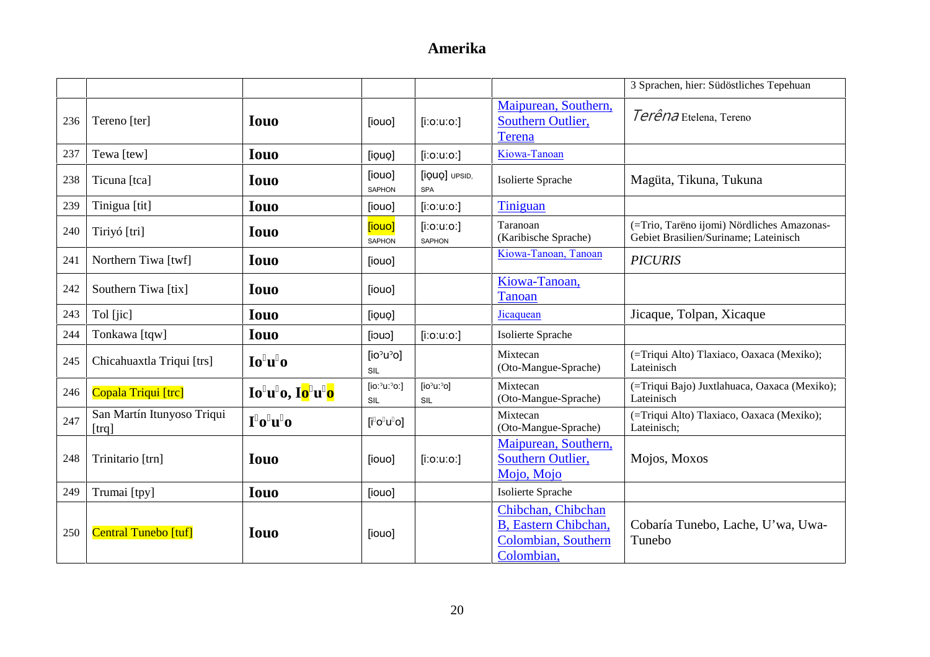|     |                                     |                |                                                 |                                       |                                                                                 | 3 Sprachen, hier: Südöstliches Tepehuan                                             |
|-----|-------------------------------------|----------------|-------------------------------------------------|---------------------------------------|---------------------------------------------------------------------------------|-------------------------------------------------------------------------------------|
| 236 | Tereno [ter]                        | <b>Iouo</b>    | [iouo]                                          | $[$ i:o:u:o:]                         | Maipurean, Southern,<br>Southern Outlier,<br><b>Terena</b>                      | Terêna Etelena, Tereno                                                              |
| 237 | Tewa [tew]                          | <b>Iouo</b>    | [iouo]                                          | $[$ i:o:u:o: $]$                      | Kiowa-Tanoan                                                                    |                                                                                     |
| 238 | Ticuna [tca]                        | <b>Iouo</b>    | [iouo]<br><b>SAPHON</b>                         | [iQUQ] UPSID,<br><b>SPA</b>           | Isolierte Sprache                                                               | Magüta, Tikuna, Tukuna                                                              |
| 239 | Tinigua [tit]                       | <b>Iouo</b>    | [iouo]                                          | $[$ i:o:u:o:]                         | Tiniguan                                                                        |                                                                                     |
| 240 | Tiriyó [tri]                        | <b>Iouo</b>    | [iouo]<br><b>SAPHON</b>                         | $[$ i:o:u:o:]<br><b>SAPHON</b>        | Taranoan<br>(Karibische Sprache)                                                | (=Trio, Tarëno ijomi) Nördliches Amazonas-<br>Gebiet Brasilien/Suriname; Lateinisch |
| 241 | Northern Tiwa [twf]                 | <b>Iouo</b>    | [iouo]                                          |                                       | Kiowa-Tanoan, Tanoan                                                            | <b>PICURIS</b>                                                                      |
| 242 | Southern Tiwa [tix]                 | <b>Iouo</b>    | [iouo]                                          |                                       | Kiowa-Tanoan,<br><b>Tanoan</b>                                                  |                                                                                     |
| 243 | Tol [jic]                           | <b>Iouo</b>    | [iouo]                                          |                                       | Jicaquean                                                                       | Jicaque, Tolpan, Xicaque                                                            |
| 244 | Tonkawa [tqw]                       | <b>Iouo</b>    | [iouo]                                          | $[$ i:o:u:o:]                         | Isolierte Sprache                                                               |                                                                                     |
| 245 | Chicahuaxtla Triqui [trs]           | Io u o         | [io <sup>o</sup> u <sup>o</sup> ]<br><b>SIL</b> |                                       | Mixtecan<br>(Oto-Mangue-Sprache)                                                | (=Triqui Alto) Tlaxiaco, Oaxaca (Mexiko);<br>Lateinisch                             |
| 246 | Copala Triqui [trc]                 | Io u o, Io u o | [io: $2u:2$ o:]<br><b>SIL</b>                   | [ $io^{\circ}u:\overline{O}$ ]<br>SIL | Mixtecan<br>(Oto-Mangue-Sprache)                                                | (=Triqui Bajo) Juxtlahuaca, Oaxaca (Mexiko);<br>Lateinisch                          |
| 247 | San Martín Itunyoso Triqui<br>[trq] | I o u o        | $[$ i o u o $]$                                 |                                       | Mixtecan<br>(Oto-Mangue-Sprache)                                                | (=Triqui Alto) Tlaxiaco, Oaxaca (Mexiko);<br>Lateinisch;                            |
| 248 | Trinitario [trn]                    | <b>Iouo</b>    | [iouo]                                          | $[$ i:o:u:o: $]$                      | Maipurean, Southern,<br>Southern Outlier,<br>Mojo, Mojo                         | Mojos, Moxos                                                                        |
| 249 | Trumai [tpy]                        | <b>Iouo</b>    | [iouo]                                          |                                       | Isolierte Sprache                                                               |                                                                                     |
| 250 | Central Tunebo [tuf]                | <b>Iouo</b>    | [iouo]                                          |                                       | Chibchan, Chibchan<br>B, Eastern Chibchan,<br>Colombian, Southern<br>Colombian, | Cobaría Tunebo, Lache, U'wa, Uwa-<br>Tunebo                                         |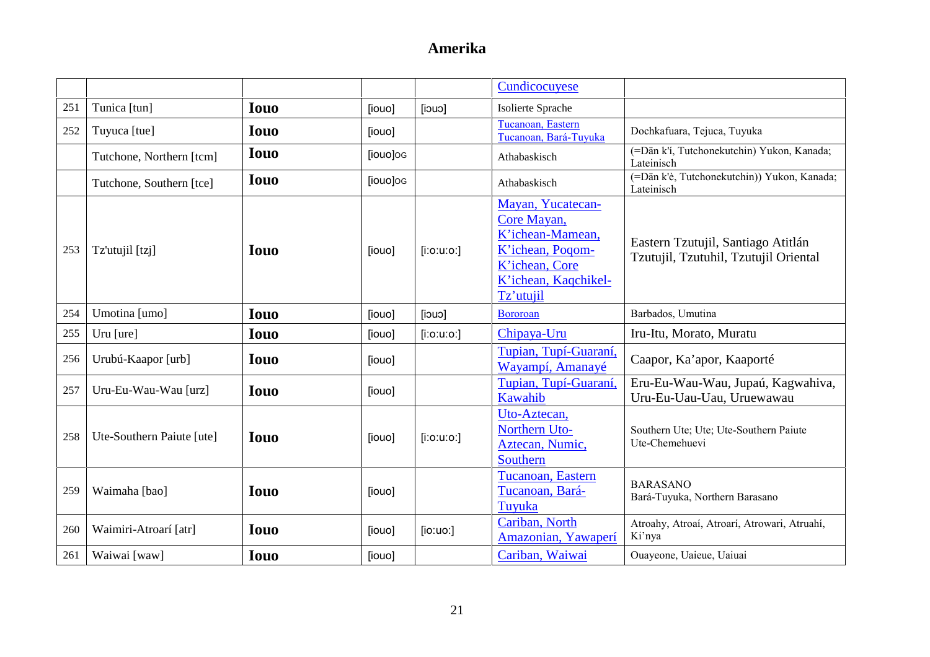|     |                           |             |          |               | Cundicocuyese                                                                                                                   |                                                                             |
|-----|---------------------------|-------------|----------|---------------|---------------------------------------------------------------------------------------------------------------------------------|-----------------------------------------------------------------------------|
| 251 | Tunica [tun]              | <b>Iouo</b> | [iouo]   | [iouo]        | Isolierte Sprache                                                                                                               |                                                                             |
| 252 | Tuyuca [tue]              | <b>Iouo</b> | [iouo]   |               | Tucanoan, Eastern<br>Tucanoan, Bará-Tuyuka                                                                                      | Dochkafuara, Tejuca, Tuyuka                                                 |
|     | Tutchone, Northern [tcm]  | <b>Iouo</b> | [iouo]og |               | Athabaskisch                                                                                                                    | (=Dän k'í, Tutchonekutchin) Yukon, Kanada;<br>Lateinisch                    |
|     | Tutchone, Southern [tce]  | <b>Iouo</b> | [iouo]og |               | Athabaskisch                                                                                                                    | (=Dän k'è, Tutchonekutchin)) Yukon, Kanada;<br>Lateinisch                   |
| 253 | Tz'utujil [tzj]           | <b>Iouo</b> | [iouo]   | $[$ i:o:u:o:] | Mayan, Yucatecan-<br>Core Mayan,<br>K'ichean-Mamean,<br>K'ichean, Poqom-<br>K'ichean, Core<br>K'ichean, Kaqchikel-<br>Tz'utujil | Eastern Tzutujil, Santiago Atitlán<br>Tzutujil, Tzutuhil, Tzutujil Oriental |
| 254 | Umotina [umo]             | <b>Iouo</b> | [iouo]   | [iouo]        | <b>Bororoan</b>                                                                                                                 | Barbados, Umutina                                                           |
| 255 | Uru [ure]                 | <b>Iouo</b> | [iouo]   | $[$ i:o:u:o:] | Chipaya-Uru                                                                                                                     | Iru-Itu, Morato, Muratu                                                     |
| 256 | Urubú-Kaapor [urb]        | <b>Iouo</b> | [iouo]   |               | Tupian, Tupí-Guaraní,<br>Wayampí, Amanayé                                                                                       | Caapor, Ka'apor, Kaaporté                                                   |
| 257 | Uru-Eu-Wau-Wau [urz]      | <b>Iouo</b> | [iouo]   |               | Tupian, Tupí-Guaraní,<br>Kawahib                                                                                                | Eru-Eu-Wau-Wau, Jupaú, Kagwahiva,<br>Uru-Eu-Uau-Uau, Uruewawau              |
| 258 | Ute-Southern Paiute [ute] | <b>Iouo</b> | [iouo]   | $[$ i:o:u:o:] | Uto-Aztecan,<br>Northern Uto-<br>Aztecan, Numic,<br>Southern                                                                    | Southern Ute; Ute; Ute-Southern Paiute<br>Ute-Chemehuevi                    |
| 259 | Waimaha [bao]             | <b>Iouo</b> | [iouo]   |               | Tucanoan, Eastern<br>Tucanoan, Bará-<br>Tuyuka                                                                                  | <b>BARASANO</b><br>Bará-Tuyuka, Northern Barasano                           |
| 260 | Waimiri-Atroarí [atr]     | <b>Iouo</b> | [iouo]   | [io:uo.]      | Cariban, North<br>Amazonian, Yawaperí                                                                                           | Atroahy, Atroaí, Atroarí, Atrowari, Atruahí,<br>Ki'nya                      |
| 261 | Waiwai [waw]              | <b>Iouo</b> | [iouo]   |               | Cariban, Waiwai                                                                                                                 | Ouayeone, Uaieue, Uaiuai                                                    |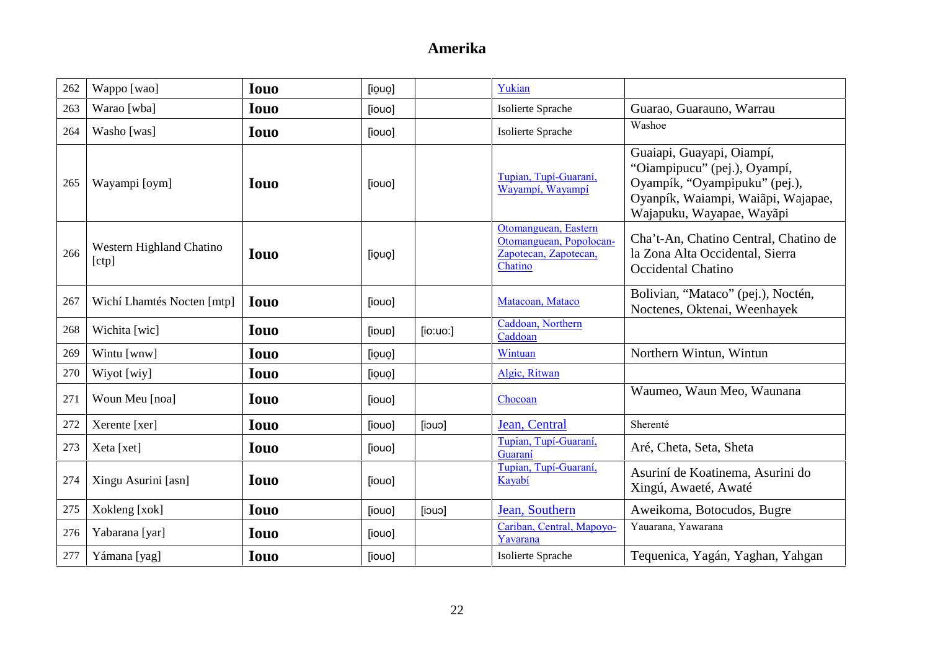| 262 | Wappo [wao]                       | <b>Iouo</b> | [iouo] |          | Yukian                                                                              |                                                                                                                                                               |
|-----|-----------------------------------|-------------|--------|----------|-------------------------------------------------------------------------------------|---------------------------------------------------------------------------------------------------------------------------------------------------------------|
| 263 | Warao [wba]                       | <b>Iouo</b> | [iouo] |          | Isolierte Sprache                                                                   | Guarao, Guarauno, Warrau                                                                                                                                      |
| 264 | Washo [was]                       | <b>Iouo</b> | [iouo] |          | Isolierte Sprache                                                                   | Washoe                                                                                                                                                        |
| 265 | Wayampi [oym]                     | <b>Iouo</b> | [iouo] |          | Tupian, Tupí-Guaraní,<br>Wayampi, Wayampi                                           | Guaiapi, Guayapi, Oiampí,<br>"Oiampipucu" (pej.), Oyampí,<br>Oyampík, "Oyampipuku" (pej.),<br>Oyanpík, Waiampi, Waiãpi, Wajapae,<br>Wajapuku, Wayapae, Wayãpi |
| 266 | Western Highland Chatino<br>[ctp] | <b>Iouo</b> | [iouo] |          | Otomanguean, Eastern<br>Otomanguean, Popolocan-<br>Zapotecan, Zapotecan,<br>Chatino | Cha't-An, Chatino Central, Chatino de<br>la Zona Alta Occidental, Sierra<br>Occidental Chatino                                                                |
| 267 | Wichí Lhamtés Nocten [mtp]        | <b>Iouo</b> | [iouo] |          | Matacoan, Mataco                                                                    | Bolivian, "Mataco" (pej.), Noctén,<br>Noctenes, Oktenai, Weenhayek                                                                                            |
| 268 | Wichita [wic]                     | <b>Iouo</b> | [ipup] | [io:uo:] | Caddoan, Northern<br>Caddoan                                                        |                                                                                                                                                               |
| 269 | Wintu [wnw]                       | <b>Iouo</b> | [iouo] |          | Wintuan                                                                             | Northern Wintun, Wintun                                                                                                                                       |
| 270 | Wiyot [wiy]                       | <b>Iouo</b> | [iouo] |          | Algic, Ritwan                                                                       |                                                                                                                                                               |
| 271 | Woun Meu [noa]                    | <b>Iouo</b> | [iouo] |          | Chocoan                                                                             | Waumeo, Waun Meo, Waunana                                                                                                                                     |
| 272 | Xerente [xer]                     | <b>Iouo</b> | [iouo] | [iouo]   | Jean, Central                                                                       | Sherenté                                                                                                                                                      |
| 273 | Xeta [xet]                        | <b>Iouo</b> | [iouo] |          | Tupian, Tupí-Guaraní,<br>Guaraní                                                    | Aré, Cheta, Seta, Sheta                                                                                                                                       |
| 274 | Xingu Asurini [asn]               | <b>Iouo</b> | [iouo] |          | Tupian, Tupí-Guaraní,<br>Kayabí                                                     | Asuriní de Koatinema, Asurini do<br>Xingú, Awaeté, Awaté                                                                                                      |
| 275 | Xokleng [xok]                     | <b>Iouo</b> | [iouo] | [iouo]   | Jean, Southern                                                                      | Aweikoma, Botocudos, Bugre                                                                                                                                    |
| 276 | Yabarana [yar]                    | <b>Iouo</b> | [iouo] |          | Cariban, Central, Mapoyo-<br>Yavarana                                               | Yauarana, Yawarana                                                                                                                                            |
| 277 | Yámana [yag]                      | <b>Iouo</b> | [iouo] |          | Isolierte Sprache                                                                   | Tequenica, Yagán, Yaghan, Yahgan                                                                                                                              |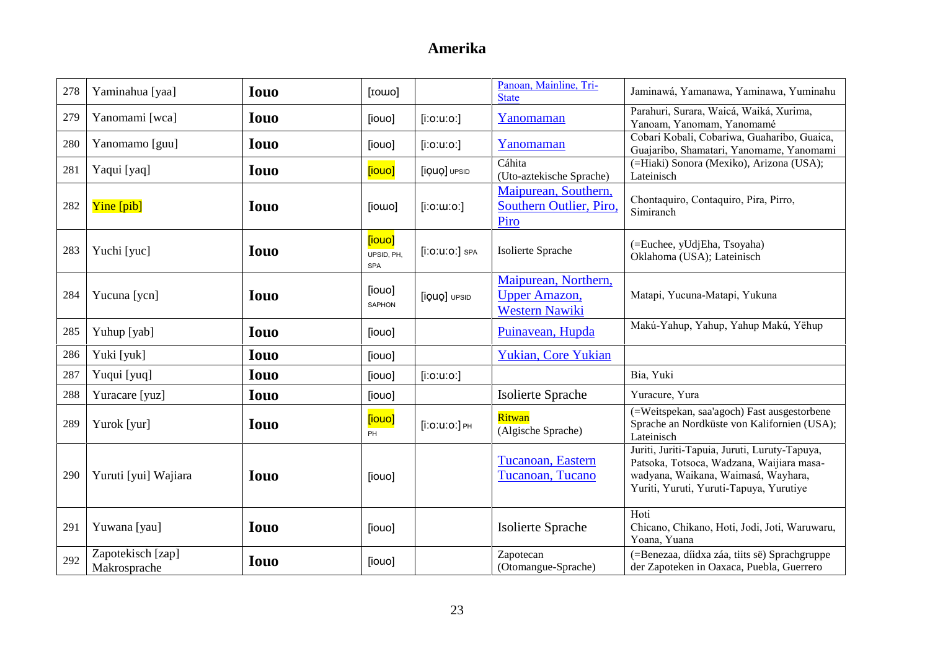| 278 | Yaminahua [yaa]                   | <b>Iouo</b> | [IOWO]                      |                                   | Panoan, Mainline, Tri-<br><b>State</b>                                 | Jaminawá, Yamanawa, Yaminawa, Yuminahu                                                                                                                                       |
|-----|-----------------------------------|-------------|-----------------------------|-----------------------------------|------------------------------------------------------------------------|------------------------------------------------------------------------------------------------------------------------------------------------------------------------------|
| 279 | Yanomami [wca]                    | <b>Iouo</b> | [iouo]                      | $[$ i:o:u:o:]                     | Yanomaman                                                              | Parahuri, Surara, Waicá, Waiká, Xurima,<br>Yanoam, Yanomam, Yanomamé                                                                                                         |
| 280 | Yanomamo [guu]                    | <b>Iouo</b> | [iouo]                      | $[$ i:o:u:o: $]$                  | Yanomaman                                                              | Cobari Kobali, Cobariwa, Guaharibo, Guaica,<br>Guajaribo, Shamatari, Yanomame, Yanomami                                                                                      |
| 281 | Yaqui [yaq]                       | <b>Iouo</b> | <b>[iouo]</b>               | [iQUQ] UPSID                      | Cáhita<br>(Uto-aztekische Sprache)                                     | (=Hiaki) Sonora (Mexiko), Arizona (USA);<br>Lateinisch                                                                                                                       |
| 282 | Yine [pib]                        | <b>Iouo</b> | [iowo]                      | $[$ i:o: $u$ :o: $]$              | Maipurean, Southern,<br>Southern Outlier, Piro,<br>Piro                | Chontaquiro, Contaquiro, Pira, Pirro,<br>Simiranch                                                                                                                           |
| 283 | Yuchi [yuc]                       | <b>Iouo</b> | [iouo]<br>UPSID, PH,<br>SPA | $[$ i $:$ O $:$ U $:$ O $:$ ] SPA | Isolierte Sprache                                                      | (=Euchee, yUdjEha, Tsoyaha)<br>Oklahoma (USA); Lateinisch                                                                                                                    |
| 284 | Yucuna [ycn]                      | <b>Iouo</b> | [iouo]<br>SAPHON            | [iQUO] UPSID                      | Maipurean, Northern,<br><b>Upper Amazon</b> ,<br><b>Western Nawiki</b> | Matapi, Yucuna-Matapi, Yukuna                                                                                                                                                |
| 285 | Yuhup [yab]                       | <b>Iouo</b> | [iouo]                      |                                   | Puinavean, Hupda                                                       | Makú-Yahup, Yahup, Yahup Makú, Yëhup                                                                                                                                         |
| 286 | Yuki [yuk]                        | <b>Iouo</b> | [iouo]                      |                                   | <b>Yukian, Core Yukian</b>                                             |                                                                                                                                                                              |
| 287 | Yuqui [yuq]                       | <b>Iouo</b> | [iouo]                      | $[$ i:o:u:o:]                     |                                                                        | Bia, Yuki                                                                                                                                                                    |
| 288 | Yuracare [yuz]                    | <b>Iouo</b> | [iouo]                      |                                   | Isolierte Sprache                                                      | Yuracure, Yura                                                                                                                                                               |
| 289 | Yurok [yur]                       | <b>Iouo</b> | [iouo]<br>PH                | $[$ i:0:u:0:] $_{PH}$             | Ritwan<br>(Algische Sprache)                                           | (=Weitspekan, saa'agoch) Fast ausgestorbene<br>Sprache an Nordküste von Kalifornien (USA);<br>Lateinisch                                                                     |
| 290 | Yuruti [yui] Wajiara              | <b>Iouo</b> | [iouo]                      |                                   | Tucanoan, Eastern<br>Tucanoan, Tucano                                  | Juriti, Juriti-Tapuia, Juruti, Luruty-Tapuya,<br>Patsoka, Totsoca, Wadzana, Waijiara masa-<br>wadyana, Waikana, Waimasá, Wayhara,<br>Yuriti, Yuruti, Yuruti-Tapuya, Yurutiye |
| 291 | Yuwana [yau]                      | <b>Iouo</b> | [iouo]                      |                                   | <b>Isolierte Sprache</b>                                               | Hoti<br>Chicano, Chikano, Hoti, Jodi, Joti, Waruwaru,<br>Yoana, Yuana                                                                                                        |
| 292 | Zapotekisch [zap]<br>Makrosprache | <b>Iouo</b> | [iouo]                      |                                   | Zapotecan<br>(Otomangue-Sprache)                                       | (=Benezaa, díidxa záa, tiits së) Sprachgruppe<br>der Zapoteken in Oaxaca, Puebla, Guerrero                                                                                   |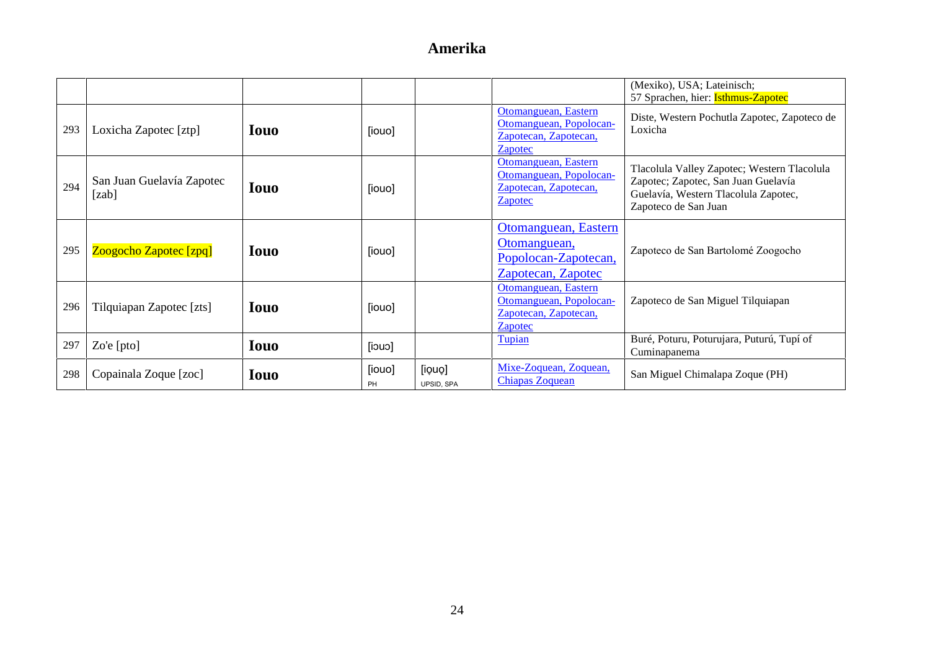|     |                                    |             |              |                      |                                                                                            | (Mexiko), USA; Lateinisch;<br>57 Sprachen, hier: Isthmus-Zapotec                                                                                   |
|-----|------------------------------------|-------------|--------------|----------------------|--------------------------------------------------------------------------------------------|----------------------------------------------------------------------------------------------------------------------------------------------------|
| 293 | Loxicha Zapotec [ztp]              | <b>Iouo</b> | [iouo]       |                      | Otomanguean, Eastern<br>Otomanguean, Popolocan-<br>Zapotecan, Zapotecan,<br><b>Zapotec</b> | Diste, Western Pochutla Zapotec, Zapoteco de<br>Loxicha                                                                                            |
| 294 | San Juan Guelavía Zapotec<br>[zab] | <b>Iouo</b> | [iouo]       |                      | Otomanguean, Eastern<br>Otomanguean, Popolocan-<br>Zapotecan, Zapotecan,<br><b>Zapotec</b> | Tlacolula Valley Zapotec; Western Tlacolula<br>Zapotec; Zapotec, San Juan Guelavía<br>Guelavía, Western Tlacolula Zapotec,<br>Zapoteco de San Juan |
| 295 | Zoogocho Zapotec [zpq]             | Iouo        | [iouo]       |                      | Otomanguean, Eastern<br>Otomanguean,<br>Popolocan-Zapotecan,<br>Zapotecan, Zapotec         | Zapoteco de San Bartolomé Zoogocho                                                                                                                 |
| 296 | Tilquiapan Zapotec [zts]           | Iouo        | [iouo]       |                      | Otomanguean, Eastern<br>Otomanguean, Popolocan-<br>Zapotecan, Zapotecan,<br>Zapotec        | Zapoteco de San Miguel Tilquiapan                                                                                                                  |
| 297 | Zo'e $[pto]$                       | <b>Iouo</b> | $[$ iouo $]$ |                      | Tupian                                                                                     | Buré, Poturu, Poturujara, Puturú, Tupí of<br>Cuminapanema                                                                                          |
| 298 | Copainala Zoque [zoc]              | <b>Iouo</b> | [iouo]<br>PH | [iouo]<br>UPSID, SPA | Mixe-Zoquean, Zoquean,<br><b>Chiapas Zoquean</b>                                           | San Miguel Chimalapa Zoque (PH)                                                                                                                    |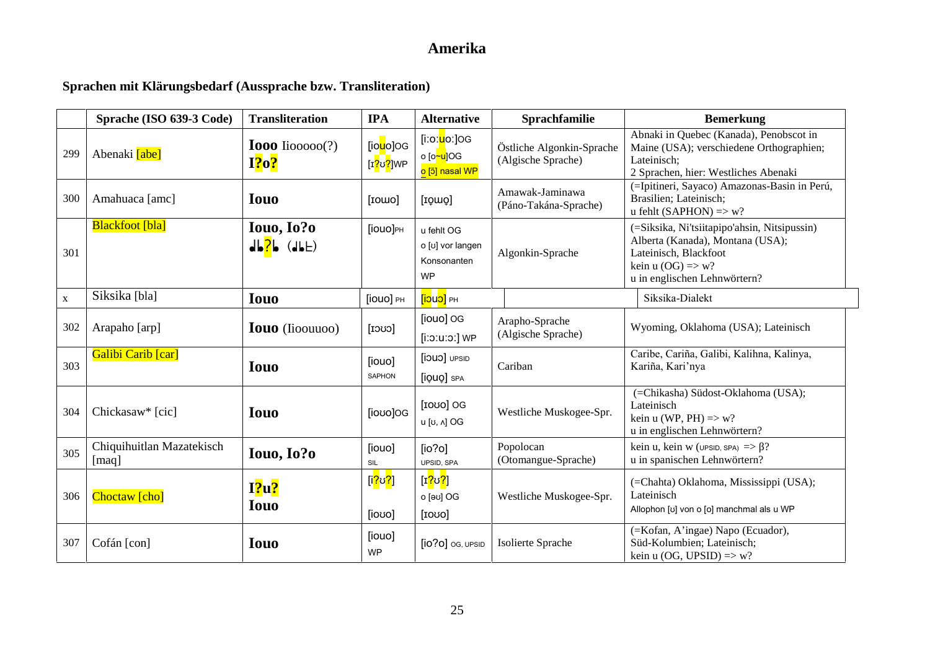### **Sprachen mit Klärungsbedarf (Aussprache bzw. Transliteration)**

|             | Sprache (ISO 639-3 Code)           | <b>Transliteration</b>                                   | <b>IPA</b>                                                        | <b>Alternative</b>                                                                     | Sprachfamilie                                   | <b>Bemerkung</b>                                                                                                                                                          |
|-------------|------------------------------------|----------------------------------------------------------|-------------------------------------------------------------------|----------------------------------------------------------------------------------------|-------------------------------------------------|---------------------------------------------------------------------------------------------------------------------------------------------------------------------------|
| 299         | Abenaki <b>[abe]</b>               | <b>Iooo</b> Iiooooo $(?)$<br>I?o?                        | [io <mark>u</mark> o]OG<br>[ɪ <mark>?</mark> ʊ <mark>?</mark> ]WP | [iːoː <mark>u</mark> oː]OG<br>o [o <mark>~u</mark> ]OG<br><mark>o [ɔ̃] nasal WP</mark> | Östliche Algonkin-Sprache<br>(Algische Sprache) | Abnaki in Quebec (Kanada), Penobscot in<br>Maine (USA); verschiedene Orthographien;<br>Lateinisch;<br>2 Sprachen, hier: Westliches Abenaki                                |
| 300         | Amahuaca [amc]                     | <b>Iouo</b>                                              | [rowo]                                                            | [IQWO]                                                                                 | Amawak-Jaminawa<br>(Páno-Takána-Sprache)        | (=Ipitineri, Sayaco) Amazonas-Basin in Perú,<br>Brasilien; Lateinisch;<br>u fehlt (SAPHON) $\Rightarrow$ w?                                                               |
| 301         | <b>Blackfoot</b> [bla]             | Iouo, Io?o<br>$d\mathbf{b}$ $\mathbf{B}$ $(d\mathbf{b})$ | [iouo]PH                                                          | u fehlt OG<br>o [v] vor langen<br>Konsonanten<br><b>WP</b>                             | Algonkin-Sprache                                | (=Siksika, Ni'tsiitapipo'ahsin, Nitsipussin)<br>Alberta (Kanada), Montana (USA);<br>Lateinisch, Blackfoot<br>kein u $(OG) \Rightarrow w?$<br>u in englischen Lehnwörtern? |
| $\mathbf X$ | Siksika [bla]                      | <b>Iouo</b>                                              | [iouo] PH                                                         | PH [CUCI]                                                                              |                                                 | Siksika-Dialekt                                                                                                                                                           |
| 302         | Arapaho [arp]                      | <b>Iouo</b> (Iioouuoo)                                   | $[{\rm cov}]$                                                     | [iouo] OG<br>[i:o:u:o:] WP                                                             | Arapho-Sprache<br>(Algische Sprache)            | Wyoming, Oklahoma (USA); Lateinisch                                                                                                                                       |
| 303         | Galibi Carib [car]                 | <b>Iouo</b>                                              | [iouo]<br>SAPHON                                                  | UDUO] UPSID<br>[iQUQ] SPA                                                              | Cariban                                         | Caribe, Cariña, Galibi, Kalihna, Kalinya,<br>Kariña, Kari'nya                                                                                                             |
| 304         | Chickasaw* [cic]                   | <b>Iouo</b>                                              | [iovo]OG                                                          | [1000] OG<br>u [υ, λ] OG                                                               | Westliche Muskogee-Spr.                         | (=Chikasha) Südost-Oklahoma (USA);<br>Lateinisch<br>kein u (WP, PH) $\Rightarrow$ w?<br>u in englischen Lehnwörtern?                                                      |
| 305         | Chiquihuitlan Mazatekisch<br>[maq] | Iouo, Io?o                                               | [iouo]<br>SIL                                                     | [io?o]<br>UPSID, SPA                                                                   | Popolocan<br>(Otomangue-Sprache)                | kein u, kein w (UPSID, SPA) $\Rightarrow$ ?<br>u in spanischen Lehnwörtern?                                                                                               |
| 306         | Choctaw [cho]                      | $I$ ?u?<br><b>Iouo</b>                                   | [i <mark>?</mark> ʊ <mark>?</mark> ]<br>[ioʊo]                    | [ɪ <mark>?ʊ?</mark> ]<br>0 [ခပ] OG<br>[1000]                                           | Westliche Muskogee-Spr.                         | (=Chahta) Oklahoma, Mississippi (USA);<br>Lateinisch<br>Allophon [v] von o [o] manchmal als u WP                                                                          |
| 307         | Cofán [con]                        | <b>Iouo</b>                                              | [iouo]<br><b>WP</b>                                               | $[io?o]$ og, upsid                                                                     | Isolierte Sprache                               | (=Kofan, A'ingae) Napo (Ecuador),<br>Süd-Kolumbien; Lateinisch;<br>kein u (OG, UPSID) $\Rightarrow$ w?                                                                    |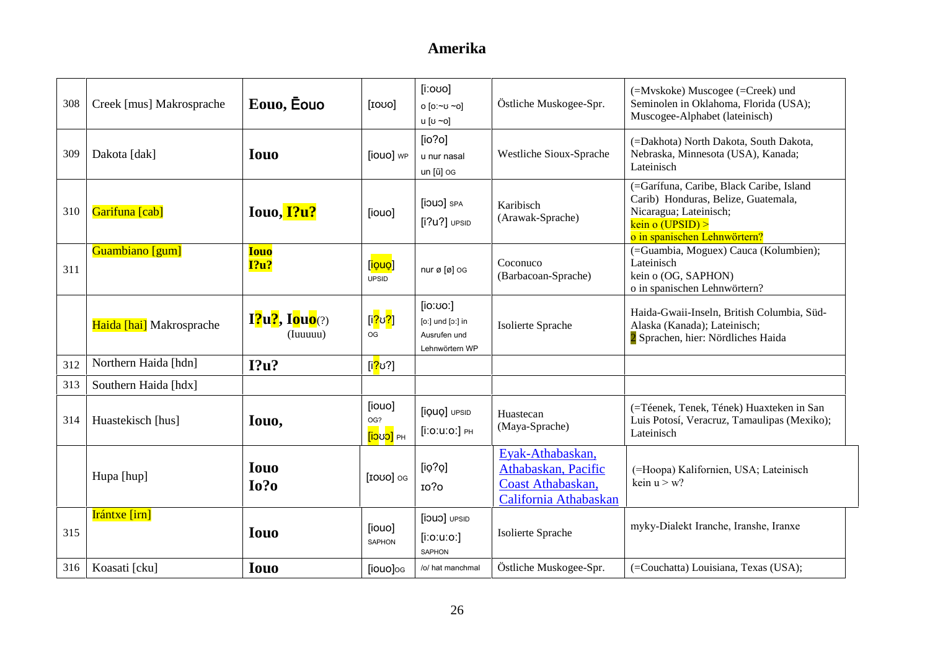| 308 | Creek [mus] Makrosprache | Eouo, Eouo                                                     | [1000]                                                  | $[$ iːoʊo]<br>o [o:~ʊ ~o]<br>น [ʊ ~o]                          | Östliche Muskogee-Spr.                                                                | $(=\text{Mvskoke})$ Muscogee $(=\text{Creek})$ und<br>Seminolen in Oklahoma, Florida (USA);<br>Muscogee-Alphabet (lateinisch)                               |
|-----|--------------------------|----------------------------------------------------------------|---------------------------------------------------------|----------------------------------------------------------------|---------------------------------------------------------------------------------------|-------------------------------------------------------------------------------------------------------------------------------------------------------------|
| 309 | Dakota [dak]             | <b>Iouo</b>                                                    | [iouo] wp                                               | [io?o]<br>u nur nasal<br>un [ũ] og                             | Westliche Sioux-Sprache                                                               | (=Dakhota) North Dakota, South Dakota,<br>Nebraska, Minnesota (USA), Kanada;<br>Lateinisch                                                                  |
| 310 | Garifuna [cab]           | Iouo, I?u?                                                     | [iouo]                                                  | [jouo] SPA<br>$[i?u?]$ UPSID                                   | Karibisch<br>(Arawak-Sprache)                                                         | (=Garífuna, Caribe, Black Caribe, Island<br>Carib) Honduras, Belize, Guatemala,<br>Nicaragua; Lateinisch;<br>kein o (UPSID)<br>o in spanischen Lehnwörtern? |
| 311 | Guambiano [gum]          | <b>Iouo</b><br>1?u?                                            | [ <mark>iọuọ</mark> ]<br><b>UPSID</b>                   | nur ø [ø] og                                                   | Coconuco<br>(Barbacoan-Sprache)                                                       | (=Guambia, Moguex) Cauca (Kolumbien);<br>Lateinisch<br>kein o (OG, SAPHON)<br>o in spanischen Lehnwörtern?                                                  |
|     | Haida [hai] Makrosprache | $\mathbf{I2}^{\prime}u$ ?, Iouo $\left( ? \right)$<br>(Iuuuuu) | [i <mark>?ʊ?</mark> ]<br><b>OG</b>                      | [io:vo:]<br>[o:] und [o:] in<br>Ausrufen und<br>Lehnwörtern WP | Isolierte Sprache                                                                     | Haida-Gwaii-Inseln, British Columbia, Süd-<br>Alaska (Kanada); Lateinisch;<br>2 Sprachen, hier: Nördliches Haida                                            |
| 312 | Northern Haida [hdn]     | I?u?                                                           | [i <mark>?</mark> ປ?]                                   |                                                                |                                                                                       |                                                                                                                                                             |
| 313 | Southern Haida [hdx]     |                                                                |                                                         |                                                                |                                                                                       |                                                                                                                                                             |
| 314 | Huastekisch [hus]        | Iouo,                                                          | [iouo]<br>OG?<br>[ <mark>iɔ</mark> ʊ <mark>ɔ]</mark> PH | [iQUO] UPSID<br>$[$ i:0:u:0:] PH                               | Huastecan<br>(Maya-Sprache)                                                           | (=Téenek, Tenek, Tének) Huaxteken in San<br>Luis Potosí, Veracruz, Tamaulipas (Mexiko);<br>Lateinisch                                                       |
|     | Hupa [hup]               | <b>Iouo</b><br>$I0$ ?0                                         | [IOUO] OG                                               | [io?o]<br>10?0                                                 | Eyak-Athabaskan,<br>Athabaskan, Pacific<br>Coast Athabaskan,<br>California Athabaskan | (=Hoopa) Kalifornien, USA; Lateinisch<br>kein $u > w$ ?                                                                                                     |
| 315 | Irántxe [irn]            | <b>Iouo</b>                                                    | [iouo]<br><b>SAPHON</b>                                 | [jouo] UPSID<br>$[$ i:o:u:o:]<br><b>SAPHON</b>                 | Isolierte Sprache                                                                     | myky-Dialekt Iranche, Iranshe, Iranxe                                                                                                                       |
| 316 | Koasati [cku]            | <b>Iouo</b>                                                    | [iouo]og                                                | /o/ hat manchmal                                               | Östliche Muskogee-Spr.                                                                | (=Couchatta) Louisiana, Texas (USA);                                                                                                                        |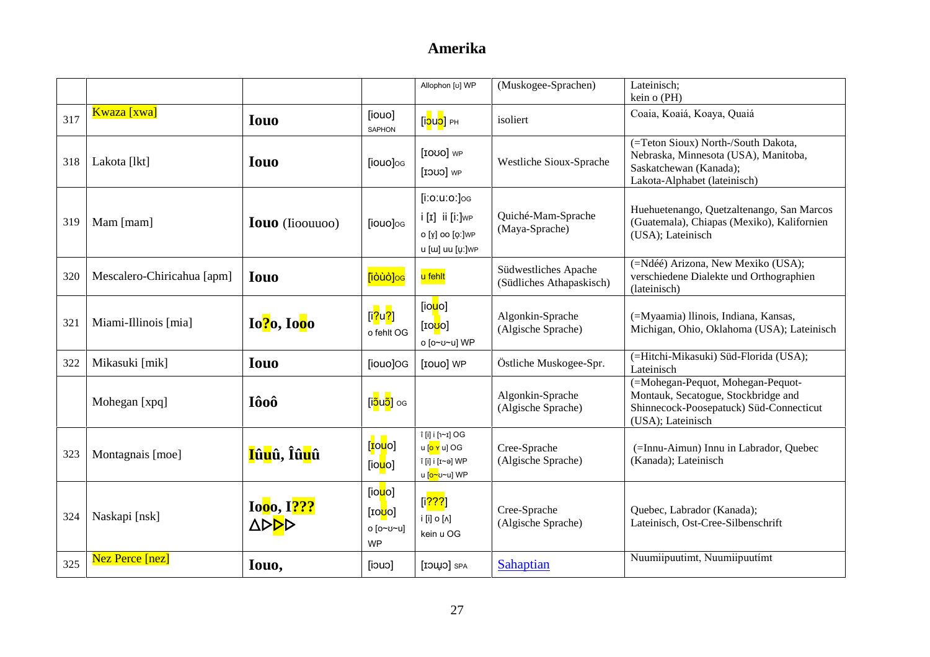|     |                            |                                                        |                                                                          | Allophon [v] WP                                                                                   | (Muskogee-Sprachen)                              | Lateinisch;<br>kein o (PH)                                                                                                               |
|-----|----------------------------|--------------------------------------------------------|--------------------------------------------------------------------------|---------------------------------------------------------------------------------------------------|--------------------------------------------------|------------------------------------------------------------------------------------------------------------------------------------------|
| 317 | Kwaza [xwa]                | <b>Iouo</b>                                            | [iouo]<br>SAPHON                                                         | [i <mark>ɔuɔ</mark> ] Pн                                                                          | isoliert                                         | Coaia, Koaiá, Koaya, Quaiá                                                                                                               |
| 318 | Lakota [lkt]               | <b>Iouo</b>                                            | [iouo]og                                                                 | [IOUO] WP<br>[CUCI]                                                                               | Westliche Sioux-Sprache                          | (=Teton Sioux) North-/South Dakota,<br>Nebraska, Minnesota (USA), Manitoba,<br>Saskatchewan (Kanada);<br>Lakota-Alphabet (lateinisch)    |
| 319 | Mam [mam]                  | <b>Iouo</b> (Iioouuoo)                                 | [iouo]og                                                                 | $[$ i:0:u:0: $]$ og<br>$i$ [I] ii [i:] $WP$<br>ο [ұ̯] οο [ϱː]wP<br>u [w] uu [uː]wP                | Quiché-Mam-Sprache<br>(Maya-Sprache)             | Huehuetenango, Quetzaltenango, San Marcos<br>(Guatemala), Chiapas (Mexiko), Kalifornien<br>(USA); Lateinisch                             |
| 320 | Mescalero-Chiricahua [apm] | <b>Iouo</b>                                            | [iòùò]oc                                                                 | u fehlt                                                                                           | Südwestliches Apache<br>(Südliches Athapaskisch) | (=Ndéé) Arizona, New Mexiko (USA);<br>verschiedene Dialekte und Orthographien<br>(lateinisch)                                            |
| 321 | Miami-Illinois [mia]       | $Io?$ <sub>0</sub> , $Io0$ <sup>0</sup>                | [i <mark>?</mark> u <mark>?</mark> ]<br>o fehlt OG                       | [io <mark>u</mark> o]<br>[10 <mark>U</mark> O]<br>ο [ο~υ~u] WP                                    | Algonkin-Sprache<br>(Algische Sprache)           | (=Myaamia) llinois, Indiana, Kansas,<br>Michigan, Ohio, Oklahoma (USA); Lateinisch                                                       |
| 322 | Mikasuki [mik]             | <b>Iouo</b>                                            | [iouo]OG                                                                 | [IOUO] WP                                                                                         | Östliche Muskogee-Spr.                           | (=Hitchi-Mikasuki) Süd-Florida (USA);<br>Lateinisch                                                                                      |
|     | Mohegan [xpq]              | Iôoô                                                   | [i <mark>ɔ̃uɔ̃]</mark> oɕ                                                |                                                                                                   | Algonkin-Sprache<br>(Algische Sprache)           | (=Mohegan-Pequot, Mohegan-Pequot-<br>Montauk, Secatogue, Stockbridge and<br>Shinnecock-Poosepatuck) Süd-Connecticut<br>(USA); Lateinisch |
| 323 | Montagnais [moe]           | <mark>I</mark> û <mark>u</mark> û, Îû <mark>u</mark> û | [ <mark>ɪ</mark> ouo]<br>[io <mark>u</mark> o]                           | î [i] i [1~1] OG<br>u [ <mark>o ʏ</mark> u] OG<br>î [i] i [ɪ∼ə] WP<br>น [ <mark>o∼</mark> ʊ∼u] WP | Cree-Sprache<br>(Algische Sprache)               | (=Innu-Aimun) Innu in Labrador, Quebec<br>(Kanada); Lateinisch                                                                           |
| 324 | Naskapi [nsk]              | Ioo <sub>0</sub> , <sup>1???</sup><br><b>APPP</b>      | [io <mark>u</mark> o]<br>[10 <mark>U</mark> O]<br>o [o~v~u]<br><b>WP</b> | [i <mark>???</mark> ]<br>i [i] o [ʌ]<br>kein u OG                                                 | Cree-Sprache<br>(Algische Sprache)               | Quebec, Labrador (Kanada);<br>Lateinisch, Ost-Cree-Silbenschrift                                                                         |
| 325 | Nez Perce [nez]            | Iouo,                                                  | [iouo]                                                                   | SPA [CUUCI                                                                                        | Sahaptian                                        | Nuumiipuutimt, Nuumiipuutimt                                                                                                             |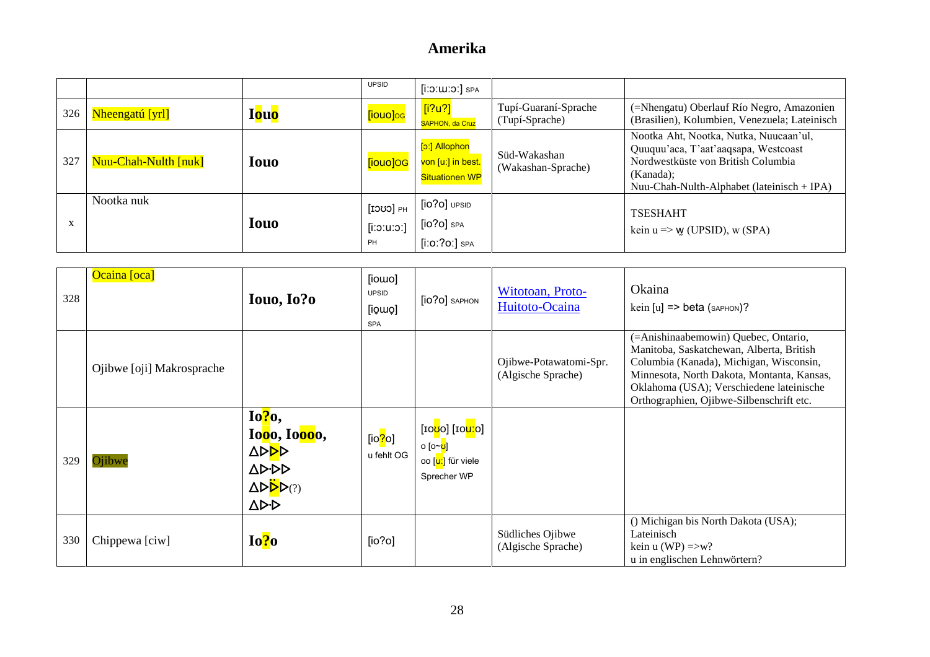|           |                      |              | <b>UPSID</b>                    | $[$ i: $5:$ $III:5$ : $]$ SPA                               |                                        |                                                                                                                                                                                 |
|-----------|----------------------|--------------|---------------------------------|-------------------------------------------------------------|----------------------------------------|---------------------------------------------------------------------------------------------------------------------------------------------------------------------------------|
| 326       | Nheengatú [yrl]      | <b>I</b> ouo | [iouo]oc                        | [i?u?]<br>SAPHON, da Cruz                                   | Tupí-Guaraní-Sprache<br>(Tupí-Sprache) | (=Nhengatu) Oberlauf Río Negro, Amazonien<br>(Brasilien), Kolumbien, Venezuela; Lateinisch                                                                                      |
| 327       | Nuu-Chah-Nulth [nuk] | <b>Iouo</b>  | [iouo]OG                        | [p:] Allophon<br>von [uː] in best.<br><b>Situationen WP</b> | Süd-Wakashan<br>(Wakashan-Sprache)     | Nootka Aht, Nootka, Nutka, Nuucaan'ul,<br>Quuquu'aca, T'aat'aaqsapa, Westcoast<br>Nordwestküste von British Columbia<br>(Kanada);<br>Nuu-Chah-Nulth-Alphabet (lateinisch + IPA) |
| $\Lambda$ | Nootka nuk           | <b>Iouo</b>  | FH [CUCI]<br>$[$ ic:u:o:]<br>PH | $[io?o]$ UPSID<br>$[io?o]$ SPA<br>$[i:0:?0.]$ SPA           |                                        | <b>TSESHAHT</b><br>kein $u \Rightarrow w$ (UPSID), w (SPA)                                                                                                                      |

| 328 | Ocaina [oca]              | Iouo, Io?o                                                                                                                                                  | [iowo]<br><b>UPSID</b><br>[io̯wo]<br><b>SPA</b> | [10?0] SAPHON                                                                                                            | Witotoan, Proto-<br>Huitoto-Ocaina           | Okaina<br>kein $[u]$ => beta (saphon)?                                                                                                                                                                                                                            |
|-----|---------------------------|-------------------------------------------------------------------------------------------------------------------------------------------------------------|-------------------------------------------------|--------------------------------------------------------------------------------------------------------------------------|----------------------------------------------|-------------------------------------------------------------------------------------------------------------------------------------------------------------------------------------------------------------------------------------------------------------------|
|     | Ojibwe [oji] Makrosprache |                                                                                                                                                             |                                                 |                                                                                                                          | Ojibwe-Potawatomi-Spr.<br>(Algische Sprache) | (=Anishinaabemowin) Quebec, Ontario,<br>Manitoba, Saskatchewan, Alberta, British<br>Columbia (Kanada), Michigan, Wisconsin,<br>Minnesota, North Dakota, Montanta, Kansas,<br>Oklahoma (USA); Verschiedene lateinische<br>Orthographien, Ojibwe-Silbenschrift etc. |
| 329 | Ojibwe                    | $Io?$ <sub>0</sub> ,<br>Iooo, Ioooo,<br><b>APPP</b><br><b>AD-DD</b><br>$\Delta \triangleright \overset{\cdot \cdot }{\triangleright} \mathsf{P}(?)$<br>AD-D | [io <mark>?</mark> o]<br>u fehlt OG             | [10 <mark>00</mark> ] [10 <mark>00</mark> ]<br>ი [ი~ <mark>ʊ</mark> ]<br>oo [ <mark>uː</mark> ] für viele<br>Sprecher WP |                                              |                                                                                                                                                                                                                                                                   |
| 330 | Chippewa [ciw]            | Io?o                                                                                                                                                        | [io?o]                                          |                                                                                                                          | Südliches Ojibwe<br>(Algische Sprache)       | () Michigan bis North Dakota (USA);<br>Lateinisch<br>kein u (WP) $\Rightarrow$ w?<br>u in englischen Lehnwörtern?                                                                                                                                                 |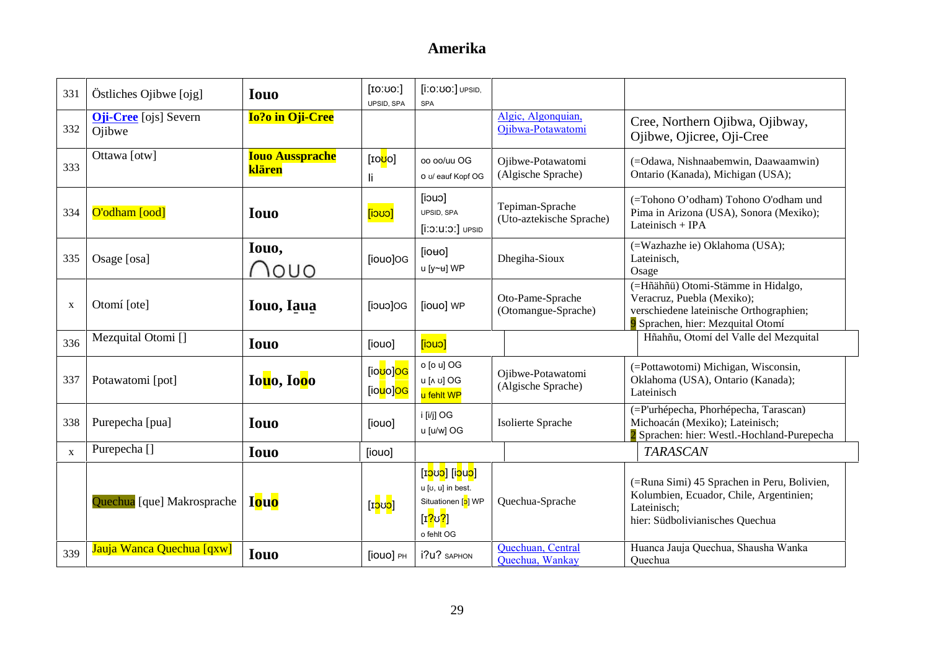| 331          | Östliches Ojibwe [ojg]                 | <b>Iouo</b>                      | [ΙΟ: ΟΟ:<br>UPSID, SPA                             | [i:0:00:] UPSID,<br><b>SPA</b>                                                                                                |                                             |                                                                                                                                                  |
|--------------|----------------------------------------|----------------------------------|----------------------------------------------------|-------------------------------------------------------------------------------------------------------------------------------|---------------------------------------------|--------------------------------------------------------------------------------------------------------------------------------------------------|
| 332          | <b>Oji-Cree</b> [ojs] Severn<br>Ojibwe | <b>Io?o in Oji-Cree</b>          |                                                    |                                                                                                                               | Algic, Algonquian,<br>Ojibwa-Potawatomi     | Cree, Northern Ojibwa, Ojibway,<br>Ojibwe, Ojicree, Oji-Cree                                                                                     |
| 333          | Ottawa [otw]                           | <b>Iouo Aussprache</b><br>klären | [10 <mark>U</mark> O]<br>li.                       | oo oo/uu OG<br>o v/ eauf Kopf OG                                                                                              | Ojibwe-Potawatomi<br>(Algische Sprache)     | (=Odawa, Nishnaabemwin, Daawaamwin)<br>Ontario (Kanada), Michigan (USA);                                                                         |
| 334          | O'odham [ood]                          | <b>Iouo</b>                      | <mark>[i၁ဎ၁]</mark>                                | [iouo]<br>UPSID, SPA<br>$[i:0:U:0.]$ UPSID                                                                                    | Tepiman-Sprache<br>(Uto-aztekische Sprache) | (=Tohono O'odham) Tohono O'odham und<br>Pima in Arizona (USA), Sonora (Mexiko);<br>Lateinisch + IPA                                              |
| 335          | Osage [osa]                            | Iouo,<br>VOUO                    | [iouo]OG                                           | [io <sub>uo</sub> ]<br>u [y~u] WP                                                                                             | Dhegiha-Sioux                               | (=Wazhazhe ie) Oklahoma (USA);<br>Lateinisch,<br>Osage                                                                                           |
| X            | Otomí [ote]                            | Iouo, Iaua                       | [iouo]OG                                           | [iouo] WP                                                                                                                     | Oto-Pame-Sprache<br>(Otomangue-Sprache)     | (=Hñähñü) Otomi-Stämme in Hidalgo,<br>Veracruz, Puebla (Mexiko);<br>verschiedene lateinische Orthographien;<br>9 Sprachen, hier: Mezquital Otomí |
| 336          | Mezquital Otomi []                     | <b>Iouo</b>                      | [iouo]                                             | [iouo]                                                                                                                        |                                             | Hñahñu, Otomí del Valle del Mezquital                                                                                                            |
| 337          | Potawatomi [pot]                       | Iouo, Iooo                       | [io <mark>ʊ</mark> o]OG<br>[io <mark>u</mark> o]OG | o [o u] OG<br>u fehlt WP                                                                                                      | Ojibwe-Potawatomi<br>(Algische Sprache)     | (=Pottawotomi) Michigan, Wisconsin,<br>Oklahoma (USA), Ontario (Kanada);<br>Lateinisch                                                           |
| 338          | Purepecha [pua]                        | <b>Iouo</b>                      | [iouo]                                             | i [i/j] OG<br>u [u/w] OG                                                                                                      | Isolierte Sprache                           | (=P'urhépecha, Phorhépecha, Tarascan)<br>Michoacán (Mexiko); Lateinisch;<br>2 Sprachen: hier: Westl.-Hochland-Purepecha                          |
| $\mathbf{X}$ | Purepecha <sup>[]</sup>                | <b>Iouo</b>                      | [iouo]                                             |                                                                                                                               |                                             | <b>TARASCAN</b>                                                                                                                                  |
|              | Quechua [que] Makrosprache             | <b>Iouo</b>                      | [I <mark>ວ</mark> ບ <mark>ວ</mark> ]               | [ɪ <mark>ɔ</mark> ʊɔ] [i <mark>ɔ</mark> uɔ]<br>u [v, u] in best.<br>Situationen [o] WP<br>[ɪ <mark>?ʊ?</mark> ]<br>o fehlt OG | Quechua-Sprache                             | (=Runa Simi) 45 Sprachen in Peru, Bolivien,<br>Kolumbien, Ecuador, Chile, Argentinien;<br>Lateinisch;<br>hier: Südbolivianisches Quechua         |
| 339          | Jauja Wanca Quechua [qxw]              | <b>Iouo</b>                      | [iouo] PH                                          | i?u? SAPHON                                                                                                                   | Quechuan, Central<br>Quechua, Wankay        | Huanca Jauja Quechua, Shausha Wanka<br>Quechua                                                                                                   |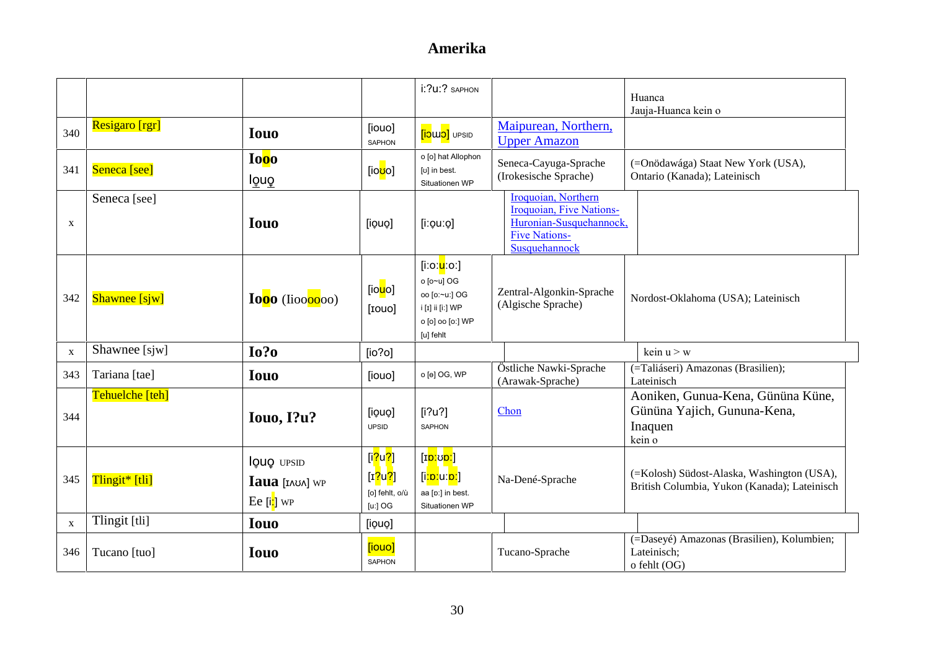|              |                 |                                                                      |                                                                     | i:?u:? SAPHON                                                                                                            |                                                                                                                     | Huanca<br>Jauja-Huanca kein o                                                              |
|--------------|-----------------|----------------------------------------------------------------------|---------------------------------------------------------------------|--------------------------------------------------------------------------------------------------------------------------|---------------------------------------------------------------------------------------------------------------------|--------------------------------------------------------------------------------------------|
| 340          | Resigaro [rgr]  | <b>Iouo</b>                                                          | [iouo]<br>SAPHON                                                    | <b><i>a</i></b> UPSID                                                                                                    | Maipurean, Northern,<br><b>Upper Amazon</b>                                                                         |                                                                                            |
| 341          | Seneca [see]    | Ioo <sub>o</sub><br>louo                                             | [io <mark>ʊ</mark> o]                                               | o [o] hat Allophon<br>[v] in best.<br>Situationen WP                                                                     | Seneca-Cayuga-Sprache<br>(Irokesische Sprache)                                                                      | (=Onödawága) Staat New York (USA),<br>Ontario (Kanada); Lateinisch                         |
| $\mathbf X$  | Seneca [see]    | <b>Iouo</b>                                                          | [iouo]                                                              | $[$ i: $\varphi$ u: $\varphi$ ]                                                                                          | Iroquoian, Northern<br>Iroquoian, Five Nations-<br>Huronian-Susquehannock,<br><b>Five Nations-</b><br>Susquehannock |                                                                                            |
| 342          | Shawnee [sjw]   | Iooo (Iioooooo)                                                      | [io <mark>u</mark> o]<br>[rouo]                                     | [iːoː <mark>u</mark> ːoː]<br>o [o~u] OG<br>oo [o:~u:] OG<br>i [1] ii [i:] WP<br>o [o] oo [o:] WP<br>[u] fehlt            | Zentral-Algonkin-Sprache<br>(Algische Sprache)                                                                      | Nordost-Oklahoma (USA); Lateinisch                                                         |
| $\mathbf{X}$ | Shawnee [sjw]   | $I0$ ?                                                               | [io?o]                                                              |                                                                                                                          |                                                                                                                     | kein $u > w$                                                                               |
| 343          | Tariana [tae]   | <b>Iouo</b>                                                          | [iouo]                                                              | o [e] OG, WP                                                                                                             | Östliche Nawki-Sprache<br>(Arawak-Sprache)                                                                          | (=Taliáseri) Amazonas (Brasilien);<br>Lateinisch                                           |
| 344          | Tehuelche [teh] | Iouo, I?u?                                                           | [iouo]<br><b>UPSID</b>                                              | [i?u?]<br><b>SAPHON</b>                                                                                                  | Chon                                                                                                                | Aoniken, Gunua-Kena, Gününa Küne,<br>Gününa Yajich, Gununa-Kena,<br>Inaquen<br>kein o      |
| 345          | Tlingit* [tli]  | louo UPSID<br>$I$ aua $[n \times n]$ WP<br>Ee [i <mark>ː</mark> ] wp | [i <mark>?u?]</mark><br>[ $r$ ?[ $q$ ]<br>[o] fehlt, o/ù<br>[u:] OG | [I <mark>ɒː</mark> ʊ <mark>ɒː</mark> ]<br>[i <mark>ːɒː</mark> uː <mark>ɒː</mark> ]<br>aa [p:] in best.<br>Situationen WP | Na-Dené-Sprache                                                                                                     | (=Kolosh) Südost-Alaska, Washington (USA),<br>British Columbia, Yukon (Kanada); Lateinisch |
| $\mathbf{x}$ | Tlingit [tli]   | <b>Iouo</b>                                                          | [iouo]                                                              |                                                                                                                          |                                                                                                                     |                                                                                            |
| 346          | Tucano [tuo]    | <b>Iouo</b>                                                          | [iouo]<br><b>SAPHON</b>                                             |                                                                                                                          | Tucano-Sprache                                                                                                      | (=Daseyé) Amazonas (Brasilien), Kolumbien;<br>Lateinisch;<br>o fehlt (OG)                  |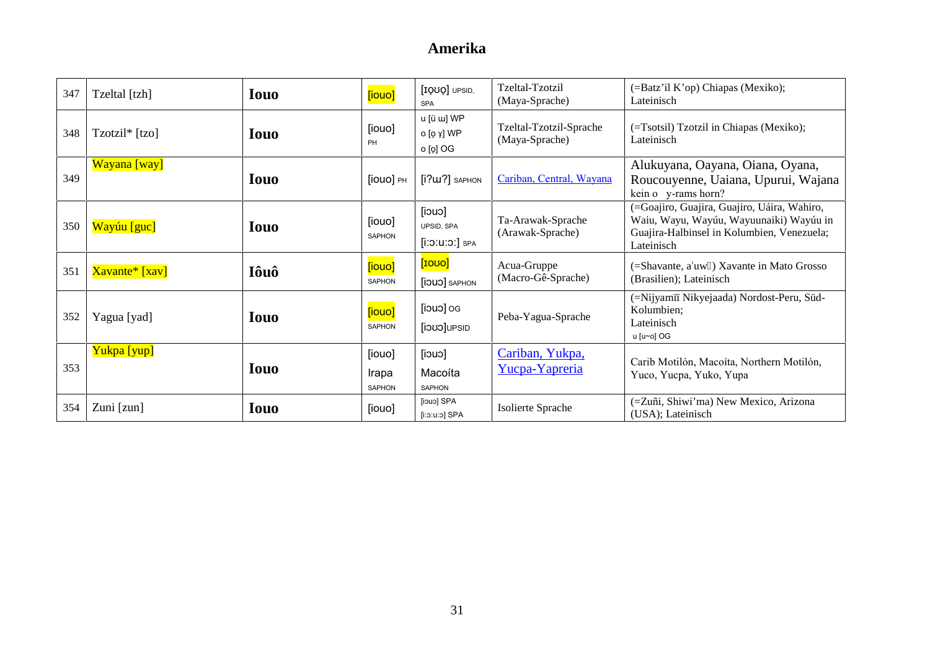| 347 | Tzeltal [tzh]  | <b>Iouo</b> | [iouo]                           | [IQUO] UPSID,<br><b>SPA</b>                                 | Tzeltal-Tzotzil<br>(Maya-Sprache)         | (=Batz'il K'op) Chiapas (Mexiko);<br>Lateinisch                                                                                                    |
|-----|----------------|-------------|----------------------------------|-------------------------------------------------------------|-------------------------------------------|----------------------------------------------------------------------------------------------------------------------------------------------------|
| 348 | Tzotzil* [tzo] | <b>Iouo</b> | [iouo]<br>PH                     | u [ü w] WP<br>ο [ϙ ɤ̞] WP<br>o [o̞] OG                      | Tzeltal-Tzotzil-Sprache<br>(Maya-Sprache) | (=Tsotsil) Tzotzil in Chiapas (Mexiko);<br>Lateinisch                                                                                              |
| 349 | Wayana [way]   | <b>Iouo</b> | [iouo] PH                        | $[i?u2]$ SAPHON                                             | Cariban, Central, Wayana                  | Alukuyana, Oayana, Oiana, Oyana,<br>Roucouyenne, Uaiana, Upurui, Wajana<br>kein o y-rams horn?                                                     |
| 350 | Wayúu [guc]    | <b>Iouo</b> | [iouo]<br><b>SAPHON</b>          | [iouo]<br>UPSID, SPA<br>$[$ i $:$ 0 $:$ u $:$ 0 $:$ $]$ spa | Ta-Arawak-Sprache<br>(Arawak-Sprache)     | (=Goajiro, Guajira, Guajiro, Uáira, Wahiro,<br>Waiu, Wayu, Wayúu, Wayuunaiki) Wayúu in<br>Guajira-Halbinsel in Kolumbien, Venezuela;<br>Lateinisch |
| 351 | Xavante* [xav] | Iôuô        | [iouo]<br><b>SAPHON</b>          | [1000]<br><b>[iOUO]</b> SAPHON                              | Acua-Gruppe<br>(Macro-Gê-Sprache)         | (=Shavante, a'uw) Xavante in Mato Grosso<br>(Brasilien); Lateinisch                                                                                |
| 352 | Yagua [yad]    | <b>Iouo</b> | [iouo]<br><b>SAPHON</b>          | Do [cuci]<br>[iouo]UPSID                                    | Peba-Yagua-Sprache                        | (=Nijyamii Nikyejaada) Nordost-Peru, Süd-<br>Kolumbien;<br>Lateinisch<br>u [u~o] OG                                                                |
| 353 | Yukpa [yup]    | <b>Iouo</b> | [iouo]<br>Irapa<br><b>SAPHON</b> | [iouo]<br>Macoíta<br>SAPHON                                 | Cariban, Yukpa,<br>Yucpa-Yapreria         | Carib Motilón, Macoíta, Northern Motilón,<br>Yuco, Yucpa, Yuko, Yupa                                                                               |
| 354 | Zuni [zun]     | <b>Iouo</b> | [iouo]                           | [iouo] SPA<br>[i:o:u:o] SPA                                 | Isolierte Sprache                         | (=Zuñi, Shiwi'ma) New Mexico, Arizona<br>(USA); Lateinisch                                                                                         |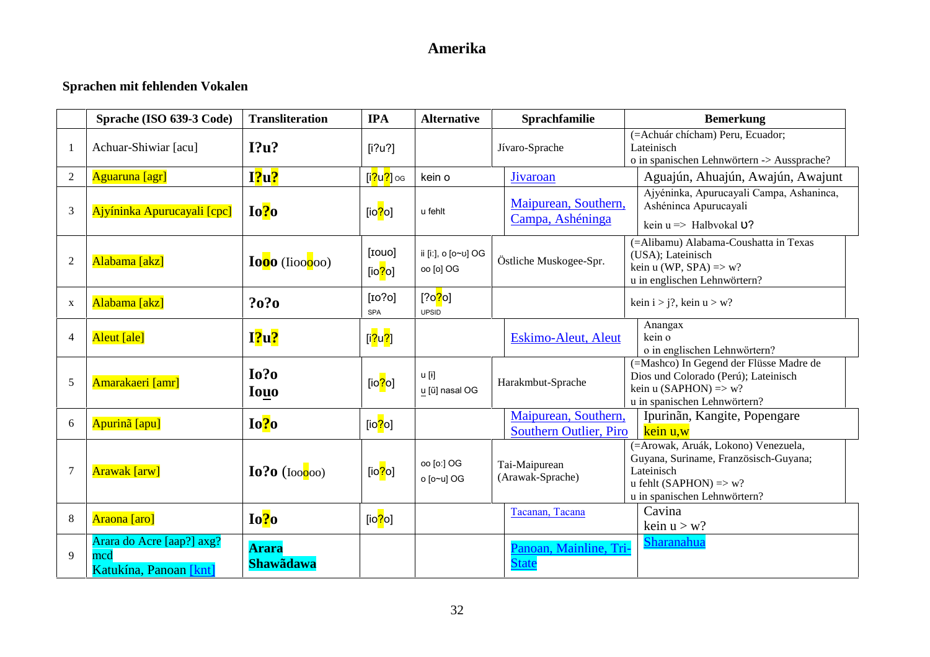### **Sprachen mit fehlenden Vokalen**

|                | Sprache (ISO 639-3 Code)                                   | <b>Transliteration</b>           | <b>IPA</b>                             | <b>Alternative</b>                    | Sprachfamilie                                         | <b>Bemerkung</b>                                                                                                                                                |
|----------------|------------------------------------------------------------|----------------------------------|----------------------------------------|---------------------------------------|-------------------------------------------------------|-----------------------------------------------------------------------------------------------------------------------------------------------------------------|
| -1             | Achuar-Shiwiar [acu]                                       | I?u?                             | [i?u?]                                 |                                       | Jívaro-Sprache                                        | (=Achuár chícham) Peru, Ecuador;<br>Lateinisch<br>o in spanischen Lehnwörtern -> Aussprache?                                                                    |
| $\overline{2}$ | Aguaruna [agr]                                             | I?u?                             | [i <mark>?</mark> u <mark>?</mark> ]og | kein o                                | Jivaroan                                              | Aguajún, Ahuajún, Awajún, Awajunt                                                                                                                               |
| 3              | Ajyíninka Apurucayali [cpc]                                | Io?o                             | [io <mark>?</mark> o]                  | u fehlt                               | Maipurean, Southern,<br>Campa, Ashéninga              | Ajyéninka, Apurucayali Campa, Ashaninca,<br>Ashéninca Apurucayali<br>kein $u \Rightarrow$ Halbyokal 0?                                                          |
| $\overline{2}$ | Alabama [akz]                                              | Iooo (Iioooo)                    | [IOUO]<br>[io $?$ o]                   | ii [iː], ο [o~ʊ] OG<br>oo [o] OG      | Östliche Muskogee-Spr.                                | (=Alibamu) Alabama-Coushatta in Texas<br>(USA); Lateinisch<br>kein u (WP, SPA) $\Rightarrow$ w?<br>u in englischen Lehnwörtern?                                 |
| $\mathbf X$    | Alabama [akz]                                              | ?0?0                             | [IO?0]<br><b>SPA</b>                   | [?o <mark>?</mark> o]<br><b>UPSID</b> |                                                       | kein $i > j$ ?, kein $u > w$ ?                                                                                                                                  |
| $\overline{4}$ | Aleut [ale]                                                | I?u?                             | [i <mark>?</mark> u <mark>?</mark> ]   |                                       | <b>Eskimo-Aleut, Aleut</b>                            | Anangax<br>kein o<br>o in englischen Lehnwörtern?                                                                                                               |
| 5              | Amarakaeri [amr]                                           | Io?o<br><b>Iouo</b>              | [io <mark>?</mark> o]                  | u [ɨ]<br>u [ũ] nasal OG               | Harakmbut-Sprache                                     | (=Mashco) In Gegend der Flüsse Madre de<br>Dios und Colorado (Perú); Lateinisch<br>kein u (SAPHON) $\Rightarrow$ w?<br>u in spanischen Lehnwörtern?             |
| 6              | Apurinã [apu]                                              | Io?o                             | [io $?$ o]                             |                                       | Maipurean, Southern,<br><b>Southern Outlier, Piro</b> | Ipurinãn, Kangite, Popengare<br>kein u,w                                                                                                                        |
| 7              | <b>Arawak</b> [arw]                                        | $I0$ ?0 (Ioo $0$ oo)             | [io <mark>?</mark> o]                  | oo [o:] OG<br>o [o~u] OG              | Tai-Maipurean<br>(Arawak-Sprache)                     | (=Arowak, Aruák, Lokono) Venezuela,<br>Guyana, Suriname, Französisch-Guyana;<br>Lateinisch<br>u fehlt (SAPHON) $\Rightarrow$ w?<br>u in spanischen Lehnwörtern? |
| 8              | Araona [aro]                                               | Io?o                             | [io <mark>?</mark> o]                  |                                       | Tacanan, Tacana                                       | Cavina<br>kein $u > w$ ?                                                                                                                                        |
| 9              | Arara do Acre [aap?] axg?<br>mcd<br>Katukína, Panoan [knt] | <b>Arara</b><br><b>Shawadawa</b> |                                        |                                       | Panoan, Mainline, Tri-<br><b>State</b>                | Sharanahua                                                                                                                                                      |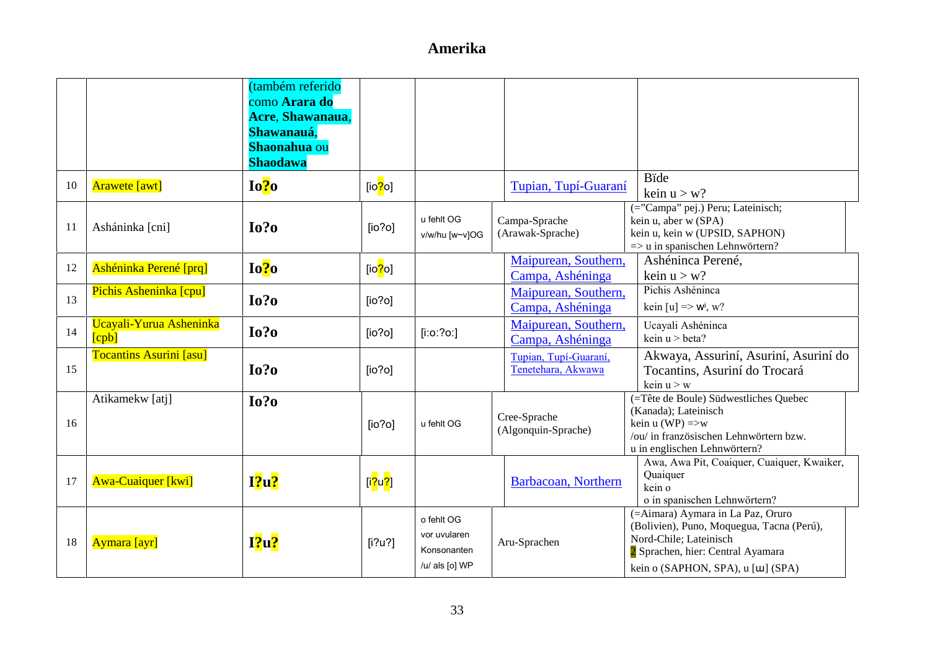|    |                                  | (também referido<br>como Arara do<br>Acre, Shawanaua,<br>Shawanauá,<br>Shaonahua ou<br><b>Shaodawa</b> |                                      |                                                             |                                             |                                                                                                                                                                                    |
|----|----------------------------------|--------------------------------------------------------------------------------------------------------|--------------------------------------|-------------------------------------------------------------|---------------------------------------------|------------------------------------------------------------------------------------------------------------------------------------------------------------------------------------|
| 10 | <b>Arawete</b> [awt]             | Io?o                                                                                                   | [io <mark>?</mark> o]                |                                                             | Tupian, Tupí-Guaraní                        | <b>Bide</b><br>kein $u > w$ ?                                                                                                                                                      |
| 11 | Asháninka [cni]                  | $I0$ ?                                                                                                 | [io?o]                               | u fehlt OG<br>v/w/hu [w~v]OG                                | Campa-Sprache<br>(Arawak-Sprache)           | (="Campa" pej.) Peru; Lateinisch;<br>kein u, aber w (SPA)<br>kein u, kein w (UPSID, SAPHON)<br>$\Rightarrow$ u in spanischen Lehnwörtern?                                          |
| 12 | Ashéninka Perené [prq]           | Io?o                                                                                                   | [ $io$ ? $o$ ]                       |                                                             | Maipurean, Southern,<br>Campa, Ashéninga    | Ashéninca Perené,<br>kein $u > w$ ?                                                                                                                                                |
| 13 | Pichis Asheninka [cpu]           | Io?o                                                                                                   | [io?o]                               |                                                             | Maipurean, Southern,<br>Campa, Ashéninga    | Pichis Ashéninca<br>kein [u] => $w^j$ , w?                                                                                                                                         |
| 14 | Ucayali-Yurua Asheninka<br>[cpb] | Io?o                                                                                                   | [io?o]                               | $[$ i:o:?o:]                                                | Maipurean, Southern,<br>Campa, Ashéninga    | Ucayali Ashéninca<br>kein $u > beta$ ?                                                                                                                                             |
| 15 | <b>Tocantins Asurini</b> [asu]   | $I0$ ?                                                                                                 | [io?o]                               |                                                             | Tupian, Tupí-Guaraní,<br>Tenetehara, Akwawa | Akwaya, Assuriní, Asuriní, Asuriní do<br>Tocantins, Asuriní do Trocará<br>kein $u > w$                                                                                             |
| 16 | Atikamekw [atj]                  | $I0$ ?                                                                                                 | [io?o]                               | u fehlt OG                                                  | Cree-Sprache<br>(Algonquin-Sprache)         | (=Tête de Boule) Südwestliches Quebec<br>(Kanada); Lateinisch<br>kein u (WP) $\Rightarrow$ w<br>/ou/ in französischen Lehnwörtern bzw.<br>u in englischen Lehnwörtern?             |
| 17 | <b>Awa-Cuaiquer</b> [kwi]        | $I$ ?u?                                                                                                | [i <mark>?</mark> u <mark>?</mark> ] |                                                             | Barbacoan, Northern                         | Awa, Awa Pit, Coaiquer, Cuaiquer, Kwaiker,<br>Quaiquer<br>kein o<br>o in spanischen Lehnwörtern?                                                                                   |
| 18 | Aymara [ayr]                     | $I$ ?u?                                                                                                | [i?u?]                               | o fehlt OG<br>vor uvularen<br>Konsonanten<br>/u/ als [o] WP | Aru-Sprachen                                | (=Aimara) Aymara in La Paz, Oruro<br>(Bolivien), Puno, Moquegua, Tacna (Perú),<br>Nord-Chile; Lateinisch<br>2 Sprachen, hier: Central Ayamara<br>kein o (SAPHON, SPA), u [W] (SPA) |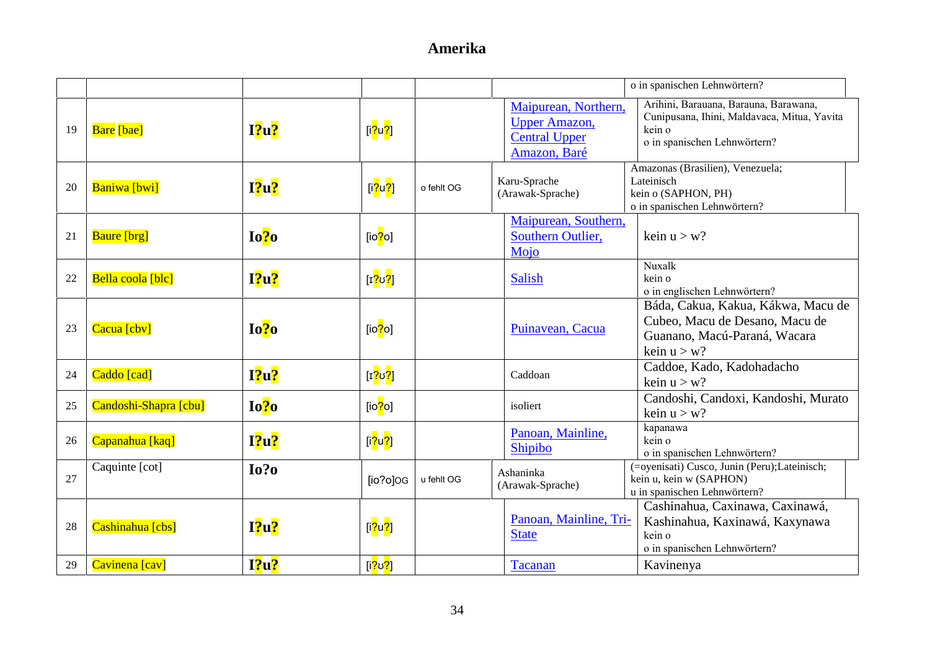|    |                       |         |                                      |            |                                                                                      | o in spanischen Lehnwörtern?                                                                                                   |
|----|-----------------------|---------|--------------------------------------|------------|--------------------------------------------------------------------------------------|--------------------------------------------------------------------------------------------------------------------------------|
| 19 | <b>Bare</b> [bae]     | I2u2    | [i <mark>?</mark> u <mark>?</mark> ] |            | Maipurean, Northern,<br><b>Upper Amazon,</b><br><b>Central Upper</b><br>Amazon, Baré | Arihini, Barauana, Barauna, Barawana,<br>Cunipusana, Ihini, Maldavaca, Mitua, Yavita<br>kein o<br>o in spanischen Lehnwörtern? |
| 20 | <b>Baniwa</b> [bwi]   | $I$ ?u? | [i <mark>?</mark> u <mark>?</mark> ] | o fehlt OG | Karu-Sprache<br>(Arawak-Sprache)                                                     | Amazonas (Brasilien), Venezuela;<br>Lateinisch<br>kein o (SAPHON, PH)<br>o in spanischen Lehnwörtern?                          |
| 21 | <b>Baure</b> [brg]    | Io?o    | [io <mark>?</mark> o]                |            | Maipurean, Southern,<br>Southern Outlier,<br>Mojo                                    | kein $u > w$ ?                                                                                                                 |
| 22 | Bella coola [blc]     | $12u$ ? | [1 <mark>?</mark> ʊ <mark>?</mark> ] |            | <b>Salish</b>                                                                        | Nuxalk<br>kein o<br>o in englischen Lehnwörtern?                                                                               |
| 23 | Cacua [cbv]           | Io?o    | [io <mark>?</mark> o]                |            | Puinavean, Cacua                                                                     | Báda, Cakua, Kakua, Kákwa, Macu de<br>Cubeo, Macu de Desano, Macu de<br>Guanano, Macú-Paraná, Wacara<br>kein $u > w$ ?         |
| 24 | Caddo [cad]           | $I$ ?u? | [1 <mark>?</mark> ʊ <mark>?</mark> ] |            | Caddoan                                                                              | Caddoe, Kado, Kadohadacho<br>kein $u > w$ ?                                                                                    |
| 25 | Candoshi-Shapra [cbu] | Io?o    | [io $?$ o]                           |            | isoliert                                                                             | Candoshi, Candoxi, Kandoshi, Murato<br>kein $u > w$ ?                                                                          |
| 26 | Capanahua [kaq]       | $I$ ?u? | [i <mark>?u?]</mark>                 |            | Panoan, Mainline,<br>Shipibo                                                         | kapanawa<br>kein o<br>o in spanischen Lehnwörtern?                                                                             |
| 27 | Caquinte [cot]        | Io?o    | $[io?o]$ OG                          | u fehlt OG | Ashaninka<br>(Arawak-Sprache)                                                        | (=oyenisati) Cusco, Junin (Peru);Lateinisch;<br>kein u, kein w (SAPHON)<br>u in spanischen Lehnwörtern?                        |
| 28 | Cashinahua [cbs]      | I2u2    | [i <mark>?u?]</mark>                 |            | Panoan, Mainline, Tri-<br><b>State</b>                                               | Cashinahua, Caxinawa, Caxinawá,<br>Kashinahua, Kaxinawá, Kaxynawa<br>kein o<br>o in spanischen Lehnwörtern?                    |
| 29 | Cavinena [cav]        | $12u$ ? | [i <mark>?ʊ?</mark> ]                |            | Tacanan                                                                              | Kavinenya                                                                                                                      |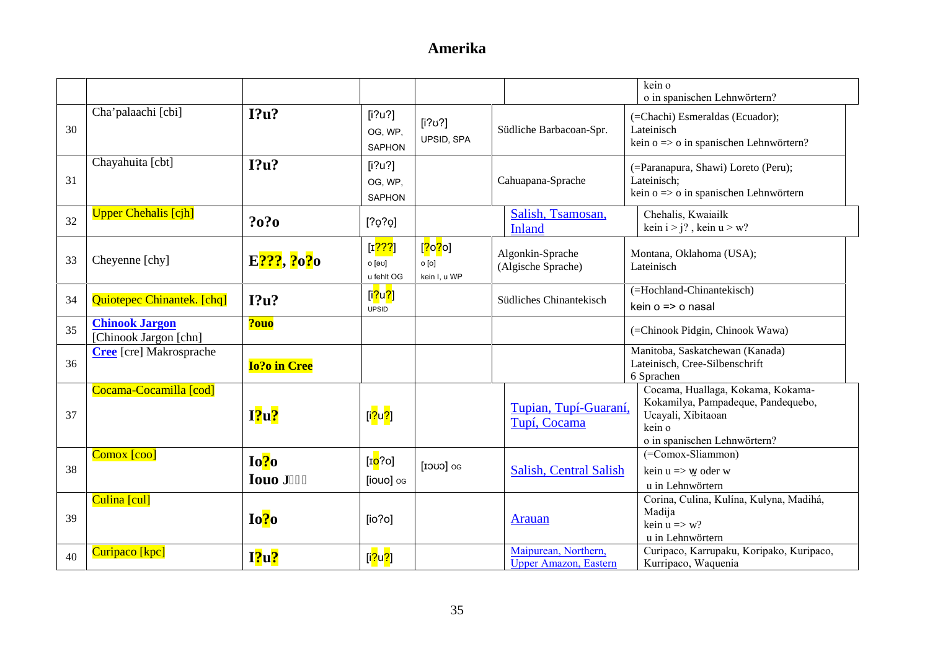|    |                                                |                       |                                               |                                                              |                                                       | kein o<br>o in spanischen Lehnwörtern?                                                                                                  |
|----|------------------------------------------------|-----------------------|-----------------------------------------------|--------------------------------------------------------------|-------------------------------------------------------|-----------------------------------------------------------------------------------------------------------------------------------------|
| 30 | Cha'palaachi [cbi]                             | I?u?                  | [i?u?]<br>OG, WP,<br><b>SAPHON</b>            | $[i?\upsilon$ ?]<br>UPSID, SPA                               | Südliche Barbacoan-Spr.                               | (=Chachi) Esmeraldas (Ecuador);<br>Lateinisch<br>kein o => o in spanischen Lehnwörtern?                                                 |
| 31 | Chayahuita [cbt]                               | I?u?                  | [i?u?]<br>OG, WP,<br><b>SAPHON</b>            |                                                              | Cahuapana-Sprache                                     | (=Paranapura, Shawi) Loreto (Peru);<br>Lateinisch;<br>kein o => o in spanischen Lehnwörtern                                             |
| 32 | <b>Upper Chehalis [cjh]</b>                    | ?0?0                  | [202]                                         |                                                              | Salish, Tsamosan,<br><b>Inland</b>                    | Chehalis, Kwaiailk<br>kein $i > j$ ?, kein $u > w$ ?                                                                                    |
| 33 | Cheyenne [chy]                                 | E???, ?0?0            | [1 <mark>???]</mark><br>0 [່ອບ]<br>u fehlt OG | [ <mark>?</mark> o <mark>?</mark> o]<br>o[o]<br>kein I, u WP | Algonkin-Sprache<br>(Algische Sprache)                | Montana, Oklahoma (USA);<br>Lateinisch                                                                                                  |
| 34 | Quiotepec Chinantek. [chq]                     | I?u?                  | [i <mark>?u?]</mark><br><b>UPSID</b>          |                                                              | Südliches Chinantekisch                               | (=Hochland-Chinantekisch)<br>kein o => o nasal                                                                                          |
| 35 | <b>Chinook Jargon</b><br>[Chinook Jargon [chn] | ?ouo                  |                                               |                                                              |                                                       | (=Chinook Pidgin, Chinook Wawa)                                                                                                         |
| 36 | <b>Cree</b> [cre] Makrosprache                 | <b>Io?o in Cree</b>   |                                               |                                                              |                                                       | Manitoba, Saskatchewan (Kanada)<br>Lateinisch, Cree-Silbenschrift<br>6 Sprachen                                                         |
| 37 | Cocama-Cocamilla [cod]                         | <b>1?u?</b>           | [i <mark>?</mark> u <mark>?</mark> ]          |                                                              | Tupian, Tupí-Guaraní,<br>Tupí, Cocama                 | Cocama, Huallaga, Kokama, Kokama-<br>Kokamilya, Pampadeque, Pandequebo,<br>Ucayali, Xibitaoan<br>kein o<br>o in spanischen Lehnwörtern? |
| 38 | Comox [coo]                                    | Io?o<br><b>Iouo</b> J | [1 <mark>0</mark> ?0]<br>[iouo] og            | <b>DO CUCI</b>                                               | <b>Salish, Central Salish</b>                         | (=Comox-Sliammon)<br>kein $u \Rightarrow w$ oder w<br>u in Lehnwörtern                                                                  |
| 39 | Culina [cul]                                   | Io?o                  | [io?o]                                        |                                                              | <b>Arauan</b>                                         | Corina, Culina, Kulína, Kulyna, Madihá,<br>Madija<br>kein $u \Rightarrow w$ ?<br>u in Lehnwörtern                                       |
| 40 | Curipaco [kpc]                                 | $I$ ?u?               | [i <mark>?</mark> u <mark>?</mark> ]          |                                                              | Maipurean, Northern,<br><b>Upper Amazon</b> , Eastern | Curipaco, Karrupaku, Koripako, Kuripaco,<br>Kurripaco, Waquenia                                                                         |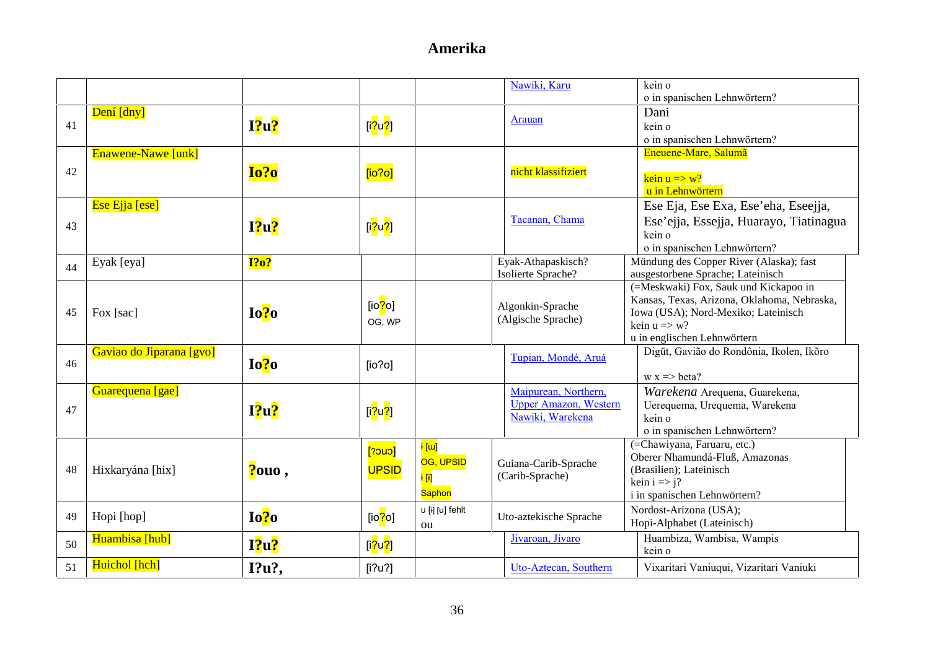|    |                          |             |                                      |                    | Nawiki, Karu                  | kein o                                           |
|----|--------------------------|-------------|--------------------------------------|--------------------|-------------------------------|--------------------------------------------------|
|    |                          |             |                                      |                    |                               | o in spanischen Lehnwörtern?                     |
|    | Dení [dny]               |             |                                      |                    | Arauan                        | Dani                                             |
| 41 |                          | 12u?        | [i <mark>?u?</mark> ]                |                    |                               | kein o                                           |
|    |                          |             |                                      |                    |                               | o in spanischen Lehnwörtern?                     |
|    | Enawene-Nawe [unk]       |             |                                      |                    |                               | Eneuene-Mare, Salumã                             |
| 42 |                          | Io?o        | [io?o]                               |                    | nicht klassifiziert           | $\frac{\text{kein } u \implies w?}{h}$           |
|    |                          |             |                                      |                    |                               | u in Lehnwörtern                                 |
|    | Ese Ejja [ese]           |             |                                      |                    |                               | Ese Eja, Ese Exa, Ese'eha, Eseejja,              |
|    |                          |             |                                      |                    | Tacanan, Chama                |                                                  |
| 43 |                          | $I$ ?u?     | [i <mark>?</mark> u <mark>?</mark> ] |                    |                               | Ese'ejja, Essejja, Huarayo, Tiatinagua<br>kein o |
|    |                          |             |                                      |                    | o in spanischen Lehnwörtern?  |                                                  |
|    | Eyak [eya]               | <b>1?o?</b> |                                      |                    | Eyak-Athapaskisch?            | Mündung des Copper River (Alaska); fast          |
| 44 |                          |             |                                      |                    | Isolierte Sprache?            | ausgestorbene Sprache; Lateinisch                |
|    |                          |             |                                      |                    |                               | (=Meskwaki) Fox, Sauk und Kickapoo in            |
|    |                          |             | $[io2$ o]                            |                    | Algonkin-Sprache              | Kansas, Texas, Arizona, Oklahoma, Nebraska,      |
| 45 | Fox [sac]                | Io?o        |                                      |                    | (Algische Sprache)            | Iowa (USA); Nord-Mexiko; Lateinisch              |
|    |                          |             | OG, WP                               |                    |                               | kein $u \Rightarrow w$ ?                         |
|    |                          |             |                                      |                    | u in englischen Lehnwörtern   |                                                  |
| 46 | Gaviao do Jiparana [gvo] | Io?0        |                                      |                    | Tupian, Mondé, Aruá           | Digüt, Gavião do Rondônia, Ikolen, Ikõro         |
|    |                          |             | [io?o]                               |                    |                               | $w x \Rightarrow \text{beta?}$                   |
|    | Guarequena [gae]         |             |                                      |                    | Maipurean, Northern,          | Warekena Arequena, Guarekena,                    |
|    |                          |             |                                      |                    | <b>Upper Amazon</b> , Western | Uerequema, Urequema, Warekena                    |
| 47 |                          | I?u?        | [i <mark>?u?</mark> ]                |                    | Nawiki, Warekena              | kein o                                           |
|    |                          |             |                                      |                    |                               | o in spanischen Lehnwörtern?                     |
|    |                          |             | [20u]                                | <mark>i [ɯ]</mark> |                               | (=Chawiyana, Faruaru, etc.)                      |
|    |                          |             |                                      | OG, UPSID          | Guiana-Carib-Sprache          | Oberer Nhamundá-Fluß, Amazonas                   |
| 48 | Hixkaryána [hix]         | ?ouo,       | <b>UPSID</b>                         | i [i]              | (Carib-Sprache)               | (Brasilien); Lateinisch                          |
|    |                          |             |                                      | Saphon             |                               | kein $i \Rightarrow j$ ?                         |
|    |                          |             |                                      |                    |                               | i in spanischen Lehnwörtern?                     |
| 49 | Hopi [hop]               | Io?0        | [io <mark>?</mark> o]                | u [ɨ] [u] fehlt    | Uto-aztekische Sprache        | Nordost-Arizona (USA);                           |
|    |                          |             |                                      | ou                 |                               | Hopi-Alphabet (Lateinisch)                       |
| 50 | Huambisa [hub]           | $I$ ?u?     | [i <mark>?u?]</mark>                 |                    | Jivaroan, Jívaro              | Huambiza, Wambisa, Wampis<br>kein o              |
|    | Huichol [hch]            |             |                                      |                    |                               |                                                  |
| 51 |                          | I?u?,       | [i?u?]                               |                    | Uto-Aztecan, Southern         | Vixaritari Vaniuqui, Vizaritari Vaniuki          |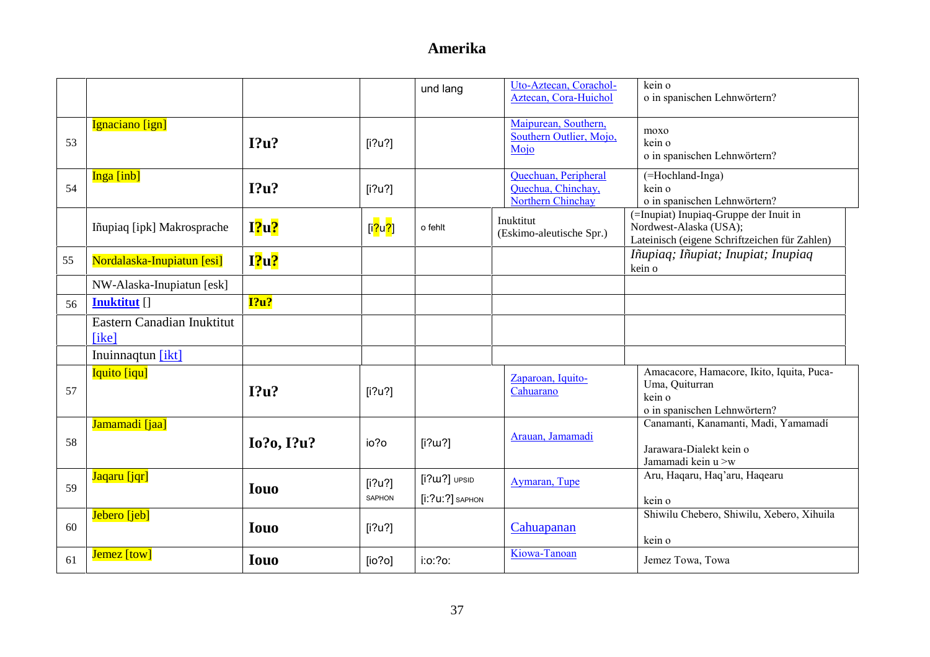|    |                                     |                   |                         | und lang                              | Uto-Aztecan, Corachol-<br>Aztecan, Cora-Huichol                 | kein o<br>o in spanischen Lehnwörtern?                                                                            |
|----|-------------------------------------|-------------------|-------------------------|---------------------------------------|-----------------------------------------------------------------|-------------------------------------------------------------------------------------------------------------------|
| 53 | Ignaciano [ign]                     | $I$ ?u?           | [i?u?]                  |                                       | Maipurean, Southern,<br>Southern Outlier, Mojo,<br>Mojo         | moxo<br>kein o<br>o in spanischen Lehnwörtern?                                                                    |
| 54 | Inga [inb]                          | I?u?              | [i?u?]                  |                                       | Quechuan, Peripheral<br>Quechua, Chinchay,<br>Northern Chinchay | (=Hochland-Inga)<br>kein o<br>o in spanischen Lehnwörtern?                                                        |
|    | Iñupiaq [ipk] Makrosprache          | $I$ ?u?           | [i <mark>?u?]</mark>    | o fehlt                               | Inuktitut<br>(Eskimo-aleutische Spr.)                           | (=Inupiat) Inupiaq-Gruppe der Inuit in<br>Nordwest-Alaska (USA);<br>Lateinisch (eigene Schriftzeichen für Zahlen) |
| 55 | Nordalaska-Inupiatun [esi]          | $I$ ?u?           |                         |                                       |                                                                 | Iñupiaq; Iñupiat; Inupiat; Inupiaq<br>kein o                                                                      |
|    | NW-Alaska-Inupiatun [esk]           |                   |                         |                                       |                                                                 |                                                                                                                   |
| 56 | <b>Inuktitut</b> []                 | 12u?              |                         |                                       |                                                                 |                                                                                                                   |
|    | Eastern Canadian Inuktitut<br>[ike] |                   |                         |                                       |                                                                 |                                                                                                                   |
|    | Inuinnaqtun [ikt]                   |                   |                         |                                       |                                                                 |                                                                                                                   |
| 57 | Iquito [iqu]                        | 12u?              | [i?u?]                  |                                       | Zaparoan, Iquito-<br>Cahuarano                                  | Amacacore, Hamacore, Ikito, Iquita, Puca-<br>Uma, Quiturran<br>kein o<br>o in spanischen Lehnwörtern?             |
| 58 | Jamamadi [jaa]                      | <b>Io?o, I?u?</b> | io?o                    | [i?w?]                                | Arauan, Jamamadi                                                | Canamanti, Kanamanti, Madi, Yamamadí<br>Jarawara-Dialekt kein o<br>Jamamadi kein u >w                             |
| 59 | Jaqaru [jqr]                        | <b>Iouo</b>       | [i?u?]<br><b>SAPHON</b> | $[i?u2]$ UPSID<br>$[i: ?u: ?]$ SAPHON | Aymaran, Tupe                                                   | Aru, Haqaru, Haq'aru, Haqearu<br>kein o                                                                           |
| 60 | Jebero [jeb]                        | <b>Iouo</b>       | [i?u?]                  |                                       | Cahuapanan                                                      | Shiwilu Chebero, Shiwilu, Xebero, Xihuila<br>kein o                                                               |
| 61 | Jemez [tow]                         | <b>Iouo</b>       | [io?o]                  | i:o:?o:                               | Kiowa-Tanoan                                                    | Jemez Towa, Towa                                                                                                  |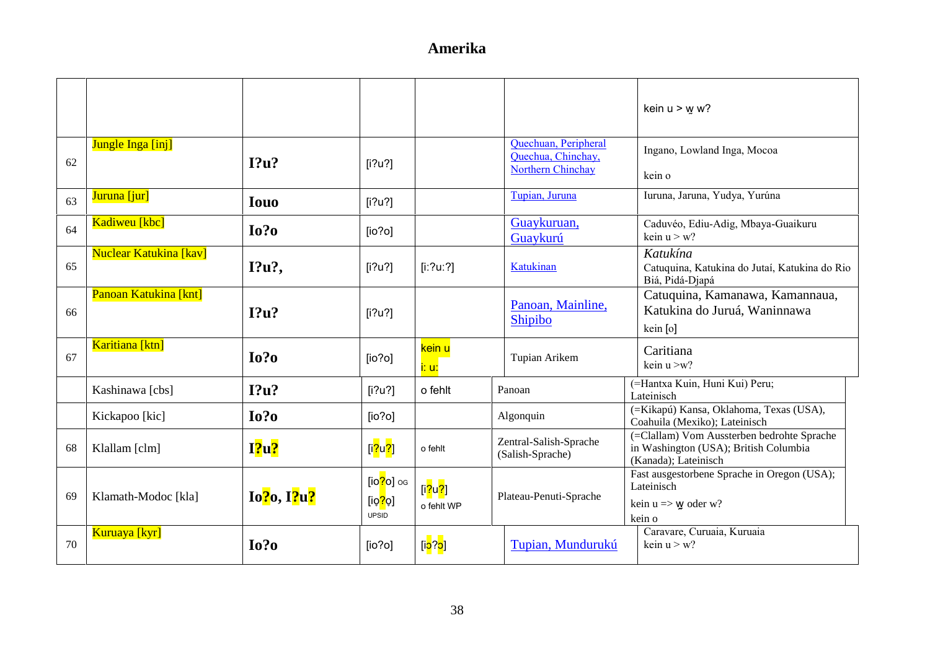|    |                               |             |                                                                   |                                      |                                                                        | kein $u > w w$ ?                                                                                            |
|----|-------------------------------|-------------|-------------------------------------------------------------------|--------------------------------------|------------------------------------------------------------------------|-------------------------------------------------------------------------------------------------------------|
| 62 | Jungle Inga [inj]             | I?u?        | [i?u?]                                                            |                                      | Quechuan, Peripheral<br>Quechua, Chinchay,<br><b>Northern Chinchay</b> | Ingano, Lowland Inga, Mocoa<br>kein o                                                                       |
| 63 | Juruna [jur]                  | <b>Iouo</b> | [i?u?]                                                            |                                      | Tupian, Juruna                                                         | Iuruna, Jaruna, Yudya, Yurúna                                                                               |
| 64 | Kadiweu [kbc]                 | Io?o        | [io?o]                                                            |                                      | Guaykuruan,<br>Guaykurú                                                | Caduvéo, Ediu-Adig, Mbaya-Guaikuru<br>kein $u > w$ ?                                                        |
| 65 | <b>Nuclear Katukina [kav]</b> | I?u?        | [i?u?]                                                            | [i:?u:?]                             | Katukinan                                                              | Katukína<br>Catuquina, Katukina do Jutaí, Katukina do Rio<br>Biá, Pidá-Djapá                                |
| 66 | Panoan Katukina [knt]         | $I$ ?u?     | [i?u?]                                                            |                                      | Panoan, Mainline,<br>Shipibo                                           | Catuquina, Kamanawa, Kamannaua,<br>Katukina do Juruá, Waninnawa<br>kein [o]                                 |
| 67 | Karitiana [ktn]               | $I0$ ?      | [io?o]                                                            | kein u<br>i: u:                      | Tupian Arikem                                                          | Caritiana<br>kein $u > w$ ?                                                                                 |
|    | Kashinawa [cbs]               | I?u?        | [i?u?]                                                            | o fehlt                              | Panoan                                                                 | (=Hantxa Kuin, Huni Kui) Peru;<br>Lateinisch                                                                |
|    | Kickapoo [kic]                | $I0$ ?      | [io?o]                                                            |                                      | Algonquin                                                              | (=Kikapú) Kansa, Oklahoma, Texas (USA),<br>Coahuila (Mexiko); Lateinisch                                    |
| 68 | Klallam [clm]                 | $12u$ ?     | [i <mark>?u?]</mark>                                              | o fehlt                              | Zentral-Salish-Sprache<br>(Salish-Sprache)                             | (=Clallam) Vom Aussterben bedrohte Sprache<br>in Washington (USA); British Columbia<br>(Kanada); Lateinisch |
| 69 | Klamath-Modoc [kla]           | Io?o, I?u?  | [io <mark>?</mark> o] og<br>[io <mark>?</mark> o]<br><b>UPSID</b> | [i <mark>?u?]</mark><br>o fehlt WP   | Plateau-Penuti-Sprache                                                 | Fast ausgestorbene Sprache in Oregon (USA);<br>Lateinisch<br>kein $u \Rightarrow w$ oder w?<br>kein o       |
| 70 | Kuruaya [kyr]                 | Io?o        | [io?o]                                                            | [i <mark>ɔ</mark> ? <mark>ɔ</mark> ] | Tupian, Mundurukú                                                      | Caravare, Curuaia, Kuruaia<br>kein $u > w$ ?                                                                |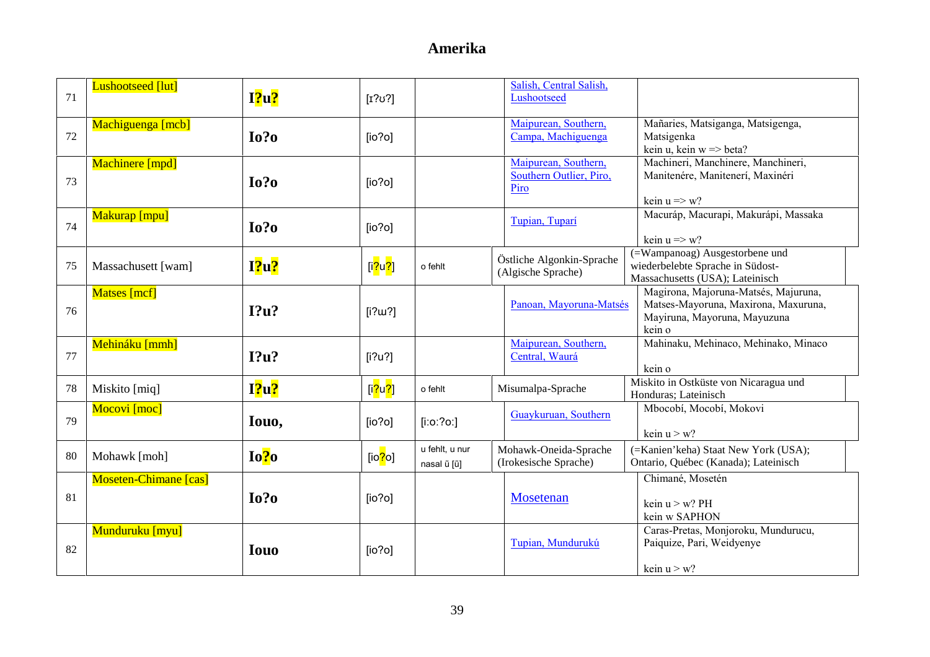| 71 | <b>Lushootseed</b> [lut]     | $12u$ ?     | $\lceil r?v? \rceil$                 |                               | Salish, Central Salish,<br>Lushootseed                  |                                                                                                                        |
|----|------------------------------|-------------|--------------------------------------|-------------------------------|---------------------------------------------------------|------------------------------------------------------------------------------------------------------------------------|
| 72 | Machiguenga [mcb]            | $I0$ ?      | [io?o]                               |                               | Maipurean, Southern,<br>Campa, Machiguenga              | Mañaries, Matsiganga, Matsigenga,<br>Matsigenka<br>kein u, kein $w \Rightarrow$ beta?                                  |
| 73 | Machinere [mpd]              | $I0$ ?      | [io?o]                               |                               | Maipurean, Southern,<br>Southern Outlier, Piro,<br>Piro | Machineri, Manchinere, Manchineri,<br>Manitenére, Manitenerí, Maxinéri<br>kein $u \Rightarrow w$ ?                     |
| 74 | Makurap [mpu]                | $I0$ ?0     | [io?o]                               |                               | Tupian, Tuparí                                          | Macuráp, Macurapi, Makurápi, Massaka<br>kein $u \Rightarrow w$ ?                                                       |
| 75 | Massachusett [wam]           | $I$ ?u?     | [i <mark>?</mark> u <mark>?</mark> ] | o fehlt                       | Östliche Algonkin-Sprache<br>(Algische Sprache)         | (=Wampanoag) Ausgestorbene und<br>wiederbelebte Sprache in Südost-<br>Massachusetts (USA); Lateinisch                  |
| 76 | <b>Matses</b> [mcf]          | I?u?        | [i?w?]                               |                               | Panoan, Mayoruna-Matsés                                 | Magirona, Majoruna-Matsés, Majuruna,<br>Matses-Mayoruna, Maxirona, Maxuruna,<br>Mayiruna, Mayoruna, Mayuzuna<br>kein o |
| 77 | Mehináku [mmh]               | I?u?        | [i?u?]                               |                               | Maipurean, Southern,<br>Central, Waurá                  | Mahinaku, Mehinaco, Mehinako, Minaco<br>kein o                                                                         |
| 78 | Miskito [miq]                | $I$ ?u?     | [i <mark>?u?]</mark>                 | o fehlt                       | Misumalpa-Sprache                                       | Miskito in Ostküste von Nicaragua und<br>Honduras; Lateinisch                                                          |
| 79 | Mocovi [moc]                 | Iouo,       | [io?o]                               | $[$ i:o:?o:]                  | Guaykuruan, Southern                                    | Mbocobí, Mocobí, Mokovi<br>kein $u > w$ ?                                                                              |
| 80 | Mohawk [moh]                 | Io?o        | [io $?$ o]                           | u fehlt, u nur<br>nasal ũ [ũ] | Mohawk-Oneida-Sprache<br>(Irokesische Sprache)          | (=Kanien'keha) Staat New York (USA);<br>Ontario, Québec (Kanada); Lateinisch                                           |
| 81 | <b>Moseten-Chimane</b> [cas] | Io?o        | [io?o]                               |                               | Mosetenan                                               | Chimané, Mosetén<br>kein $u > w$ ? PH<br>kein w SAPHON                                                                 |
| 82 | Munduruku [myu]              | <b>Iouo</b> | [io?o]                               |                               | Tupian, Mundurukú                                       | Caras-Pretas, Monjoroku, Mundurucu,<br>Paiquize, Pari, Weidyenye<br>kein $u > w$ ?                                     |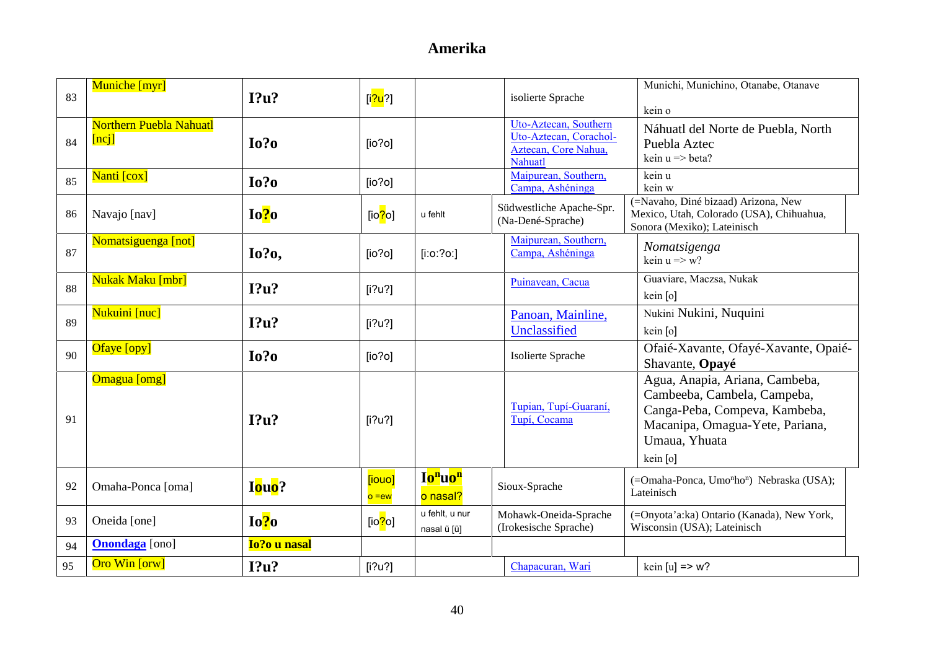| 83 | Muniche [myr]                              | I?u?         | [i <mark>?u</mark> ?] |                                             | isolierte Sprache                                                                  | Munichi, Munichino, Otanabe, Otanave                                                                                                                           |
|----|--------------------------------------------|--------------|-----------------------|---------------------------------------------|------------------------------------------------------------------------------------|----------------------------------------------------------------------------------------------------------------------------------------------------------------|
|    |                                            |              |                       |                                             |                                                                                    | kein o                                                                                                                                                         |
| 84 | <b>Northern Puebla Nahuatl</b><br>$[nc_j]$ | $I0$ ?       | [io?o]                |                                             | Uto-Aztecan, Southern<br>Uto-Aztecan, Corachol-<br>Aztecan, Core Nahua,<br>Nahuatl | Náhuatl del Norte de Puebla, North<br>Puebla Aztec<br>kein $u \Rightarrow$ beta?                                                                               |
| 85 | Nanti [cox]                                | $I0$ ?       | [io?o]                |                                             | Maipurean, Southern,<br>Campa, Ashéninga                                           | kein u<br>kein w                                                                                                                                               |
| 86 | Navajo [nav]                               | Io?o         | [io <mark>?</mark> o] | u fehlt                                     | Südwestliche Apache-Spr.<br>(Na-Dené-Sprache)                                      | (=Navaho, Diné bizaad) Arizona, New<br>Mexico, Utah, Colorado (USA), Chihuahua,<br>Sonora (Mexiko); Lateinisch                                                 |
| 87 | Nomatsiguenga [not]                        | <b>Io?o,</b> | [io?o]                | $[$ i:o:?o:]                                | Maipurean, Southern,<br>Campa, Ashéninga                                           | Nomatsigenga<br>kein $u \Rightarrow w$ ?                                                                                                                       |
| 88 | Nukak Maku [mbr]                           | I?u?         | [i?u?]                |                                             | Puinavean, Cacua                                                                   | Guaviare, Maczsa, Nukak<br>kein [o]                                                                                                                            |
| 89 | Nukuini [nuc]                              | I?u?         | [i?u?]                |                                             | Panoan, Mainline,<br>Unclassified                                                  | Nukini Nukini, Nuquini<br>kein [o]                                                                                                                             |
| 90 | Ofaye [opy]                                | $I0$ ?0      | [io?o]                |                                             | Isolierte Sprache                                                                  | Ofaié-Xavante, Ofayé-Xavante, Opaié-<br>Shavante, Opayé                                                                                                        |
| 91 | Omagua [omg]                               | I?u?         | [i?u?]                |                                             | Tupian, Tupí-Guaraní,<br>Tupí, Cocama                                              | Agua, Anapia, Ariana, Cambeba,<br>Cambeeba, Cambela, Campeba,<br>Canga-Peba, Compeva, Kambeba,<br>Macanipa, Omagua-Yete, Pariana,<br>Umaua, Yhuata<br>kein [o] |
| 92 | Omaha-Ponca [oma]                          | Iouo?        | [iouo]<br>$o = ew$    | Io <sup>n</sup> uo <sup>n</sup><br>o nasal? | Sioux-Sprache                                                                      | (=Omaha-Ponca, Umo <sup>n</sup> ho <sup>n</sup> ) Nebraska (USA);<br>Lateinisch                                                                                |
| 93 | Oneida [one]                               | Io?o         | [ $io$ ? $o$ ]        | u fehlt, u nur<br>nasal ũ [ũ]               | Mohawk-Oneida-Sprache<br>(Irokesische Sprache)                                     | (=Onyota'a:ka) Ontario (Kanada), New York,<br>Wisconsin (USA); Lateinisch                                                                                      |
| 94 | <b>Onondaga</b> [ono]                      | Io?o u nasal |                       |                                             |                                                                                    |                                                                                                                                                                |
| 95 | Oro Win [orw]                              | I?u?         | [i?u?]                |                                             | Chapacuran, Wari                                                                   | kein $[u]$ => w?                                                                                                                                               |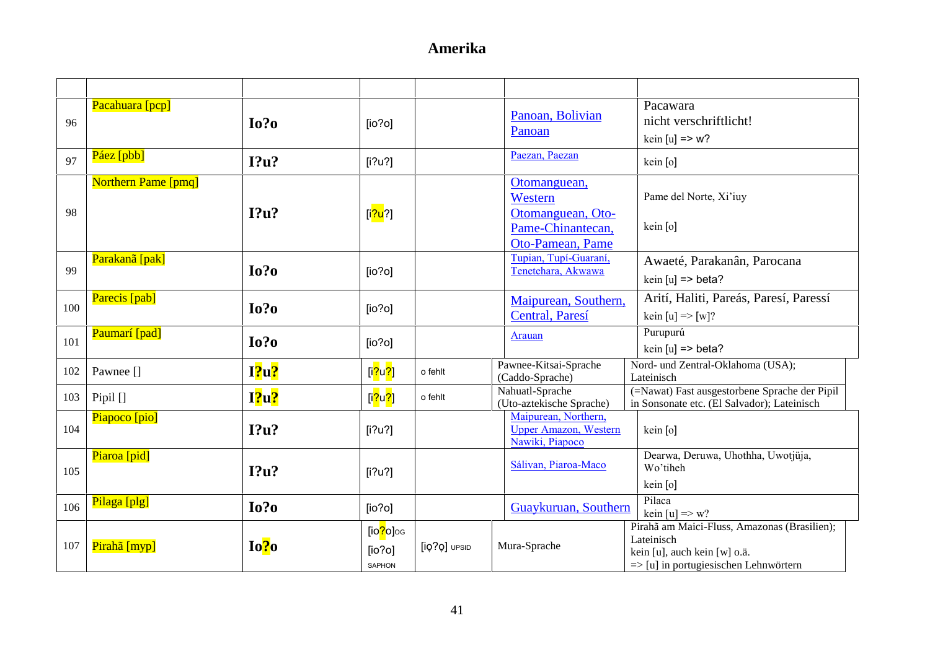| 96  | Pacahuara [pcp]            | $I0$ ?0 | [io?o]                                             |              | Panoan, Bolivian<br>Panoan                                                            | Pacawara<br>nicht verschriftlicht!<br>kein $[u]$ => w?                                                                                         |
|-----|----------------------------|---------|----------------------------------------------------|--------------|---------------------------------------------------------------------------------------|------------------------------------------------------------------------------------------------------------------------------------------------|
| 97  | Páez [pbb]                 | I?u?    | [i?u?]                                             |              | Paezan, Paezan                                                                        | kein [o]                                                                                                                                       |
| 98  | <b>Northern Pame [pmq]</b> | $12u$ ? | [i <mark>?u</mark> ?]                              |              | Otomanguean,<br>Western<br>Otomanguean, Oto-<br>Pame-Chinantecan,<br>Oto-Pamean, Pame | Pame del Norte, Xi'iuy<br>kein [o]                                                                                                             |
| 99  | Parakanã [pak]             | $I0$ ?  | [io?o]                                             |              | Tupian, Tupí-Guaraní,<br>Tenetehara, Akwawa                                           | Awaeté, Parakanân, Parocana<br>kein $[u]$ => beta?                                                                                             |
| 100 | Parecis [pab]              | $I0$ ?0 | [io?o]                                             |              | Maipurean, Southern,<br>Central, Paresí                                               | Arití, Haliti, Pareás, Paresí, Paressí<br>kein [u] => [w]?                                                                                     |
| 101 | Paumarí [pad]              | $I0$ ?0 | [io?o]                                             |              | Arauan                                                                                | Purupurú<br>kein $[u]$ => beta?                                                                                                                |
| 102 | Pawnee []                  | $I$ ?u? | [i <mark>?</mark> u <mark>?]</mark>                | o fehlt      | Pawnee-Kitsai-Sprache<br>(Caddo-Sprache)                                              | Nord- und Zentral-Oklahoma (USA);<br>Lateinisch                                                                                                |
| 103 | Pipil $[]$                 | 12u?    | [i $?u$ ?]                                         | o fehlt      | Nahuatl-Sprache<br>(Uto-aztekische Sprache)                                           | (=Nawat) Fast ausgestorbene Sprache der Pipil<br>in Sonsonate etc. (El Salvador); Lateinisch                                                   |
| 104 | Piapoco [pio]              | I?u?    | [i?u?]                                             |              | Maipurean, Northern,<br><b>Upper Amazon</b> , Western<br>Nawiki, Piapoco              | kein [o]                                                                                                                                       |
| 105 | Piaroa [pid]               | I?u?    | [i?u?]                                             |              | Sálivan, Piaroa-Maco                                                                  | Dearwa, Deruwa, Uhothha, Uwotjüja,<br>Wo'tiheh<br>kein [o]                                                                                     |
| 106 | Pilaga [plg]               | $I0$ ?  | [io?o]                                             |              | Guaykuruan, Southern                                                                  | Pilaca<br>kein [u] $\Rightarrow$ w?                                                                                                            |
| 107 | Pirahã [myp]               | Io?o    | [io <mark>?</mark> o]og<br>[io?o]<br><b>SAPHON</b> | [iQ?Q] UPSID | Mura-Sprache                                                                          | Pirahã am Maici-Fluss, Amazonas (Brasilien);<br>Lateinisch<br>kein [u], auch kein [w] o.ä.<br>$\Rightarrow$ [u] in portugiesischen Lehnwörtern |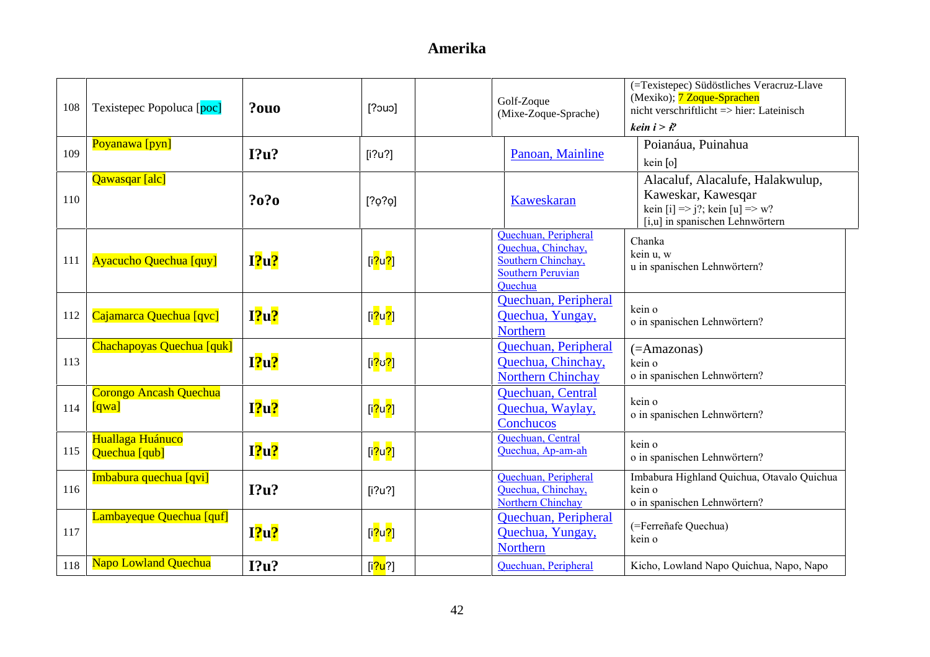| 108 | Texistepec Popoluca [poc]         | ?0u0    | [20u]                                | Golf-Zoque<br>(Mixe-Zoque-Sprache)                                                                      | (=Texistepec) Südöstliches Veracruz-Llave<br>(Mexiko); 7 Zoque-Sprachen<br>nicht verschriftlicht $\Rightarrow$ hier: Lateinisch<br>kein $i > i$ ? |
|-----|-----------------------------------|---------|--------------------------------------|---------------------------------------------------------------------------------------------------------|---------------------------------------------------------------------------------------------------------------------------------------------------|
| 109 | Poyanawa [pyn]                    | $I?$ u? | [i?u?]                               | Panoan, Mainline                                                                                        | Poianáua, Puinahua<br>kein [o]                                                                                                                    |
| 110 | Qawasqar [alc]                    | ?0?0    | [202]                                | Kaweskaran                                                                                              | Alacaluf, Alacalufe, Halakwulup,<br>Kaweskar, Kawesqar<br>kein [i] $\Rightarrow$ j?; kein [u] $\Rightarrow$ w?<br>[i,u] in spanischen Lehnwörtern |
| 111 | <b>Ayacucho Quechua [quy]</b>     | I?u?    | [i <mark>?u?]</mark>                 | Quechuan, Peripheral<br>Quechua, Chinchay,<br>Southern Chinchay,<br><b>Southern Peruvian</b><br>Ouechua | Chanka<br>kein u, w<br>u in spanischen Lehnwörtern?                                                                                               |
| 112 | Cajamarca Quechua [qvc]           | I?u?    | [i <mark>?</mark> u <mark>?</mark> ] | Quechuan, Peripheral<br>Quechua, Yungay,<br>Northern                                                    | kein o<br>o in spanischen Lehnwörtern?                                                                                                            |
| 113 | Chachapoyas Quechua [quk]         | I?u?    | [i <mark>?</mark> ʊ <mark>?</mark> ] | Quechuan, Peripheral<br>Quechua, Chinchay,<br><b>Northern Chinchay</b>                                  | $(=\!\!Amaxonas)$<br>kein o<br>o in spanischen Lehnwörtern?                                                                                       |
| 114 | Corongo Ancash Quechua<br>[qwa]   | I?u?    | [i <mark>?</mark> u <mark>?</mark> ] | Quechuan, Central<br>Quechua, Waylay,<br>Conchucos                                                      | kein o<br>o in spanischen Lehnwörtern?                                                                                                            |
| 115 | Huallaga Huánuco<br>Quechua [qub] | I?u?    | [i <mark>?</mark> u <mark>?</mark> ] | Quechuan, Central<br>Quechua, Ap-am-ah                                                                  | kein o<br>o in spanischen Lehnwörtern?                                                                                                            |
| 116 | Imbabura quechua [qvi]            | I?u?    | [i?u?]                               | Quechuan, Peripheral<br>Quechua, Chinchay,<br>Northern Chinchay                                         | Imbabura Highland Quichua, Otavalo Quichua<br>kein o<br>o in spanischen Lehnwörtern?                                                              |
| 117 | Lambayeque Quechua [quf]          | I2u2    | [i <mark>?</mark> u <mark>?</mark> ] | Quechuan, Peripheral<br>Quechua, Yungay,<br><b>Northern</b>                                             | (=Ferreñafe Quechua)<br>kein o                                                                                                                    |
| 118 | <b>Napo Lowland Quechua</b>       | I?u?    | [i <mark>?u</mark> ?]                | Quechuan, Peripheral                                                                                    | Kicho, Lowland Napo Quichua, Napo, Napo                                                                                                           |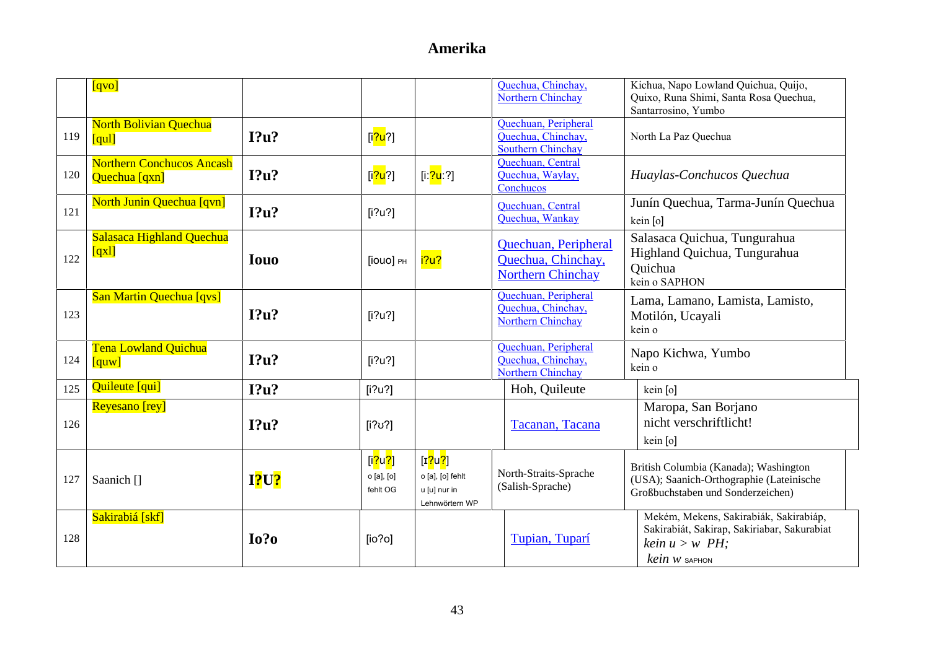|     | [qvo]                                             |             |                                                                |                                                                  | Quechua, Chinchay,<br>Northern Chinchay                                | Kichua, Napo Lowland Quichua, Quijo,<br>Quixo, Runa Shimi, Santa Rosa Quechua,<br>Santarrosino, Yumbo                          |
|-----|---------------------------------------------------|-------------|----------------------------------------------------------------|------------------------------------------------------------------|------------------------------------------------------------------------|--------------------------------------------------------------------------------------------------------------------------------|
| 119 | <b>North Bolivian Quechua</b><br>[qul]            | I?u?        | [i <mark>?u</mark> ?]                                          |                                                                  | Quechuan, Peripheral<br>Quechua, Chinchay,<br><b>Southern Chinchay</b> | North La Paz Quechua                                                                                                           |
| 120 | <b>Northern Conchucos Ancash</b><br>Quechua [qxn] | I?u?        | [i <mark>?u</mark> ?]                                          | [iː <mark>?u</mark> ː?]                                          | Quechuan, Central<br>Quechua, Waylay,<br>Conchucos                     | Huaylas-Conchucos Quechua                                                                                                      |
| 121 | <b>North Junin Quechua [qvn]</b>                  | I?u?        | [i?u?]                                                         |                                                                  | Quechuan, Central<br>Quechua, Wankay                                   | Junín Quechua, Tarma-Junín Quechua<br>kein [o]                                                                                 |
| 122 | Salasaca Highland Quechua<br>[qx]                 | <b>Iouo</b> | [iouo] PH                                                      | i?u?                                                             | Quechuan, Peripheral<br>Quechua, Chinchay,<br><b>Northern Chinchay</b> | Salasaca Quichua, Tungurahua<br>Highland Quichua, Tungurahua<br>Quichua<br>kein o SAPHON                                       |
| 123 | San Martin Quechua [qvs]                          | I?u?        | [i?u?]                                                         |                                                                  | Quechuan, Peripheral<br>Quechua, Chinchay,<br>Northern Chinchay        | Lama, Lamano, Lamista, Lamisto,<br>Motilón, Ucayali<br>kein o                                                                  |
| 124 | <b>Tena Lowland Quichua</b><br>[quw]              | I?u?        | [i?u?]                                                         |                                                                  | Quechuan, Peripheral<br>Quechua, Chinchay,<br><b>Northern Chinchay</b> | Napo Kichwa, Yumbo<br>kein o                                                                                                   |
| 125 | Quileute [qui]                                    | I?u?        | [i?u?]                                                         |                                                                  | Hoh, Quileute                                                          | kein [o]                                                                                                                       |
| 126 | <b>Reyesano</b> [rey]                             | I?u?        | $[i?\upsilon$ ?]                                               |                                                                  | Tacanan, Tacana                                                        | Maropa, San Borjano<br>nicht verschriftlicht!<br>kein [o]                                                                      |
| 127 | Saanich []                                        | <b>I?U?</b> | [i <mark>?</mark> u <mark>?</mark> ]<br>o [a], [o]<br>fehlt OG | [ $r$ ?u?]<br>o [a], [o] fehlt<br>u [u] nur in<br>Lehnwörtern WP | North-Straits-Sprache<br>(Salish-Sprache)                              | British Columbia (Kanada); Washington<br>(USA); Saanich-Orthographie (Lateinische<br>Großbuchstaben und Sonderzeichen)         |
| 128 | Sakirabiá [skf]                                   | $I0$ ?      | [io?o]                                                         |                                                                  | Tupian, Tuparí                                                         | Mekém, Mekens, Sakirabiák, Sakirabiáp,<br>Sakirabiát, Sakirap, Sakiriabar, Sakurabiat<br>kein $u > w$ PH:<br>$kein$ $w$ saphon |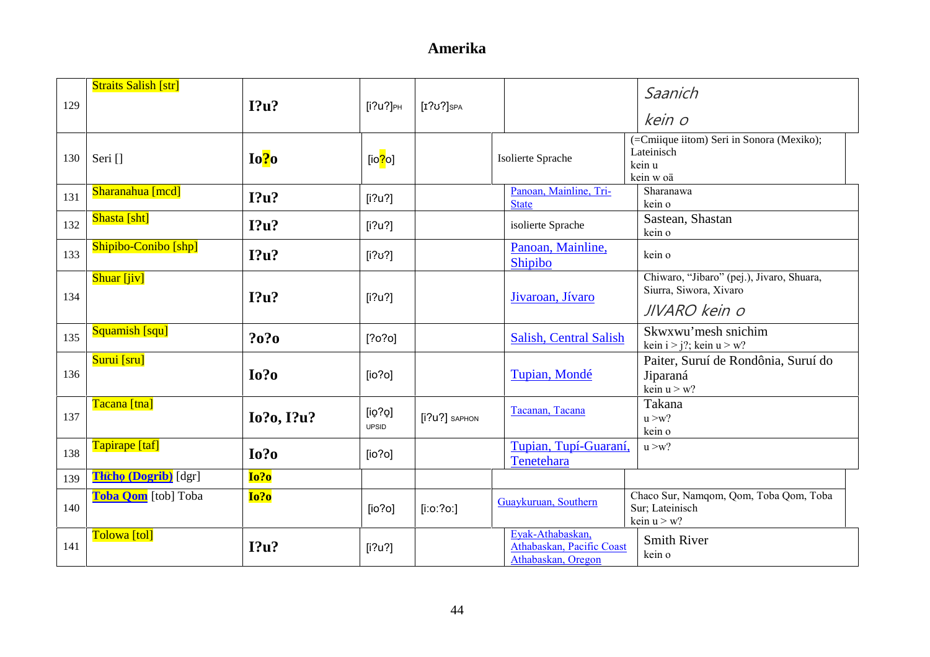| 129 | <b>Straits Salish [str]</b> | I?u?       | $[i?u?]_{PH}$     | $[I?\mathsf{U}$ ? SPA |                                                                     | Saanich                                                                        |
|-----|-----------------------------|------------|-------------------|-----------------------|---------------------------------------------------------------------|--------------------------------------------------------------------------------|
|     |                             |            |                   |                       |                                                                     | kein o                                                                         |
| 130 | Seri []                     | Io?o       | [io $\sqrt{2}$ o] |                       | Isolierte Sprache                                                   | (=Cmiique iitom) Seri in Sonora (Mexiko);<br>Lateinisch<br>kein u<br>kein w oä |
| 131 | Sharanahua [mcd]            | I?u?       | [i?u?]            |                       | Panoan, Mainline, Tri-<br><b>State</b>                              | Sharanawa<br>kein o                                                            |
| 132 | Shasta [sht]                | I?u?       | [i?u?]            |                       | isolierte Sprache                                                   | Sastean, Shastan<br>kein o                                                     |
| 133 | Shipibo-Conibo [shp]        | I?u?       | $[i?\upsilon']$   |                       | Panoan, Mainline,<br>Shipibo                                        | kein o                                                                         |
| 134 | Shuar [jiv]                 | $I$ ?u?    | [i?u?]            |                       | Jivaroan, Jívaro                                                    | Chiwaro, "Jibaro" (pej.), Jivaro, Shuara,<br>Siurra, Siwora, Xivaro            |
|     |                             |            |                   |                       |                                                                     | JIVARO kein o                                                                  |
| 135 | Squamish [squ]              | ?0?0       | [?0?0]            |                       | Salish, Central Salish                                              | Skwxwu'mesh snichim<br>kein $i > j$ ?; kein $u > w$ ?                          |
| 136 | Surui [sru]                 | Io?o       | [io?o]            |                       | Tupian, Mondé                                                       | Paiter, Suruí de Rondônia, Suruí do<br>Jiparaná<br>kein $u > w$ ?              |
| 137 | Tacana [tna]                | Io?o, I?u? | [iq?Q]<br>UPSID   | [i?u?] SAPHON         | Tacanan, Tacana                                                     | Takana<br>u > w?<br>kein o                                                     |
| 138 | Tapirape [taf]              | $I0$ ?0    | [io?o]            |                       | Tupian, Tupí-Guaraní,<br>Tenetehara                                 | u > w?                                                                         |
| 139 | <b>Thcho (Dogrib)</b> [dgr] | Io?o       |                   |                       |                                                                     |                                                                                |
| 140 | Toba Qom [tob] Toba         | Io?o       | [io?o]            | $[$ i:o:?o:]          | Guaykuruan, Southern                                                | Chaco Sur, Namqom, Qom, Toba Qom, Toba<br>Sur; Lateinisch<br>kein $u > w$ ?    |
| 141 | Tolowa [tol]                | I?u?       | [i?u?]            |                       | Eyak-Athabaskan,<br>Athabaskan, Pacific Coast<br>Athabaskan, Oregon | <b>Smith River</b><br>kein o                                                   |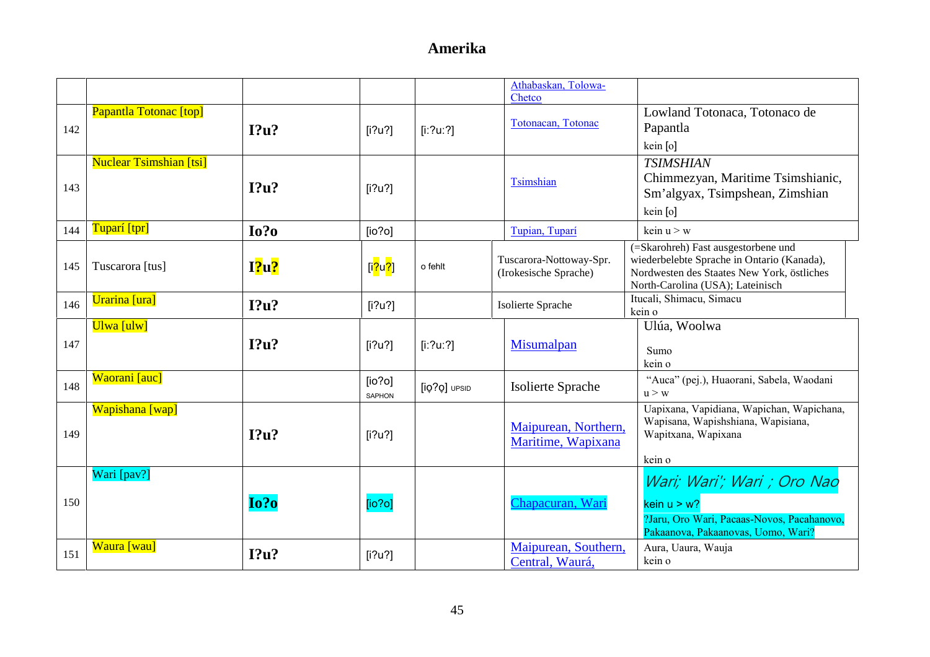|     |                                |        |                                      |              | Athabaskan, Tolowa-                              |                                                                                                                                                                     |
|-----|--------------------------------|--------|--------------------------------------|--------------|--------------------------------------------------|---------------------------------------------------------------------------------------------------------------------------------------------------------------------|
| 142 | Papantla Totonac [top]         | I?u?   | [i?u?]                               | [i:?u:?]     | Chetco<br>Totonacan, Totonac                     | Lowland Totonaca, Totonaco de<br>Papantla<br>kein [o]                                                                                                               |
| 143 | <b>Nuclear Tsimshian [tsi]</b> | I?u?   | [i?u?]                               |              | Tsimshian                                        | <b>TSIMSHIAN</b><br>Chimmezyan, Maritime Tsimshianic,<br>Sm'algyax, Tsimpshean, Zimshian<br>kein [o]                                                                |
| 144 | Tuparí [tpr]                   | $I0$ ? | [io?o]                               |              | Tupian, Tuparí                                   | kein $u > w$                                                                                                                                                        |
| 145 | Tuscarora [tus]                | I?u?   | [i <mark>?</mark> u <mark>?</mark> ] | o fehlt      | Tuscarora-Nottoway-Spr.<br>(Irokesische Sprache) | (=Skarohreh) Fast ausgestorbene und<br>wiederbelebte Sprache in Ontario (Kanada),<br>Nordwesten des Staates New York, östliches<br>North-Carolina (USA); Lateinisch |
| 146 | Urarina [ura]                  | I?u?   | [i?u?]                               |              | Isolierte Sprache                                | Itucali, Shimacu, Simacu<br>kein o                                                                                                                                  |
|     | Ulwa [ulw]                     |        |                                      |              |                                                  | Ulúa, Woolwa                                                                                                                                                        |
| 147 |                                | I?u?   | [i?u?]                               | [i:?u:?]     | Misumalpan                                       | Sumo<br>kein o                                                                                                                                                      |
| 148 | Waorani [auc]                  |        | [io?o]<br>SAPHON                     | [iQ?Q] UPSID | Isolierte Sprache                                | "Auca" (pej.), Huaorani, Sabela, Waodani<br>u > w                                                                                                                   |
| 149 | Wapishana [wap]                | I?u?   | [i?u?]                               |              | Maipurean, Northern,<br>Maritime, Wapixana       | Uapixana, Vapidiana, Wapichan, Wapichana,<br>Wapisana, Wapishshiana, Wapisiana,<br>Wapitxana, Wapixana<br>kein o                                                    |
| 150 | Wari [pav?]                    | Io?o   | [io?o]                               |              | Chapacuran, War                                  | Wari; Wari'; Wari ; Oro Nao<br>kein $u > w$ ?<br>?Jaru, Oro Wari, Pacaas-Novos, Pacahanovo,<br>Pakaanova, Pakaanovas, Uomo, Wari?                                   |
| 151 | Waura [wau]                    | I?u?   | [i?u?]                               |              | Maipurean, Southern,<br>Central, Waurá,          | Aura, Uaura, Wauja<br>kein o                                                                                                                                        |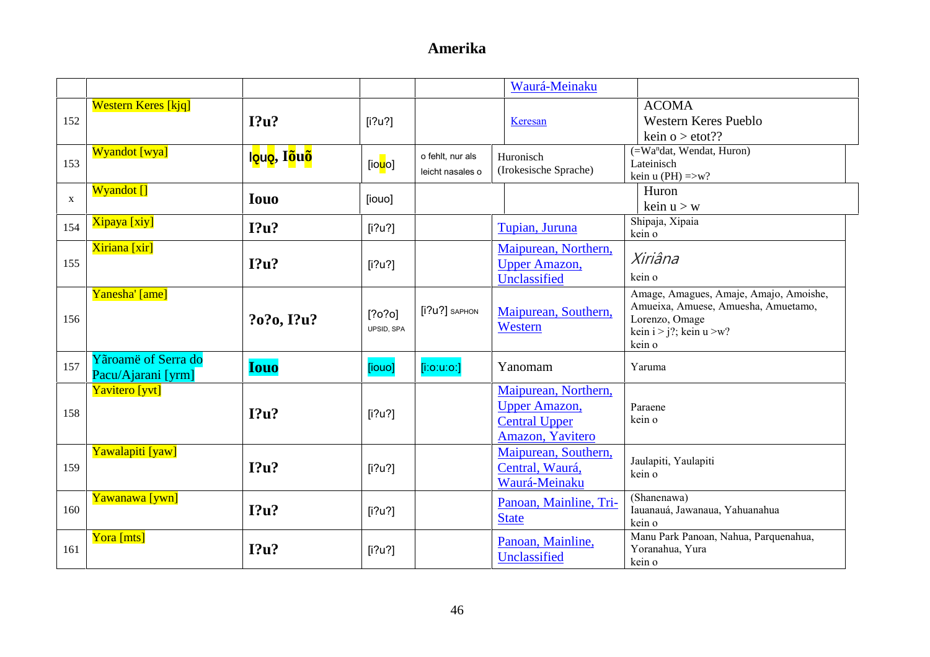|             |                                           |                           |                       |                                      | Waurá-Meinaku                                                                            |                                                                                                                                         |
|-------------|-------------------------------------------|---------------------------|-----------------------|--------------------------------------|------------------------------------------------------------------------------------------|-----------------------------------------------------------------------------------------------------------------------------------------|
| 152         | <b>Western Keres</b> [kjq]                | $12u$ ?                   | [i?u?]                |                                      | Keresan                                                                                  | <b>ACOMA</b><br><b>Western Keres Pueblo</b>                                                                                             |
|             |                                           |                           |                       |                                      |                                                                                          | kein o $>$ etot??                                                                                                                       |
| 153         | <b>Wyandot</b> [wya]                      | l <mark>ęuę</mark> , Iõuõ | [io <mark>u</mark> o] | o fehlt, nur als<br>leicht nasales o | Huronisch<br>(Irokesische Sprache)                                                       | (=Wa <sup>n</sup> dat, Wendat, Huron)<br>Lateinisch<br>kein u (PH) $\Rightarrow$ w?                                                     |
| $\mathbf X$ | Wyandot []                                | <b>Iouo</b>               | [iouo]                |                                      |                                                                                          | Huron<br>kein $u > w$                                                                                                                   |
| 154         | Xipaya [xiy]                              | I?u?                      | [i?u?]                |                                      | Tupian, Juruna                                                                           | Shipaja, Xipaia<br>kein o                                                                                                               |
| 155         | Xiriana [xir]                             | I?u?                      | [i?u?]                |                                      | Maipurean, Northern.<br><b>Upper Amazon,</b><br>Unclassified                             | Xiriâna<br>kein o                                                                                                                       |
| 156         | Yanesha' [ame]                            | ?o?o, I?u?                | [?0?0]<br>UPSID, SPA  | [i?u?] SAPHON                        | Maipurean, Southern,<br>Western                                                          | Amage, Amagues, Amaje, Amajo, Amoishe,<br>Amueixa, Amuese, Amuesha, Amuetamo,<br>Lorenzo, Omage<br>kein $i > j$ ?; kein u >w?<br>kein o |
| 157         | Yãroamë of Serra do<br>Pacu/Ajarani [yrm] | <b>Iouo</b>               | [iouo]                | $[$ i:o:u:o:]                        | Yanomam                                                                                  | Yaruma                                                                                                                                  |
| 158         | Yavitero [yvt]                            | I?u?                      | [i?u?]                |                                      | Maipurean, Northern,<br><b>Upper Amazon,</b><br><b>Central Upper</b><br>Amazon, Yavitero | Paraene<br>kein o                                                                                                                       |
| 159         | Yawalapiti [yaw]                          | I?u?                      | [i?u?]                |                                      | Maipurean, Southern,<br>Central, Waurá,<br>Waurá-Meinaku                                 | Jaulapiti, Yaulapiti<br>kein o                                                                                                          |
| 160         | Yawanawa [ywn]                            | I?u?                      | [i?u?]                |                                      | Panoan, Mainline, Tri-<br><b>State</b>                                                   | (Shanenawa)<br>Iauanauá, Jawanaua, Yahuanahua<br>kein o                                                                                 |
| 161         | Yora [mts]                                | I?u?                      | [i?u?]                |                                      | Panoan, Mainline,<br>Unclassified                                                        | Manu Park Panoan, Nahua, Parquenahua,<br>Yoranahua, Yura<br>kein o                                                                      |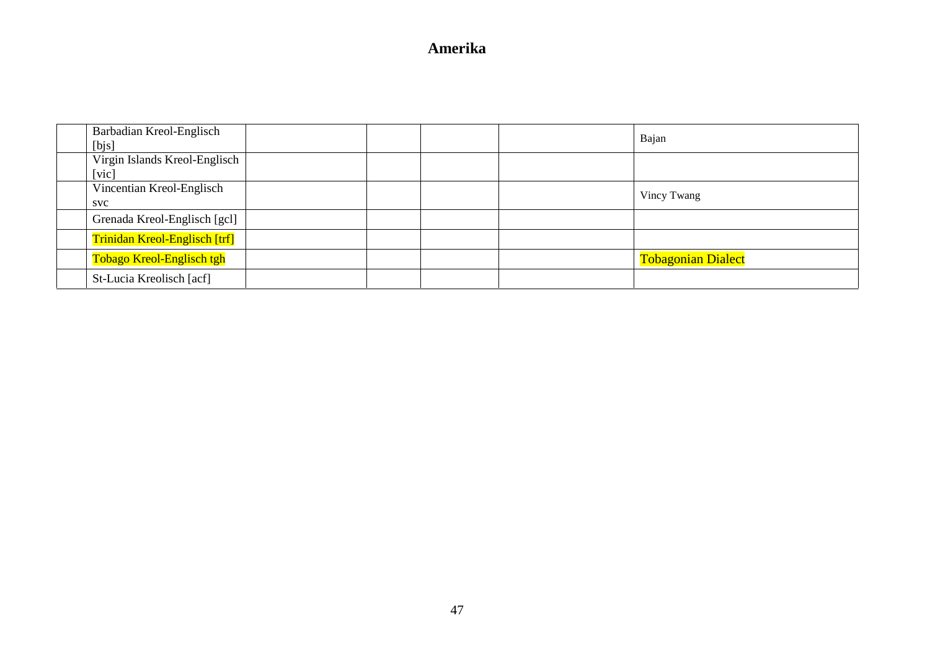| Barbadian Kreol-Englisch<br>[bjs] |  | Bajan                     |  |
|-----------------------------------|--|---------------------------|--|
| Virgin Islands Kreol-Englisch     |  |                           |  |
| [vic]                             |  |                           |  |
| Vincentian Kreol-Englisch         |  | Vincy Twang               |  |
| <b>SVC</b>                        |  |                           |  |
| Grenada Kreol-Englisch [gcl]      |  |                           |  |
| Trinidan Kreol-Englisch [trf]     |  |                           |  |
| Tobago Kreol-Englisch tgh         |  | <b>Tobagonian Dialect</b> |  |
| St-Lucia Kreolisch [acf]          |  |                           |  |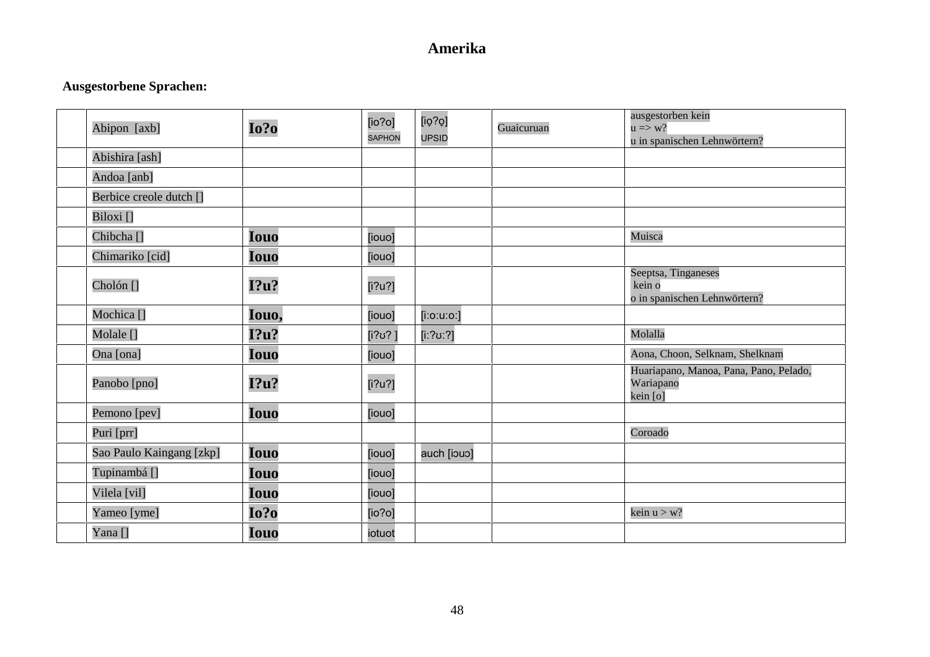### **Ausgestorbene Sprachen:**

| Abipon [axb]             | Io?o        | [io?o]<br><b>SAPHON</b> | [iq?Q]<br><b>UPSID</b> | Guaicuruan | ausgestorben kein<br>$u \Rightarrow w?$<br>u in spanischen Lehnwörtern? |
|--------------------------|-------------|-------------------------|------------------------|------------|-------------------------------------------------------------------------|
| Abishira [ash]           |             |                         |                        |            |                                                                         |
| Andoa [anb]              |             |                         |                        |            |                                                                         |
| Berbice creole dutch []  |             |                         |                        |            |                                                                         |
| Biloxi []                |             |                         |                        |            |                                                                         |
| Chibcha <sup>[]</sup>    | <b>Iouo</b> | [iouo]                  |                        |            | Muisca                                                                  |
| Chimariko [cid]          | <b>Iouo</b> | [iouo]                  |                        |            |                                                                         |
| Cholón []                | I?u?        | [i?u?]                  |                        |            | Seeptsa, Tinganeses<br>kein o<br>o in spanischen Lehnwörtern?           |
| Mochica <sup>[]</sup>    | Iouo,       | [iouo]                  | $[$ i:o:u:o:]          |            |                                                                         |
| Molale []                | I?u?        | [i?ʊ? ]                 | [iː?ʊː?]               |            | Molalla                                                                 |
| Ona [ona]                | Iouo        | [iouo]                  |                        |            | Aona, Choon, Selknam, Shelknam                                          |
| Panobo [pno]             | I?u?        | [i?u?]                  |                        |            | Huariapano, Manoa, Pana, Pano, Pelado,<br>Wariapano<br>kein [o]         |
| Pemono [pev]             | <b>Iouo</b> | [iouo]                  |                        |            |                                                                         |
| Puri [prr]               |             |                         |                        |            | Coroado                                                                 |
| Sao Paulo Kaingang [zkp] | <b>Iouo</b> | [iouo]                  | auch [iouo]            |            |                                                                         |
| Tupinambá []             | <b>Iouo</b> | [iouo]                  |                        |            |                                                                         |
| Vilela [vil]             | Iouo        | [iouo]                  |                        |            |                                                                         |
| Yameo [yme]              | Io?o        | [io?o]                  |                        |            | kein $u > w$ ?                                                          |
| Yana []                  | Iouo        | iotuot                  |                        |            |                                                                         |